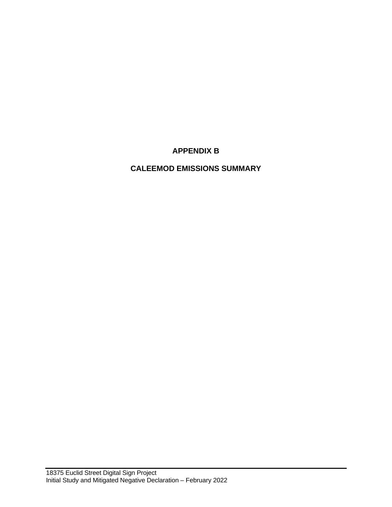# **APPENDIX B**

# **CALEEMOD EMISSIONS SUMMARY**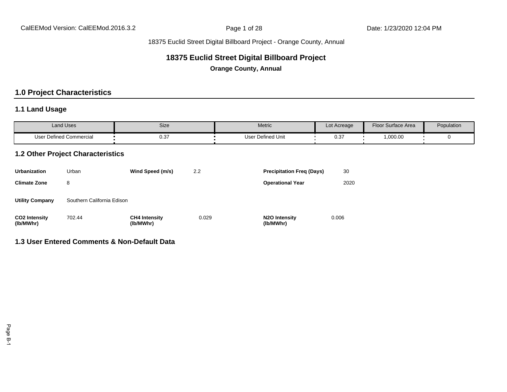# **18375 Euclid Street Digital Billboard Project**

**Orange County, Annual**

# **1.0 Project Characteristics**

### **1.1 Land Usage**

| <b>Land Uses</b>        | Size | Metric                   | Lot Acreage | Floor Surface Area | Population |
|-------------------------|------|--------------------------|-------------|--------------------|------------|
| User Defined Commercial | 0.37 | r Defined Unit<br>User ' | ົ່<br>∪.∪   | ,000.00            |            |

### **1.2 Other Project Characteristics**

| Urbanization                      | Urban                      | Wind Speed (m/s)                  | 2.2   | <b>Precipitation Freg (Days)</b>        | 30    |
|-----------------------------------|----------------------------|-----------------------------------|-------|-----------------------------------------|-------|
| <b>Climate Zone</b>               | 8                          |                                   |       | <b>Operational Year</b>                 | 2020  |
| <b>Utility Company</b>            | Southern California Edison |                                   |       |                                         |       |
| <b>CO2 Intensity</b><br>(lb/MWhr) | 702.44                     | <b>CH4 Intensity</b><br>(lb/MWhr) | 0.029 | N <sub>2</sub> O Intensity<br>(lb/MWhr) | 0.006 |

# **1.3 User Entered Comments & Non-Default Data**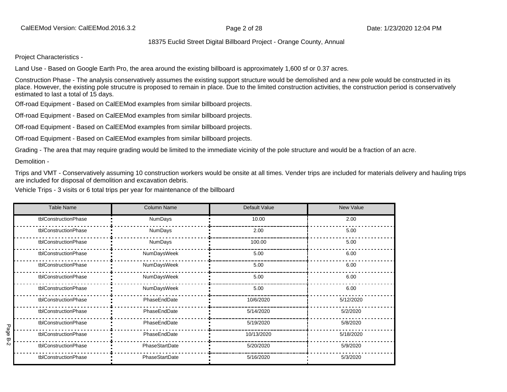Project Characteristics -

Land Use - Based on Google Earth Pro, the area around the existing billboard is approximately 1,600 sf or 0.37 acres.

Construction Phase - The analysis conservatively assumes the existing support structure would be demolished and a new pole would be constructed in its place. However, the existing pole strucutre is proposed to remain in place. Due to the limited construction activities, the construction period is conservatively estimated to last a total of 15 days.

Off-road Equipment - Based on CalEEMod examples from similar billboard projects.

Off-road Equipment - Based on CalEEMod examples from similar billboard projects.

Off-road Equipment - Based on CalEEMod examples from similar billboard projects.

Off-road Equipment - Based on CalEEMod examples from similar billboard projects.

Grading - The area that may require grading would be limited to the immediate vicinity of the pole structure and would be a fraction of an acre.

Demolition -

Trips and VMT - Conservatively assuming 10 construction workers would be onsite at all times. Vender trips are included for materials delivery and hauling trips are included for disposal of demolition and excavation debris.

Vehicle Trips - 3 visits or 6 total trips per year for maintenance of the billboard

|      | <b>Table Name</b>    | <b>Column Name</b> | Default Value | New Value |
|------|----------------------|--------------------|---------------|-----------|
|      | tblConstructionPhase | NumDays            | 10.00         | 2.00      |
|      | tblConstructionPhase | NumDays            | 2.00          | 5.00      |
|      | tblConstructionPhase | NumDays            | 100.00        | 5.00      |
|      | tblConstructionPhase | NumDaysWeek        | 5.00          | 6.00      |
|      | tblConstructionPhase | NumDaysWeek        | 5.00          | 6.00      |
|      | tblConstructionPhase | NumDaysWeek        | 5.00          | 6.00      |
|      | tblConstructionPhase | NumDaysWeek        | 5.00          | 6.00      |
|      | tblConstructionPhase | PhaseEndDate       | 10/6/2020     | 5/12/2020 |
|      | tblConstructionPhase | PhaseEndDate       | 5/14/2020     | 5/2/2020  |
|      | tblConstructionPhase | PhaseEndDate       | 5/19/2020     | 5/8/2020  |
| Page | tblConstructionPhase | PhaseEndDate       | 10/13/2020    | 5/18/2020 |
| 5-2  | tblConstructionPhase | PhaseStartDate     | 5/20/2020     | 5/9/2020  |
|      | tblConstructionPhase | PhaseStartDate     | 5/16/2020     | 5/3/2020  |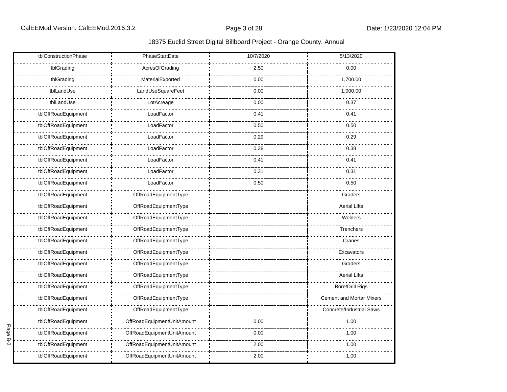|        | tblConstructionPhase | PhaseStartDate             | 10/7/2020 | 5/13/2020                       |
|--------|----------------------|----------------------------|-----------|---------------------------------|
|        | tblGrading           | AcresOfGrading             | 2.50      | 0.00                            |
|        | tblGrading           | MaterialExported           | 0.00      | 1,700.00                        |
|        | tblLandUse           | LandUseSquareFeet          | 0.00      | 1,000.00                        |
|        | tblLandUse           | LotAcreage                 | 0.00      | 0.37                            |
|        | tblOffRoadEquipment  | LoadFactor                 | 0.41      | 0.41                            |
|        | tblOffRoadEquipment  | LoadFactor                 | 0.50      | 0.50                            |
|        | tblOffRoadEquipment  | LoadFactor                 | 0.29      | 0.29                            |
|        | tblOffRoadEquipment  | LoadFactor                 | 0.38      | 0.38                            |
|        | tblOffRoadEquipment  | LoadFactor                 | 0.41      | 0.41                            |
|        | tblOffRoadEquipment  | LoadFactor                 | 0.31      | 0.31                            |
|        | tblOffRoadEquipment  | LoadFactor                 | 0.50      | 0.50                            |
|        | tblOffRoadEquipment  | OffRoadEquipmentType       |           | Graders                         |
|        | tblOffRoadEquipment  | OffRoadEquipmentType       |           | <b>Aerial Lifts</b>             |
|        | tblOffRoadEquipment  | OffRoadEquipmentType       |           | Welders                         |
|        | tblOffRoadEquipment  | OffRoadEquipmentType       |           | Trenchers                       |
|        | tblOffRoadEquipment  | OffRoadEquipmentType       |           | Cranes                          |
|        | tblOffRoadEquipment  | OffRoadEquipmentType       |           | Excavators                      |
|        | tblOffRoadEquipment  | OffRoadEquipmentType       |           | Graders                         |
|        | tblOffRoadEquipment  | OffRoadEquipmentType       |           | <b>Aerial Lifts</b>             |
|        | tblOffRoadEquipment  | OffRoadEquipmentType       |           | <b>Bore/Drill Rigs</b>          |
|        | tblOffRoadEquipment  | OffRoadEquipmentType       |           | <b>Cement and Mortar Mixers</b> |
|        | tblOffRoadEquipment  | OffRoadEquipmentType       |           | Concrete/Industrial Saws        |
|        | tblOffRoadEquipment  | OffRoadEquipmentUnitAmount | 0.00      | 1.00                            |
| Page   | tblOffRoadEquipment  | OffRoadEquipmentUnitAmount | 0.00      | 1.00                            |
| م<br>م | tblOffRoadEquipment  | OffRoadEquipmentUnitAmount | 2.00      | 1.00                            |
|        | tblOffRoadEquipment  | OffRoadEquipmentUnitAmount | 2.00      | 1.00                            |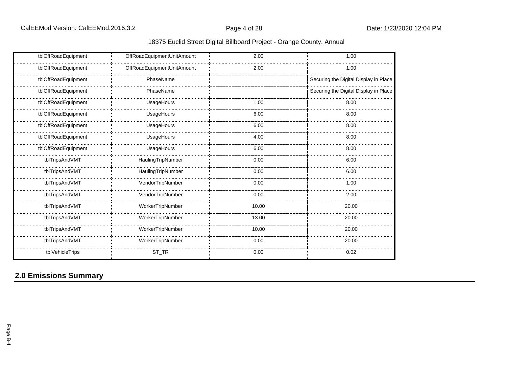|  |  |  |  | 18375 Euclid Street Digital Billboard Project - Orange County, Annual |
|--|--|--|--|-----------------------------------------------------------------------|
|--|--|--|--|-----------------------------------------------------------------------|

| tblOffRoadEquipment | OffRoadEquipmentUnitAmount | 2.00  | 1.00                                  |
|---------------------|----------------------------|-------|---------------------------------------|
| tblOffRoadEquipment | OffRoadEquipmentUnitAmount | 2.00  | 1.00                                  |
| tblOffRoadEquipment | PhaseName                  |       | Securing the Digital Display in Place |
| tblOffRoadEquipment | PhaseName                  |       | Securing the Digital Display in Place |
| tblOffRoadEquipment | UsageHours                 | 1.00  | 8.00                                  |
| tblOffRoadEquipment | UsageHours                 | 6.00  | 8.00                                  |
| tblOffRoadEquipment | UsageHours                 | 6.00  | 8.00                                  |
| tblOffRoadEquipment | UsageHours                 | 4.00  | 8.00                                  |
| tblOffRoadEquipment | UsageHours                 | 6.00  | 8.00                                  |
| tblTripsAndVMT      | HaulingTripNumber          | 0.00  | 6.00                                  |
| tblTripsAndVMT      | HaulingTripNumber          | 0.00  | 6.00                                  |
| tblTripsAndVMT      | VendorTripNumber           | 0.00  | 1.00                                  |
| tblTripsAndVMT      | VendorTripNumber           | 0.00  | 2.00                                  |
| tblTripsAndVMT      | WorkerTripNumber           | 10.00 | 20.00                                 |
| tblTripsAndVMT      | WorkerTripNumber           | 13.00 | 20.00                                 |
| tblTripsAndVMT      | WorkerTripNumber           | 10.00 | 20.00                                 |
| tblTripsAndVMT      | WorkerTripNumber           | 0.00  | 20.00                                 |
| tblVehicleTrips     | $ST_TR$                    | 0.00  | 0.02                                  |

# **2.0 Emissions Summary**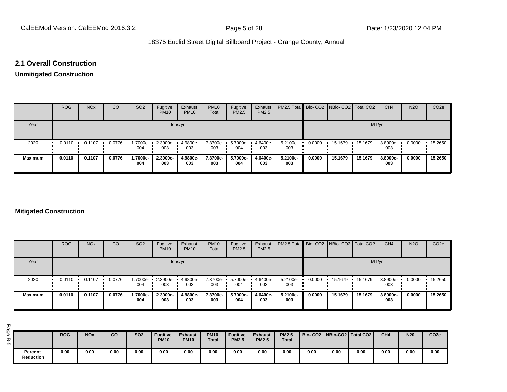#### **2.1 Overall Construction**

# **Unmitigated Construction**

|                | <b>ROG</b>            | <b>NO<sub>x</sub></b> | CO     | SO <sub>2</sub> | Fugitive<br><b>PM10</b> | Exhaust<br><b>PM10</b> | <b>PM10</b><br>Total | Fugitive<br><b>PM2.5</b> | Exhaust<br>PM2.5 | PM2.5 Total Bio- CO2 NBio- CO2 Total CO2 |        |         |         | CH <sub>4</sub> | <b>N2O</b> | CO <sub>2e</sub> |
|----------------|-----------------------|-----------------------|--------|-----------------|-------------------------|------------------------|----------------------|--------------------------|------------------|------------------------------------------|--------|---------|---------|-----------------|------------|------------------|
| Year           |                       |                       |        |                 |                         | tons/yr                |                      |                          |                  |                                          |        |         | MT/yr   |                 |            |                  |
| 2020           | $\blacksquare$ 0.0110 | 0.1107                | 0.0776 | -7000e-<br>004  | 2.3900e-<br>003         | 4.9800e-<br>003        | 7.3700e-<br>003      | 5.7000e-<br>004          | 4.6400e-<br>003  | 5.2100e-<br>003                          | 0.0000 | 15.1679 | 15.1679 | 3.8900e-<br>003 | 0.0000     | 15.2650          |
| <b>Maximum</b> | 0.0110                | 0.1107                | 0.0776 | 1.7000e-<br>004 | 2.3900e-<br>003         | 4.9800e-<br>003        | 7.3700e-<br>003      | 5.7000e-<br>004          | 4.6400e-<br>003  | 5.2100e-<br>003                          | 0.0000 | 15.1679 | 15.1679 | 3.8900e-<br>003 | 0.0000     | 15.2650          |

#### **Mitigated Construction**

|                | <b>ROG</b>            | <b>NO<sub>x</sub></b> | <b>CO</b> | SO <sub>2</sub> | Fugitive<br><b>PM10</b> | Exhaust<br><b>PM10</b> | <b>PM10</b><br>Total | Fugitive<br><b>PM2.5</b> | Exhaust<br>PM2.5 | <b>PM2.5 Total</b> Bio- CO2 NBio- CO2 Total CO2 |        |         |         | CH <sub>4</sub> | <b>N2O</b> | CO <sub>2e</sub> |
|----------------|-----------------------|-----------------------|-----------|-----------------|-------------------------|------------------------|----------------------|--------------------------|------------------|-------------------------------------------------|--------|---------|---------|-----------------|------------|------------------|
| Year           |                       |                       |           |                 |                         | tons/yr                |                      |                          |                  |                                                 |        |         | MT/yr   |                 |            |                  |
| 2020           | $\blacksquare$ 0.0110 | 0.1107                | 0.0776    | -7000e-<br>004  | 2.3900e-<br>003         | 4.9800e-<br>003        | 7.3700e-<br>003      | 5.7000e-<br>004          | 4.6400e-<br>003  | 5.2100e-<br>003                                 | 0.0000 | 15.1679 | 15.1679 | 3.8900e-<br>003 | 0.0000     | 15.2650          |
| <b>Maximum</b> | 0.0110                | 0.1107                | 0.0776    | .7000e-<br>004  | 2.3900e-<br>003         | 4.9800e-<br>003        | 7.3700e-<br>003      | 5.7000e-<br>004          | 4.6400e-<br>003  | 5.2100e-<br>003                                 | 0.0000 | 15.1679 | 15.1679 | 3.8900e-<br>003 | 0.0000     | 15.2650          |

| ه<br>$\sigma$<br>$\overline{w}$ 1<br>ÖΠ |                             | <b>ROG</b> | <b>NO<sub>x</sub></b> | co   | <b>SO2</b> | Fugitive<br><b>PM10</b> | <b>Exhaust</b><br><b>PM10</b> | <b>PM10</b><br><b>Total</b> | <b>Fugitive</b><br><b>PM2.5</b> | <b>Exhaust</b><br><b>PM2.5</b> | <b>PM2.5</b><br><b>Total</b> |      | Bio-CO2   NBio-CO2   Total CO2 |      | CH <sub>4</sub> | <b>N20</b> | CO <sub>2e</sub> |
|-----------------------------------------|-----------------------------|------------|-----------------------|------|------------|-------------------------|-------------------------------|-----------------------------|---------------------------------|--------------------------------|------------------------------|------|--------------------------------|------|-----------------|------------|------------------|
|                                         | Percent<br><b>Reduction</b> | 0.00       | 0.00                  | 0.00 | 0.00       | 0.00                    | 0.00                          | 0.00                        | 0.00                            | 0.00                           | 0.00                         | 0.00 | 0.00                           | 0.00 | 0.00            | 0.00       | 0.00             |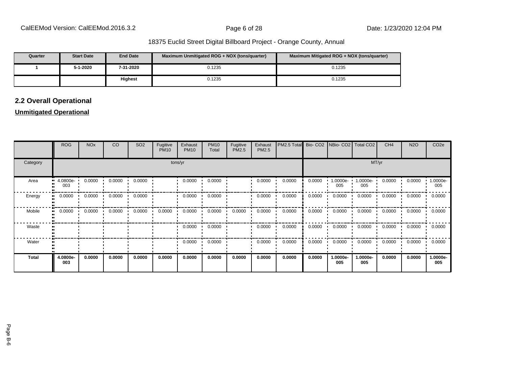| Quarter | <b>Start Date</b> | <b>End Date</b> | Maximum Unmitigated ROG + NOX (tons/guarter) | Maximum Mitigated ROG + NOX (tons/guarter) |
|---------|-------------------|-----------------|----------------------------------------------|--------------------------------------------|
|         | 5-1-2020          | 7-31-2020       | 0.1235                                       | 0.1235                                     |
|         |                   | <b>Highest</b>  | 0.1235                                       | 0.1235                                     |

# **2.2 Overall Operational**

### **Unmitigated Operational**

|              | <b>ROG</b>                     | <b>NO<sub>x</sub></b> | CO     | SO <sub>2</sub> | Fugitive<br><b>PM10</b> | Exhaust<br><b>PM10</b> | <b>PM10</b><br>Total | Fugitive<br>PM2.5 | Exhaust<br>PM2.5 | PM2.5 Total Bio- CO2 NBio- CO2 Total CO2 |        |                 |                 | CH <sub>4</sub> | <b>N2O</b> | CO <sub>2</sub> e |  |  |  |  |
|--------------|--------------------------------|-----------------------|--------|-----------------|-------------------------|------------------------|----------------------|-------------------|------------------|------------------------------------------|--------|-----------------|-----------------|-----------------|------------|-------------------|--|--|--|--|
| Category     |                                | tons/yr               |        |                 |                         |                        |                      |                   |                  |                                          |        |                 | MT/yr           |                 |            |                   |  |  |  |  |
| Area         | $\blacksquare$ 4.0800e-<br>003 | 0.0000                | 0.0000 | 0.0000          |                         | 0.0000                 | 0.0000               |                   | 0.0000           | 0.0000                                   | 0.0000 | 1.0000e-<br>005 | 1.0000e-<br>005 | 0.0000          | 0.0000     | -.0000e<br>005    |  |  |  |  |
| Energy       | 0.0000                         | 0.0000<br>$\cdot$     | 0.0000 | 0.0000          |                         | 0.0000<br>$\cdot$      | 0.0000               |                   | 0.0000           | 0.0000                                   | 0.0000 | 0.0000          | 0.0000          | 0.0000          | 0.0000     | 0.0000            |  |  |  |  |
| Mobile       | 0.0000                         | 0.0000                | 0.0000 | 0.0000          | 0.0000                  | 0.0000                 | 0.0000               | 0.0000            | 0.0000           | 0.0000                                   | 0.0000 | 0.0000          | 0.0000          | 0.0000          | 0.0000     | 0.0000            |  |  |  |  |
| Waste        |                                |                       |        |                 |                         | 0.0000                 | 0.0000               |                   | 0.0000           | 0.0000                                   | 0.0000 | 0.0000          | 0.0000          | 0.0000          | 0.0000     | 0.0000            |  |  |  |  |
| Water        |                                |                       |        |                 |                         | 0.0000                 | 0.0000               |                   | 0.0000           | 0.0000                                   | 0.0000 | 0.0000<br>. .   | 0.0000          | 0.0000          | 0.0000     | 0.0000            |  |  |  |  |
| <b>Total</b> | 4.0800e-<br>003                | 0.0000                | 0.0000 | 0.0000          | 0.0000                  | 0.0000                 | 0.0000               | 0.0000            | 0.0000           | 0.0000                                   | 0.0000 | 1.0000e-<br>005 | 1.0000e-<br>005 | 0.0000          | 0.0000     | 1.0000e-<br>005   |  |  |  |  |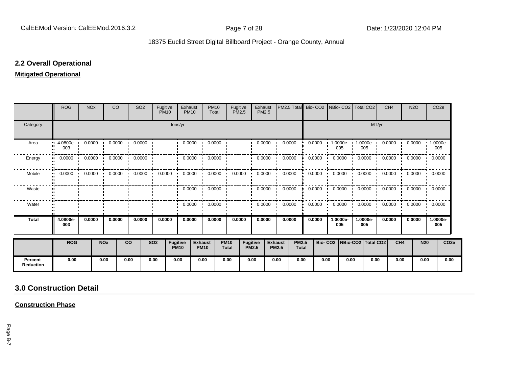### **2.2 Overall Operational**

#### **Mitigated Operational**

|                             | <b>ROG</b>          | <b>NO<sub>x</sub></b> |            | <b>CO</b> | SO <sub>2</sub>                     | Fugitive   | <b>PM10</b>     | Exhaust<br><b>PM10</b> | <b>PM10</b><br>Total          |                             | Fugitive<br><b>PM2.5</b>        | Exhaust<br><b>PM2.5</b> |                                | PM2.5 Total                  | Bio-CO <sub>2</sub> |                     | <b>INBio-CO2I Total CO2</b> |                 |                      | CH <sub>4</sub> | N <sub>2</sub> O           |                  | CO <sub>2e</sub> |
|-----------------------------|---------------------|-----------------------|------------|-----------|-------------------------------------|------------|-----------------|------------------------|-------------------------------|-----------------------------|---------------------------------|-------------------------|--------------------------------|------------------------------|---------------------|---------------------|-----------------------------|-----------------|----------------------|-----------------|----------------------------|------------------|------------------|
| Category                    |                     |                       |            |           |                                     |            |                 | tons/yr                |                               |                             |                                 |                         |                                |                              |                     |                     |                             |                 | MT/yr                |                 |                            |                  |                  |
| Area                        | $-4.0800e-$<br>003  | 0.0000                |            | 0.0000    | 0.0000                              |            |                 | 0.0000                 | 0.0000                        |                             |                                 | 0.0000                  |                                | 0.0000                       | 0.0000              |                     | 1.0000e- 1.0000e- 1<br>005  | 005             |                      | 0.0000          | 0.0000                     |                  | 1.0000e-<br>005  |
| Energy                      | 0.0000              | 0.0000                |            | 0.0000    | 0.0000                              |            |                 | 0.0000                 | 0.0000                        |                             |                                 | 0.0000                  |                                | 0.0000                       | 0.0000              |                     | 0.0000                      | 0.0000          |                      | 0.0000          | 0.0000                     |                  | 0.0000           |
| Mobile                      | 0.0000<br>$\bullet$ |                       |            |           | $0.0000$ $0.0000$ $0.0000$ $0.0000$ | 0.0000     |                 | 0.0000                 | 0.0000                        |                             | 0.0000                          | 0.0000                  |                                | 0.0000                       | 0.0000              |                     | $0.0000$ $0.0000$           |                 |                      |                 | $0.0000$ $0.0000$ $0.0000$ |                  |                  |
| Waste                       |                     |                       |            |           |                                     |            |                 | 0.0000                 | 0.0000                        |                             |                                 | 0.0000                  |                                | 0.0000                       | 0.0000              |                     | 0.0000<br>. .               | 0.0000          |                      | 0.0000          | $0.0000$ $0.0000$          |                  |                  |
| Water                       |                     |                       |            |           |                                     |            |                 | 0.0000                 | 0.0000                        |                             |                                 | 0.0000                  |                                | 0.0000                       | 0.0000              |                     | 0.0000                      | 0.0000          |                      | 0.0000          |                            | $0.0000$ $\cdot$ | 0.0000           |
| <b>Total</b>                | 4.0800e-<br>003     | 0.0000                |            | 0.0000    | 0.0000                              |            | 0.0000          | 0.0000                 | 0.0000                        |                             | 0.0000                          | 0.0000                  |                                | 0.0000                       | 0.0000              |                     | 1.0000e-<br>005             | 1.0000e-<br>005 |                      | 0.0000          | 0.0000                     |                  | 1.0000e-<br>005  |
|                             | <b>ROG</b>          |                       | <b>NOx</b> |           | co                                  | <b>SO2</b> | <b>Fugitive</b> | <b>PM10</b>            | <b>Exhaust</b><br><b>PM10</b> | <b>PM10</b><br><b>Total</b> | <b>Fugitive</b><br><b>PM2.5</b> |                         | <b>Exhaust</b><br><b>PM2.5</b> | <b>PM2.5</b><br><b>Total</b> |                     | Bio-CO <sub>2</sub> |                             |                 | NBio-CO2   Total CO2 | CH <sub>4</sub> |                            | <b>N20</b>       | CO <sub>2e</sub> |
| Percent<br><b>Reduction</b> | 0.00                |                       | 0.00       |           | 0.00                                | 0.00       |                 | 0.00                   | 0.00                          | 0.00                        |                                 | 0.00                    | 0.00                           | 0.00                         |                     | 0.00                | 0.00                        |                 | 0.00                 | 0.00            |                            | 0.00             | 0.00             |

# **3.0 Construction Detail**

**Construction Phase**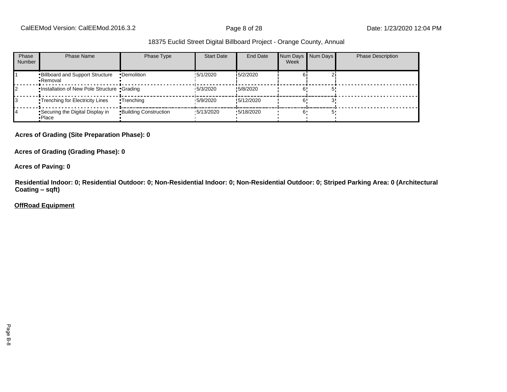CalEEMod Version: CalEEMod.2016.3.2 **Page 8 of 28** Page 8 of 28 Date: 1/23/2020 12:04 PM

#### 18375 Euclid Street Digital Billboard Project - Orange County, Annual

| Phase<br><b>Number</b> | Phase Name                                          | Phase Type                   | <b>Start Date</b> | End Date          | Num Days Num Days<br>Week | <b>Phase Description</b> |
|------------------------|-----------------------------------------------------|------------------------------|-------------------|-------------------|---------------------------|--------------------------|
|                        | <b>Billboard and Support Structure</b><br>• Removal | •Demolition                  | !5/1/2020         | 15/2/2020         |                           |                          |
|                        | .Installation of New Pole Structure .Grading        |                              | 15/3/2020         | 15/8/2020         |                           |                          |
|                        | •Trenching for Electricity Lines                    | •Trenching                   | 15/9/2020         | 15/12/2020        |                           |                          |
|                        | Securing the Digital Display in<br>•Place           | <b>Building Construction</b> | $\cdot$ 5/13/2020 | $\cdot$ 5/18/2020 |                           |                          |

#### **Acres of Grading (Site Preparation Phase): 0**

**Acres of Grading (Grading Phase): 0**

**Acres of Paving: 0**

**Residential Indoor: 0; Residential Outdoor: 0; Non-Residential Indoor: 0; Non-Residential Outdoor: 0; Striped Parking Area: 0 (Architectural Coating ±sqft)**

#### **OffRoad Equipment**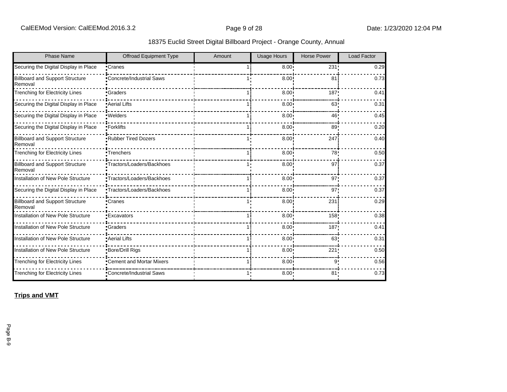|  |  |  |  | 18375 Euclid Street Digital Billboard Project - Orange County, Annual |
|--|--|--|--|-----------------------------------------------------------------------|
|--|--|--|--|-----------------------------------------------------------------------|

| <b>Phase Name</b>                                 | <b>Offroad Equipment Type</b>    | Amount | <b>Usage Hours</b> | <b>Horse Power</b> | <b>Load Factor</b> |
|---------------------------------------------------|----------------------------------|--------|--------------------|--------------------|--------------------|
| Securing the Digital Display in Place             | •Cranes                          |        | 8.00 <sup>1</sup>  | 231!               | 0.29               |
| <b>Billboard and Support Structure</b><br>Removal | <b>*Concrete/Industrial Saws</b> |        | 8.00               | 81                 | 0.73               |
| <b>Trenching for Electricity Lines</b>            | <b>Craders</b>                   |        | 8.00               | 187                | 0.41               |
| Securing the Digital Display in Place             | <b>Aerial Lifts</b>              |        | 8.00               | 63                 | 0.31               |
| Securing the Digital Display in Place             | •Welders                         |        | 8.00               | 46!                | 0.45               |
| Securing the Digital Display in Place             | •Forklifts                       |        | $8.00 -$           | 89                 | 0.20               |
| <b>Billboard and Support Structure</b><br>Removal | <b>*Rubber Tired Dozers</b>      |        | 8.00               | 247                | 0.40               |
| <b>Trenching for Electricity Lines</b>            | •Trenchers                       |        | 8.00 <sup>1</sup>  | 78!                | 0.50               |
| <b>Billboard and Support Structure</b><br>Removal | •Tractors/Loaders/Backhoes       |        | 8.00               | 97                 | 0.37               |
| Installation of New Pole Structure                | •Tractors/Loaders/Backhoes       |        | 8.00               | 97'                | 0.37               |
| Securing the Digital Display in Place             | •Tractors/Loaders/Backhoes       |        | 8.00 <sub>1</sub>  | 97'                | 0.37               |
| <b>Billboard and Support Structure</b><br>Removal | •Cranes                          |        | 8.00               | 231                | 0.29               |
| Installation of New Pole Structure                | • Excavators                     |        | 8.00               | 158                | 0.38               |
| <b>Installation of New Pole Structure</b>         | •Graders                         |        | 8.00 <sub>1</sub>  | 187                | 0.41               |
| Installation of New Pole Structure                | • Aerial Lifts                   |        | $8.00 -$           | 63                 | 0.31               |
| Installation of New Pole Structure                | •Bore/Drill Rigs                 |        | 8.00               | 221                | 0.50               |
| <b>Trenching for Electricity Lines</b>            | •Cement and Mortar Mixers        |        | 8.00               | ۹۰                 | 0.56               |
| <b>Trenching for Electricity Lines</b>            | •Concrete/Industrial Saws        |        | $8.00 \cdot$       | 81                 | 0.73               |

**Trips and VMT**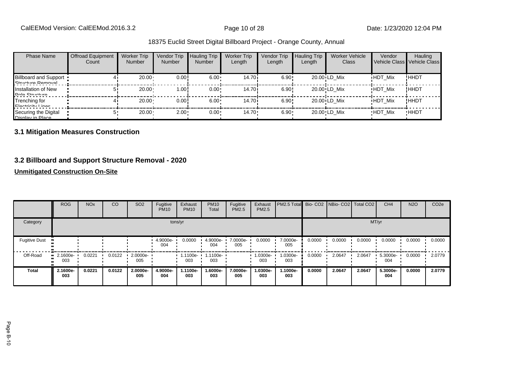| <b>Phase Name</b>                                 | <b>Offroad Equipment</b><br>Count | <b>Worker Trip</b><br><b>Number</b> | Vendor Trip<br><b>Number</b> | <b>Hauling Trip</b><br><b>Number</b> | <b>Worker Trip</b><br>Length | Vendor Trip<br>Length | <b>Hauling Trip</b><br>Length | Worker Vehicle<br>Class | Vendor         | Hauling<br>Vehicle Class Vehicle Class |
|---------------------------------------------------|-----------------------------------|-------------------------------------|------------------------------|--------------------------------------|------------------------------|-----------------------|-------------------------------|-------------------------|----------------|----------------------------------------|
| <b>Billboard and Support</b><br>Ctructure Demoval |                                   | 20.00                               | 0.00!                        | $6.00 \cdot$                         | 14.70 i                      | 6.90!                 |                               | 20.00 LD Mix            | <b>HDT Mix</b> | !HHDT                                  |
| Installation of New<br>Dolo Structuro             |                                   | 20.00                               | 1.00!                        | $0.00 \cdot$                         | 14.70i                       | 6.90!                 |                               | 20.00 LD Mix            | <b>HDT Mix</b> | !ННDТ                                  |
| Trenching for<br>Elactricity Linge                |                                   | $20.00 \cdot$                       | 0.00!                        | $6.00 \cdot$                         | 14.70i                       | 6.90!                 |                               | 20.00 LD Mix            | <b>HDT Mix</b> | !HHDT                                  |
| Securing the Digital<br>Nienlay in Dlace          |                                   | $20.00 \cdot$                       | $2.00 -$                     | $0.00 \cdot$                         | $14.70 \cdot$                | $6.90 \cdot$          |                               | 20.00 LD Mix            | <b>HDT Mix</b> | <b>HHDT</b>                            |

# **3.1 Mitigation Measures Construction**

### **3.2 Billboard and Support Structure Removal - 2020**

### **Unmitigated Construction On-Site**

|                      | <b>ROG</b>              | <b>NO<sub>x</sub></b> | CO     | SO <sub>2</sub> | Fugitive<br><b>PM10</b> | Exhaust<br><b>PM10</b> | <b>PM10</b><br>Total | Fugitive<br>PM2.5 | Exhaust<br>PM2.5 | PM2.5 Total Bio- CO2 NBio- CO2 Total CO2 |        |        |        | CH <sub>4</sub> | <b>N2O</b> | CO <sub>2e</sub> |
|----------------------|-------------------------|-----------------------|--------|-----------------|-------------------------|------------------------|----------------------|-------------------|------------------|------------------------------------------|--------|--------|--------|-----------------|------------|------------------|
| Category             |                         |                       |        |                 |                         | tons/yr                |                      |                   |                  |                                          |        |        |        | MT/yr           |            |                  |
| <b>Fugitive Dust</b> |                         |                       |        |                 | 4.9000e-<br>004         | 0.0000                 | 4.9000e-<br>004      | 7.0000e-<br>005   | 0.0000           | 7.0000e-<br>005                          | 0.0000 | 0.0000 | 0.0000 | 0.0000          | 0.0000     | 0.0000           |
| Off-Road             | $\cdot$ 2.1600e-<br>003 | 0.0221                | 0.0122 | 2.0000e-<br>005 |                         | 1.1100e-<br>003        | 1.1100e-<br>003      |                   | 1.0300e-<br>003  | 1.0300e-<br>003                          | 0.0000 | 2.0647 | 2.0647 | 5.3000e-<br>004 | 0.0000     | 2.0779           |
| <b>Total</b>         | 2.1600e-<br>003         | 0.0221                | 0.0122 | 2.0000e-<br>005 | 4.9000e-<br>004         | 1.1100e-<br>003        | 1.6000e-<br>003      | 7.0000e-<br>005   | 1.0300e-<br>003  | 1.1000e-<br>003                          | 0.0000 | 2.0647 | 2.0647 | 5.3000e-<br>004 | 0.0000     | 2.0779           |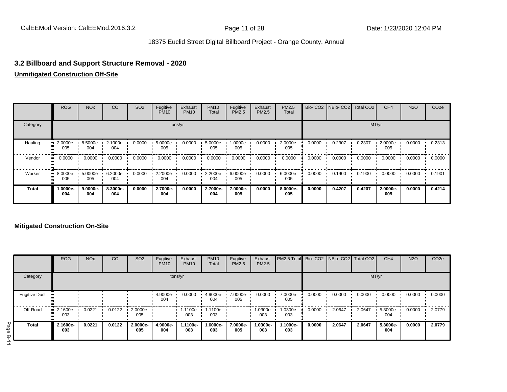### **3.2 Billboard and Support Structure Removal - 2020**

### **Unmitigated Construction Off-Site**

|              | <b>ROG</b>              | <b>NO<sub>x</sub></b> | CO              | SO <sub>2</sub> | Fugitive<br><b>PM10</b> | Exhaust<br><b>PM10</b> | <b>PM10</b><br>Total | Fugitive<br>PM2.5 | Exhaust<br>PM2.5 | PM2.5<br>Total  |        | Bio- CO2   NBio- CO2   Total CO2 |        | CH <sub>4</sub> | <b>N2O</b> | CO <sub>2e</sub> |
|--------------|-------------------------|-----------------------|-----------------|-----------------|-------------------------|------------------------|----------------------|-------------------|------------------|-----------------|--------|----------------------------------|--------|-----------------|------------|------------------|
| Category     |                         |                       |                 |                 |                         | tons/yr                |                      |                   |                  |                 |        |                                  | MT/yr  |                 |            |                  |
| Hauling      | $\cdot$ 2.0000e-<br>005 | 8.5000e- L<br>004     | 2.1000e-<br>004 | 0.0000          | 5.0000e-<br>005         | 0.0000                 | 5.0000e-<br>005      | 1.0000e-<br>005   | 0.0000           | 2.0000e-<br>005 | 0.0000 | 0.2307                           | 0.2307 | 2.0000e-<br>005 | 0.0000     | 0.2313           |
| Vendor       | $\blacksquare$ 0.0000   | 0.0000                | 0.0000          | 0.0000          | 0.0000                  | 0.0000                 | 0.0000               | 0.0000            | 0.0000           | 0.0000          | 0.0000 | 0.0000                           | 0.0000 | 0.0000          | 0.0000     | 0.0000           |
| Worker       | $-8.0000e-$<br>005      | 5.0000e-<br>005       | 6.2000e-<br>004 | 0.0000          | 2.2000e-<br>004         | 0.0000                 | 2.2000e-<br>004      | 6.0000e-<br>005   | 0.0000           | 6.0000e-<br>005 | 0.0000 | 0.1900                           | 0.1900 | 0.0000          | 0.0000     | 0.1901           |
| <b>Total</b> | 1.0000e-<br>004         | $9.0000e-$<br>004     | 8.3000e-<br>004 | 0.0000          | 2.7000e-<br>004         | 0.0000                 | 2.7000e-<br>004      | 7.0000e-<br>005   | 0.0000           | 8.0000e-<br>005 | 0.0000 | 0.4207                           | 0.4207 | 2.0000e-<br>005 | 0.0000     | 0.4214           |

### **Mitigated Construction On-Site**

|           |                      | <b>ROG</b>                     | <b>NO<sub>x</sub></b> | CO     | SO <sub>2</sub> | Fugitive<br><b>PM10</b> | Exhaust<br><b>PM10</b> | <b>PM10</b><br>Total     | Fugitive<br><b>PM2.5</b> | Exhaust<br>PM2.5 | PM2.5 Total Bio- CO2 NBio- CO2 Total CO2 |        |        |        | CH <sub>4</sub> | <b>N2O</b> | CO <sub>2e</sub> |
|-----------|----------------------|--------------------------------|-----------------------|--------|-----------------|-------------------------|------------------------|--------------------------|--------------------------|------------------|------------------------------------------|--------|--------|--------|-----------------|------------|------------------|
|           | Category             |                                |                       |        |                 | tons/yr                 |                        |                          |                          |                  |                                          |        |        | MT/yr  |                 |            |                  |
|           | <b>Fugitive Dust</b> |                                |                       |        |                 | 4.9000e-<br>004         | 0.0000                 | 4.9000e-<br>004          | 7.0000e-<br>005          | 0.0000           | 7.0000e-<br>005                          | 0.0000 | 0.0000 | 0.0000 | 0.0000          | 0.0000     | 0.0000           |
|           | Off-Road             | $\blacksquare$ 2.1600e-<br>003 | 0.0221                | 0.0122 | 2.0000e-<br>005 |                         | 003                    | 1.1100e- 1.1100e-<br>003 |                          | 1.0300e-<br>003  | 1.0300e-<br>003                          | 0.0000 | 2.0647 | 2.0647 | 5.3000e-<br>004 | 0.0000     | 2.0779           |
| Page<br>Φ | Total                | 2.1600e-<br>003                | 0.0221                | 0.0122 | 2.0000e-<br>005 | 4.9000e-<br>004         | 1.1100e-<br>003        | 1.6000e-<br>003          | 7.0000e-<br>005          | 1.0300e-<br>003  | -.1000e<br>003                           | 0.0000 | 2.0647 | 2.0647 | 5.3000e-<br>004 | 0.0000     | 2.0779           |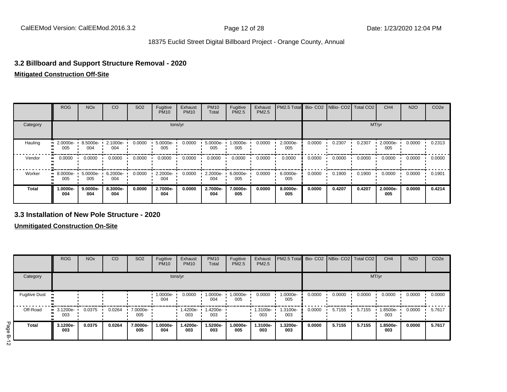### **3.2 Billboard and Support Structure Removal - 2020**

#### **Mitigated Construction Off-Site**

|          | <b>ROG</b>                     | <b>NO<sub>x</sub></b> | CO              | SO <sub>2</sub> | Fugitive<br><b>PM10</b> | Exhaust<br><b>PM10</b> | <b>PM10</b><br>Total | Fugitive<br>PM2.5 | Exhaust<br><b>PM2.5</b> | PM2.5 Total Bio- CO2 NBio- CO2 Total CO2 |        |        |        | CH <sub>4</sub> | <b>N2O</b> | CO <sub>2e</sub> |
|----------|--------------------------------|-----------------------|-----------------|-----------------|-------------------------|------------------------|----------------------|-------------------|-------------------------|------------------------------------------|--------|--------|--------|-----------------|------------|------------------|
| Category |                                |                       |                 |                 | tons/yr                 |                        |                      |                   |                         |                                          |        |        | MT/yr  |                 |            |                  |
| Hauling  | $-2.0000e-$<br>005             | 8.5000e-<br>004       | 2.1000e-<br>004 | 0.0000          | 5.0000e-<br>005         | 0.0000                 | 5.0000e-<br>005      | 1.0000e-<br>005   | 0.0000                  | 2.0000e-<br>005                          | 0.0000 | 0.2307 | 0.2307 | 2.0000e-<br>005 | 0.0000     | 0.2313           |
| Vendor   | $\blacksquare$ 0.0000          | 0.0000                | 0.0000          | 0.0000          | 0.0000                  | 0.0000                 | 0.0000               | 0.0000            | 0.0000                  | 0.0000                                   | 0.0000 | 0.0000 | 0.0000 | 0.0000          | 0.0000     | 0.0000           |
| Worker   | $\blacksquare$ 8.0000e-<br>005 | 5.0000e-<br>005       | 6.2000e-<br>004 | 0.0000          | 2.2000e-<br>004         | 0.0000                 | 2.2000e-<br>004      | 6.0000e-<br>005   | 0.0000                  | 6.0000e-<br>005                          | 0.0000 | 0.1900 | 0.1900 | 0.0000          | 0.0000     | 0.1901           |
| Total    | 1.0000e-<br>004                | 9.0000e-<br>004       | 8.3000e-<br>004 | 0.0000          | 2.7000e-<br>004         | 0.0000                 | 2.7000e-<br>004      | 7.0000e-<br>005   | 0.0000                  | 8.0000e-<br>005                          | 0.0000 | 0.4207 | 0.4207 | 2.0000e-<br>005 | 0.0000     | 0.4214           |

#### **3.3 Installation of New Pole Structure - 2020**

**Unmitigated Construction On-Site**

|                          |                      | <b>ROG</b>                     | <b>NO<sub>x</sub></b> | CO     | SO <sub>2</sub> | Fugitive<br><b>PM10</b> | Exhaust<br><b>PM10</b> | <b>PM10</b><br>Total | Fugitive<br><b>PM2.5</b> | Exhaust<br>PM2.5 | PM2.5 Total     |        | Bio- CO2 NBio- CO2 Total CO2 |        | CH <sub>4</sub> | <b>N2O</b> | CO <sub>2e</sub> |
|--------------------------|----------------------|--------------------------------|-----------------------|--------|-----------------|-------------------------|------------------------|----------------------|--------------------------|------------------|-----------------|--------|------------------------------|--------|-----------------|------------|------------------|
|                          | Category             |                                |                       |        |                 |                         | tons/yr                |                      |                          |                  |                 |        |                              | MT/yr  |                 |            |                  |
|                          | <b>Fugitive Dust</b> |                                |                       |        |                 | 1.0000e-<br>004         | 0.0000                 | 1.0000e-<br>004      | 1.0000e-<br>005          | 0.0000           | 1.0000e-<br>005 | 0.0000 | 0.0000                       | 0.0000 | 0.0000          | 0.0000     | 0.0000           |
|                          | Off-Road<br>         | $\blacksquare$ 3.1200e-<br>003 | 0.0375                | 0.0264 | 7.0000e-<br>005 |                         | 1.4200e-<br>003        | 1.4200e-<br>003      |                          | 1.3100e-<br>003  | 1.3100e-<br>003 | 0.0000 | 5.7155                       | 5.7155 | -8500e-<br>003  | 0.0000     | 5.7617           |
| Page<br>$\mathbf \sigma$ | Total                | 3.1200e-<br>003                | 0.0375                | 0.0264 | 7.0000e-<br>005 | 1.0000e-<br>004         | 1.4200e-<br>003        | 1.5200e-<br>003      | 1.0000e-<br>005          | 1.3100e-<br>003  | 1.3200e-<br>003 | 0.0000 | 5.7155                       | 5.7155 | 1.8500e-<br>003 | 0.0000     | 5.7617           |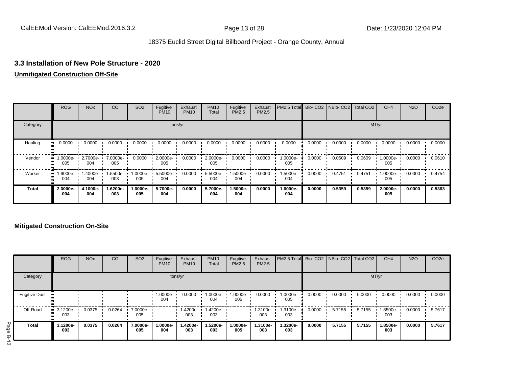# **3.3 Installation of New Pole Structure - 2020**

#### **Unmitigated Construction Off-Site**

|              | <b>ROG</b>                     | <b>NO<sub>x</sub></b> | CO              | SO <sub>2</sub> | Fugitive<br><b>PM10</b> | Exhaust<br><b>PM10</b> | <b>PM10</b><br>Total | Fugitive<br>PM2.5 | Exhaust<br>PM2.5 | PM2.5 Total     |        | Bio- CO2   NBio- CO2   Total CO2 |        | CH <sub>4</sub> | <b>N2O</b> | CO <sub>2e</sub> |
|--------------|--------------------------------|-----------------------|-----------------|-----------------|-------------------------|------------------------|----------------------|-------------------|------------------|-----------------|--------|----------------------------------|--------|-----------------|------------|------------------|
| Category     |                                |                       |                 |                 |                         | tons/yr                |                      |                   |                  |                 |        |                                  |        | MT/yr           |            |                  |
| Hauling      | 0.0000                         | 0.0000                | 0.0000          | 0.0000          | 0.0000                  | 0.0000                 | 0.0000               | 0.0000            | 0.0000           | 0.0000          | 0.0000 | 0.0000                           | 0.0000 | 0.0000          | 0.0000     | 0.0000           |
| Vendor       | 1.0000e-<br>ш.<br>005          | 2.7000e-<br>004       | 7.0000e-<br>005 | 0.0000          | 2.0000e-<br>005         | 0.0000                 | 2.0000e-<br>005      | 0.0000            | 0.0000           | 1.0000e-<br>005 | 0.0000 | 0.0609                           | 0.0609 | 1.0000e-<br>005 | 0.0000     | 0.0610           |
| Worker       | $\blacksquare$ 1.9000e-<br>004 | 1.4000e-<br>004       | -5500e.<br>003  | -0000e.<br>005  | 5.5000e-<br>004         | 0.0000                 | 5.5000e-<br>004      | 1.5000e-<br>004   | 0.0000           | 1.5000e-<br>004 | 0.0000 | 0.4751                           | 0.4751 | 1.0000e-<br>005 | 0.0000     | 0.4754           |
| <b>Total</b> | 2.0000e-<br>004                | 4.1000e-<br>004       | 1.6200e-<br>003 | -.0000e<br>005  | 5.7000e-<br>004         | 0.0000                 | 5.7000e-<br>004      | 1.5000e-<br>004   | 0.0000           | 1.6000e-<br>004 | 0.0000 | 0.5359                           | 0.5359 | 2.0000e-<br>005 | 0.0000     | 0.5363           |

### **Mitigated Construction On-Site**

|                          |                      | <b>ROG</b>                     | <b>NO<sub>x</sub></b> | CO     | SO <sub>2</sub> | Fugitive<br><b>PM10</b> | Exhaust<br><b>PM10</b> | <b>PM10</b><br>Total | Fugitive<br><b>PM2.5</b> | Exhaust<br>PM2.5 | PM2.5 Total     |        |        | Bio- CO2 NBio- CO2 Total CO2 | CH <sub>4</sub> | <b>N2O</b> | CO <sub>2e</sub> |
|--------------------------|----------------------|--------------------------------|-----------------------|--------|-----------------|-------------------------|------------------------|----------------------|--------------------------|------------------|-----------------|--------|--------|------------------------------|-----------------|------------|------------------|
|                          | Category             |                                |                       |        |                 | tons/yr                 |                        |                      |                          |                  |                 |        |        | MT/yr                        |                 |            |                  |
|                          | <b>Fugitive Dust</b> |                                |                       |        |                 | 1.0000e-<br>004         | 0.0000                 | 1.0000e-<br>004      | 1.0000e-<br>005          | 0.0000           | 1.0000e-<br>005 | 0.0000 | 0.0000 | 0.0000                       | 0.0000          | 0.0000     | 0.0000           |
|                          | Off-Road<br>         | $\blacksquare$ 3.1200e-<br>003 | 0.0375                | 0.0264 | 7.0000e-<br>005 |                         | 1.4200e-<br>003        | 1.4200e-<br>003      |                          | 1.3100e-<br>003  | i.3100e-<br>003 | 0.0000 | 5.7155 | 5.7155                       | .8500e-<br>003  | 0.0000     | 5.7617           |
| Page<br>$\mathbf \sigma$ | <b>Total</b>         | 3.1200e-<br>003                | 0.0375                | 0.0264 | 7.0000e-<br>005 | 1.0000e-<br>004         | 1.4200e-<br>003        | 1.5200e-<br>003      | 1.0000e-<br>005          | 1.3100e-<br>003  | 1.3200e-<br>003 | 0.0000 | 5.7155 | 5.7155                       | 1.8500e-<br>003 | 0.0000     | 5.7617           |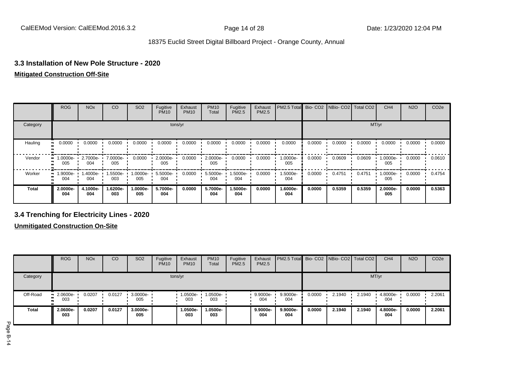# **3.3 Installation of New Pole Structure - 2020**

#### **Mitigated Construction Off-Site**

|          | <b>ROG</b>             | <b>NO<sub>x</sub></b> | CO              | SO <sub>2</sub> | Fugitive<br><b>PM10</b> | Exhaust<br><b>PM10</b> | <b>PM10</b><br>Total | Fugitive<br><b>PM2.5</b> | Exhaust<br>PM2.5 | PM2.5 Total     |        | Bio- CO2   NBio- CO2   Total CO2 |        | CH <sub>4</sub> | <b>N2O</b> | CO <sub>2e</sub> |
|----------|------------------------|-----------------------|-----------------|-----------------|-------------------------|------------------------|----------------------|--------------------------|------------------|-----------------|--------|----------------------------------|--------|-----------------|------------|------------------|
| Category |                        |                       |                 |                 |                         | tons/yr                |                      |                          |                  |                 |        |                                  |        | MT/yr           |            |                  |
| Hauling  | 0.0000                 | 0.0000                | 0.0000          | 0.0000          | 0.0000                  | 0.0000                 | 0.0000               | 0.0000                   | 0.0000           | 0.0000          | 0.0000 | 0.0000                           | 0.0000 | 0.0000          | 0.0000     | 0.0000           |
| Vendor   | 1.0000e-<br><br>005    | 2.7000e-<br>004       | 7.0000e-<br>005 | 0.0000          | 2.0000e-<br>005         | 0.0000                 | 2.0000e-<br>005      | 0.0000                   | 0.0000           | 1.0000e-<br>005 | 0.0000 | 0.0609                           | 0.0609 | 1.0000e-<br>005 | 0.0000     | 0.0610           |
| Worker   | 1.9000e-<br>. .<br>004 | 1.4000e-<br>004       | 1.5500e-<br>003 | -0000e.<br>005  | 5.5000e-<br>004         | 0.0000                 | 5.5000e-<br>004      | 1.5000e-<br>004          | 0.0000           | 1.5000e-<br>004 | 0.0000 | 0.4751                           | 0.4751 | 1.0000e-<br>005 | 0.0000     | 0.4754           |
| Total    | 2.0000e-<br>004        | 4.1000e-<br>004       | 1.6200e-<br>003 | -.0000e<br>005  | 5.7000e-<br>004         | 0.0000                 | 5.7000e-<br>004      | 1.5000e-<br>004          | 0.0000           | 1.6000e-<br>004 | 0.0000 | 0.5359                           | 0.5359 | 2.0000e-<br>005 | 0.0000     | 0.5363           |

# **3.4 Trenching for Electricity Lines - 2020**

**Unmitigated Construction On-Site**

|              | <b>ROG</b>                     | <b>NO<sub>x</sub></b> | CO     | SO <sub>2</sub>    | Fugitive<br><b>PM10</b> | Exhaust<br><b>PM10</b> | <b>PM10</b><br>Total | Fugitive<br>PM2.5 | Exhaust<br><b>PM2.5</b> | <b>PM2.5 Total</b> Bio- CO2 NBio- CO2 Total CO2 |        |        |        | CH <sub>4</sub> | <b>N2O</b> | CO <sub>2e</sub> |
|--------------|--------------------------------|-----------------------|--------|--------------------|-------------------------|------------------------|----------------------|-------------------|-------------------------|-------------------------------------------------|--------|--------|--------|-----------------|------------|------------------|
| Category     |                                |                       |        |                    |                         | tons/yr                |                      |                   |                         |                                                 |        |        | MT/yr  |                 |            |                  |
| Off-Road     | $\blacksquare$ 2.0600e-<br>003 | 0.0207                | 0.0127 | $3.0000e -$<br>005 |                         | 1.0500e-<br>003        | 1.0500e-<br>003      |                   | 9.9000e-<br>004         | 9.9000e-<br>004                                 | 0.0000 | 2.1940 | 2.1940 | 4.8000e-<br>004 | 0.0000     | 2.2061           |
| <b>Total</b> | 2.0600e-<br>003                | 0.0207                | 0.0127 | 3.0000e-<br>005    |                         | 1.0500e-<br>003        | 1.0500e-<br>003      |                   | 9.9000e-<br>004         | 9.9000e-<br>004                                 | 0.0000 | 2.1940 | 2.1940 | 4.8000e-<br>004 | 0.0000     | 2.2061           |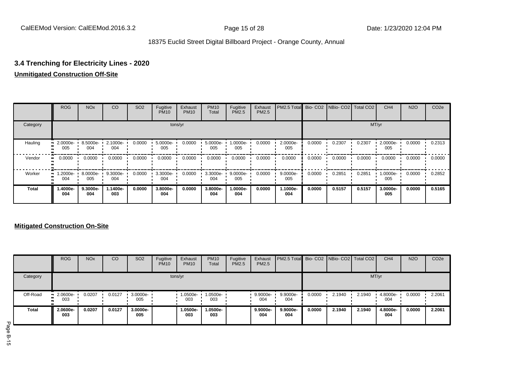# **3.4 Trenching for Electricity Lines - 2020**

# **Unmitigated Construction Off-Site**

|              | <b>ROG</b>      | <b>NO<sub>x</sub></b> | CO              | SO <sub>2</sub> | Fugitive<br><b>PM10</b> | Exhaust<br><b>PM10</b> | <b>PM10</b><br>Total | Fugitive<br><b>PM2.5</b> | Exhaust<br>PM2.5 | PM2.5 Total Bio- CO2 NBio- CO2 Total CO2 |        |        |        | CH <sub>4</sub> | <b>N2O</b> | CO <sub>2e</sub> |
|--------------|-----------------|-----------------------|-----------------|-----------------|-------------------------|------------------------|----------------------|--------------------------|------------------|------------------------------------------|--------|--------|--------|-----------------|------------|------------------|
| Category     | tons/yr         |                       |                 |                 |                         |                        |                      |                          |                  |                                          |        |        |        | MT/yr           |            |                  |
| Hauling      | 2.0000e-<br>005 | 8.5000e-<br>004       | 2.1000e-<br>004 | 0.0000          | 5.0000e-<br>005         | 0.0000                 | 5.0000e-<br>005      | 1.0000e-<br>005          | 0.0000           | 2.0000e-<br>005                          | 0.0000 | 0.2307 | 0.2307 | 2.0000e-<br>005 | 0.0000     | 0.2313           |
| Vendor       | 0.0000          | 0.0000                | 0.0000          | 0.0000          | 0.0000                  | 0.0000                 | 0.0000               | 0.0000                   | 0.0000           | 0.0000                                   | 0.0000 | 0.0000 | 0.0000 | 0.0000          | 0.0000     | 0.0000           |
| Worker       | 1.2000e-<br>004 | 8.0000e-<br>005       | 9.3000e-<br>004 | 0.0000          | 3.3000e-<br>004         | 0.0000                 | 3.3000e-<br>004      | 9.0000e-<br>005          | 0.0000           | 9.0000e-<br>005                          | 0.0000 | 0.2851 | 0.2851 | 1.0000e-<br>005 | 0.0000     | 0.2852           |
| <b>Total</b> | 1.4000e-<br>004 | 9.3000e-<br>004       | 1.1400e-<br>003 | 0.0000          | 3.8000e-<br>004         | 0.0000                 | 3.8000e-<br>004      | 1.0000e-<br>004          | 0.0000           | 1.1000e-<br>004                          | 0.0000 | 0.5157 | 0.5157 | 3.0000e-<br>005 | 0.0000     | 0.5165           |

### **Mitigated Construction On-Site**

|              | <b>ROG</b>             | <b>NO<sub>x</sub></b> | CO     | SO <sub>2</sub> | Fugitive<br><b>PM10</b> | Exhaust<br><b>PM10</b> | <b>PM10</b><br>Total | Fugitive<br><b>PM2.5</b> | Exhaust<br>PM2.5 | <b>PM2.5 Total</b> Bio- CO2 NBio- CO2 Total CO2 |        |        |        | CH <sub>4</sub> | <b>N2O</b> | CO <sub>2e</sub> |
|--------------|------------------------|-----------------------|--------|-----------------|-------------------------|------------------------|----------------------|--------------------------|------------------|-------------------------------------------------|--------|--------|--------|-----------------|------------|------------------|
| Category     |                        |                       |        |                 |                         | tons/yr                |                      |                          |                  |                                                 |        |        |        | MT/yr           |            |                  |
| Off-Road     | $-2.0600e-$<br><br>003 | 0.0207                | 0.0127 | 3.0000e-<br>005 |                         | 1.0500e-<br>003        | 1.0500e-<br>003      |                          | 9.9000e-<br>004  | 9.9000e-<br>004                                 | 0.0000 | 2.1940 | 2.1940 | 4.8000e-<br>004 | 0.0000     | 2.2061           |
| <b>Total</b> | 2.0600e-<br>003        | 0.0207                | 0.0127 | 3.0000e-<br>005 |                         | 1.0500e-<br>003        | 1.0500e-<br>003      |                          | 9.9000e-<br>004  | 9.9000e-<br>004                                 | 0.0000 | 2.1940 | 2.1940 | 4.8000e-<br>004 | 0.0000     | 2.2061           |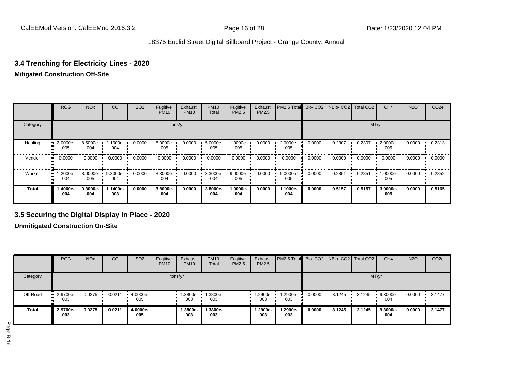# **3.4 Trenching for Electricity Lines - 2020**

#### **Mitigated Construction Off-Site**

|              | <b>ROG</b>      | <b>NO<sub>x</sub></b> | CO              | SO <sub>2</sub> | Fugitive<br><b>PM10</b> | Exhaust<br><b>PM10</b> | <b>PM10</b><br>Total | Fugitive<br><b>PM2.5</b> | Exhaust<br>PM2.5 | PM2.5 Total Bio- CO2 NBio- CO2 Total CO2 |        |        |        | CH <sub>4</sub> | <b>N2O</b> | CO <sub>2e</sub> |
|--------------|-----------------|-----------------------|-----------------|-----------------|-------------------------|------------------------|----------------------|--------------------------|------------------|------------------------------------------|--------|--------|--------|-----------------|------------|------------------|
| Category     | tons/yr         |                       |                 |                 |                         |                        |                      |                          |                  |                                          |        |        | MT/yr  |                 |            |                  |
| Hauling      | 2.0000e-<br>005 | 8.5000e-<br>004       | 2.1000e-<br>004 | 0.0000          | 5.0000e-<br>005         | 0.0000                 | 5.0000e-<br>005      | -0000e-<br>005           | 0.0000           | 2.0000e-<br>005                          | 0.0000 | 0.2307 | 0.2307 | 2.0000e-<br>005 | 0.0000     | 0.2313           |
| Vendor       | 0.0000          | 0.0000                | 0.0000          | 0.0000          | 0.0000                  | 0.0000                 | 0.0000               | 0.0000                   | 0.0000           | 0.0000                                   | 0.0000 | 0.0000 | 0.0000 | 0.0000          | 0.0000     | 0.0000           |
| Worker       | 1.2000e-<br>004 | 8.0000e-<br>005       | 9.3000e-<br>004 | 0.0000          | 3.3000e-<br>004         | 0.0000                 | 3.3000e-<br>004      | 9.0000e-<br>005          | 0.0000           | $9.0000e -$<br>005                       | 0.0000 | 0.2851 | 0.2851 | 1.0000e-<br>005 | 0.0000     | 0.2852           |
| <b>Total</b> | 1.4000e-<br>004 | 9.3000e-<br>004       | .1400e-<br>003  | 0.0000          | 3.8000e-<br>004         | 0.0000                 | 3.8000e-<br>004      | 1.0000e-<br>004          | 0.0000           | 1.1000e-<br>004                          | 0.0000 | 0.5157 | 0.5157 | 3.0000e-<br>005 | 0.0000     | 0.5165           |

# **3.5 Securing the Digital Display in Place - 2020**

**Unmitigated Construction On-Site**

|              | <b>ROG</b>        | <b>NO<sub>x</sub></b> | CO     | SO <sub>2</sub> | Fugitive<br><b>PM10</b> | Exhaust<br><b>PM10</b> | <b>PM10</b><br>Total | Fugitive<br><b>PM2.5</b> | Exhaust<br>PM2.5 | PM2.5 Total Bio- CO2 NBio- CO2 Total CO2 |        |        |        | CH <sub>4</sub> | <b>N2O</b> | CO <sub>2e</sub> |
|--------------|-------------------|-----------------------|--------|-----------------|-------------------------|------------------------|----------------------|--------------------------|------------------|------------------------------------------|--------|--------|--------|-----------------|------------|------------------|
| Category     |                   |                       |        |                 |                         | tons/yr                |                      |                          |                  |                                          |        |        |        | MT/yr           |            |                  |
| Off-Road     | " 2.9700e-<br>003 | 0.0275                | 0.0211 | 4.0000e-<br>005 |                         | 1.3800e-<br>003        | 1.3800e-<br>003      |                          | 1.2900e-<br>003  | 1.2900e-<br>003                          | 0.0000 | 3.1245 | 3.1245 | 9.3000e-<br>004 | 0.0000     | 3.1477           |
| <b>Total</b> | 2.9700e-<br>003   | 0.0275                | 0.0211 | 4.0000e-<br>005 |                         | 1.3800e-<br>003        | 1.3800e-<br>003      |                          | 1.2900e-<br>003  | 1.2900e-<br>003                          | 0.0000 | 3.1245 | 3.1245 | 9.3000e-<br>004 | 0.0000     | 3.1477           |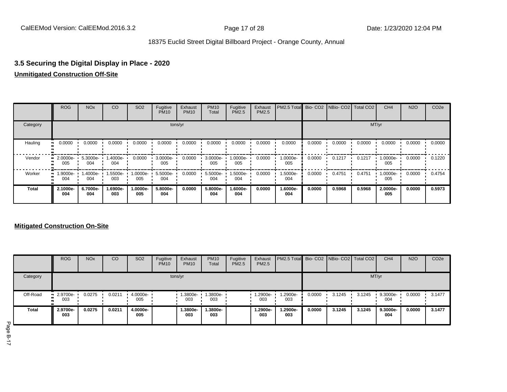# **3.5 Securing the Digital Display in Place - 2020 Unmitigated Construction Off-Site**

|              | ROG                | <b>NO<sub>x</sub></b> | CO              | SO <sub>2</sub> | Fugitive<br><b>PM10</b> | Exhaust<br><b>PM10</b> | <b>PM10</b><br>Total | Fugitive<br>PM2.5 | Exhaust<br>PM2.5 | PM2.5 Total Bio-CO2 |        | NBio- CO2 Total CO2 |        | CH <sub>4</sub> | <b>N2O</b> | CO <sub>2e</sub> |
|--------------|--------------------|-----------------------|-----------------|-----------------|-------------------------|------------------------|----------------------|-------------------|------------------|---------------------|--------|---------------------|--------|-----------------|------------|------------------|
| Category     |                    |                       |                 |                 |                         | tons/yr                |                      |                   |                  |                     |        |                     |        | MT/yr           |            |                  |
| Hauling      | 0.0000             | 0.0000                | 0.0000          | 0.0000          | 0.0000                  | 0.0000                 | 0.0000               | 0.0000            | 0.0000           | 0.0000              | 0.0000 | 0.0000              | 0.0000 | 0.0000          | 0.0000     | 0.0000           |
| Vendor       | $-2.0000e-$<br>005 | 5.3000e-<br>004       | 1.4000e-<br>004 | 0.0000          | 3.0000e-<br>005         | 0.0000                 | 3.0000e-<br>005      | 1.0000e-<br>005   | 0.0000           | 1.0000e-<br>005     | 0.0000 | 0.1217              | 0.1217 | 1.0000e-<br>005 | 0.0000     | 0.1220           |
| Worker       | $-1.9000e-$<br>004 | 1.4000e-<br>004       | 1.5500e-<br>003 | 1.0000e-<br>005 | 5.5000e-<br>004         | 0.0000                 | 5.5000e-<br>004      | 1.5000e-<br>004   | 0.0000           | .5000e-<br>004      | 0.0000 | 0.4751              | 0.4751 | 1.0000e-<br>005 | 0.0000     | 0.4754           |
| <b>Total</b> | 2.1000e-<br>004    | 6.7000e-<br>004       | .6900e-<br>003  | 1.0000e-<br>005 | 5.8000e-<br>004         | 0.0000                 | 5.8000e-<br>004      | 1.6000e-<br>004   | 0.0000           | 1.6000e-<br>004     | 0.0000 | 0.5968              | 0.5968 | 2.0000e-<br>005 | 0.0000     | 0.5973           |

### **Mitigated Construction On-Site**

|              | <b>ROG</b>         | <b>NO<sub>x</sub></b> | CO     | SO <sub>2</sub> | Fugitive<br><b>PM10</b> | Exhaust<br><b>PM10</b> | <b>PM10</b><br>Total | Fugitive<br><b>PM2.5</b> | Exhaust<br>PM2.5  | <b>PM2.5 Total Bio-CO2 NBio-CO2 Total CO2</b> |        |        |        | CH <sub>4</sub> | <b>N2O</b> | CO <sub>2e</sub> |
|--------------|--------------------|-----------------------|--------|-----------------|-------------------------|------------------------|----------------------|--------------------------|-------------------|-----------------------------------------------|--------|--------|--------|-----------------|------------|------------------|
| Category     |                    |                       |        |                 |                         | tons/yr                |                      |                          |                   |                                               |        |        | MT/yr  |                 |            |                  |
| Off-Road     | $-2.9700e-$<br>003 | 0.0275                | 0.0211 | 4.0000e-<br>005 |                         | 1.3800e-<br>003        | 1.3800e-<br>003      |                          | $1.2900e-$<br>003 | 1.2900e-<br>003                               | 0.0000 | 3.1245 | 3.1245 | 9.3000e-<br>004 | 0.0000     | 3.1477           |
| <b>Total</b> | 2.9700e-<br>003    | 0.0275                | 0.0211 | 4.0000e-<br>005 |                         | 1.3800e-<br>003        | 1.3800e-<br>003      |                          | 1.2900e-<br>003   | 1.2900e-<br>003                               | 0.0000 | 3.1245 | 3.1245 | 9.3000e-<br>004 | 0.0000     | 3.1477           |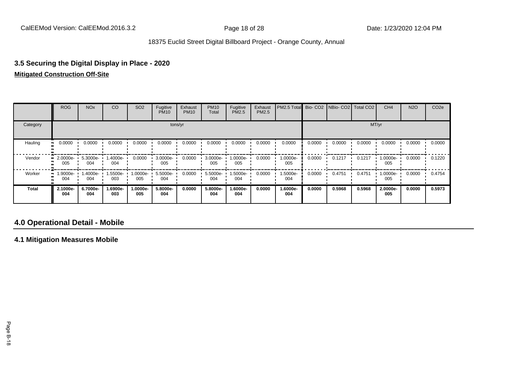# **3.5 Securing the Digital Display in Place - 2020**

### **Mitigated Construction Off-Site**

|              | ROG             | <b>NO<sub>x</sub></b> | CO              | SO <sub>2</sub> | Fugitive<br><b>PM10</b> | Exhaust<br><b>PM10</b> | <b>PM10</b><br>Total | Fugitive<br>PM2.5 | Exhaust<br>PM2.5 | PM2.5 Total Bio- CO2 NBio- CO2 Total CO2 |        |        |        | CH <sub>4</sub> | <b>N2O</b> | CO <sub>2e</sub> |
|--------------|-----------------|-----------------------|-----------------|-----------------|-------------------------|------------------------|----------------------|-------------------|------------------|------------------------------------------|--------|--------|--------|-----------------|------------|------------------|
| Category     |                 |                       |                 |                 |                         | tons/yr                |                      |                   |                  |                                          |        |        |        | MT/yr           |            |                  |
| Hauling      | 0.0000          | 0.0000                | 0.0000          | 0.0000          | 0.0000                  | 0.0000                 | 0.0000               | 0.0000            | 0.0000           | 0.0000                                   | 0.0000 | 0.0000 | 0.0000 | 0.0000          | 0.0000     | 0.0000           |
| Vendor       | 2.0000e-<br>005 | 5.3000e-<br>004       | 1.4000e-<br>004 | 0.0000          | 3.0000e-<br>005         | 0.0000                 | 3.0000e-<br>005      | 1.0000e-<br>005   | 0.0000           | 1.0000e-<br>005                          | 0.0000 | 0.1217 | 0.1217 | 1.0000e-<br>005 | 0.0000     | 0.1220           |
| Worker       | 1.9000e-<br>004 | 1.4000e-<br>004       | 1.5500e-<br>003 | 1.0000e-<br>005 | 5.5000e-<br>004         | 0.0000                 | 5.5000e-<br>004      | 1.5000e-<br>004   | 0.0000           | 1.5000e-<br>004                          | 0.0000 | 0.4751 | 0.4751 | 1.0000e-<br>005 | 0.0000     | 0.4754           |
| <b>Total</b> | 2.1000e-<br>004 | 6.7000e-<br>004       | -.6900e<br>003  | 1.0000e-<br>005 | 5.8000e-<br>004         | 0.0000                 | 5.8000e-<br>004      | 1.6000e-<br>004   | 0.0000           | 1.6000e-<br>004                          | 0.0000 | 0.5968 | 0.5968 | 2.0000e-<br>005 | 0.0000     | 0.5973           |

# **4.0 Operational Detail - Mobile**

**4.1 Mitigation Measures Mobile**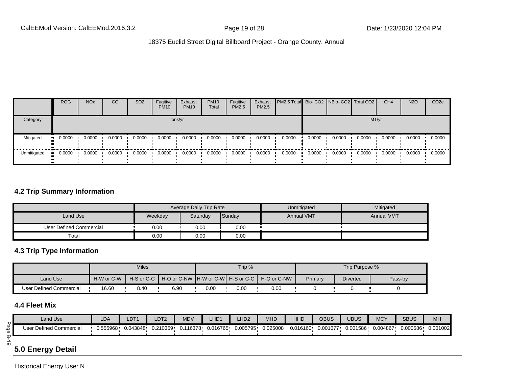|             | <b>ROG</b>   | <b>NO<sub>x</sub></b> | CO     | SO <sub>2</sub> | Fugitive<br><b>PM10</b> | Exhaust<br><b>PM10</b> | <b>PM10</b><br>Total | Fugitive<br><b>PM2.5</b> | Exhaust<br>PM2.5 | <b>PM2.5 Total</b> Bio- CO2 NBio- CO2 Total CO2 |        |        |        | CH <sub>4</sub> | <b>N2O</b> | CO <sub>2e</sub> |
|-------------|--------------|-----------------------|--------|-----------------|-------------------------|------------------------|----------------------|--------------------------|------------------|-------------------------------------------------|--------|--------|--------|-----------------|------------|------------------|
| Category    |              |                       |        |                 |                         | tons/yr                |                      |                          |                  |                                                 |        |        | MT/yr  |                 |            |                  |
| Mitigated   | 0.0000<br>ш. | 0.0000                | 0.0000 | 0.0000          | 0.0000                  | 0.0000                 | 0.0000               | 0.0000                   | 0.0000           | 0.0000                                          | 0.0000 | 0.0000 | 0.0000 | 0.0000          | 0.0000     | 0.0000           |
| Unmitigated | 0.0000       | 0.0000                | 0.0000 | 0.0000          | 0.0000                  | 0.0000                 | 0.0000               | 0.0000                   | 0.0000           | 0.0000                                          | 0.0000 | 0.0000 | 0.0000 | 0.0000          | 0.0000     | 0.0000           |

### **4.2 Trip Summary Information**

|                         |         | Average Daily Trip Rate |        | Unmitigated       | Mitigated         |
|-------------------------|---------|-------------------------|--------|-------------------|-------------------|
| Land Use                | Weekday | Saturday                | Sunday | <b>Annual VMT</b> | <b>Annual VMT</b> |
| User Defined Commercial | 0.00    | 0.00                    | 0.00   |                   |                   |
| Total                   | 0.00    | 0.00                    | 0.00   |                   |                   |

### **4.3 Trip Type Information**

|                         |            | <b>Miles</b> |      |      | Trip %   |                                                                  |         | Trip Purpose %  |         |
|-------------------------|------------|--------------|------|------|----------|------------------------------------------------------------------|---------|-----------------|---------|
| Land Use                | H-W or C-W |              |      |      |          | H-S or C-C I H-O or C-NW IH-W or C-WI H-S or C-C I H-O or C-NW I | Primary | <b>Diverted</b> | Pass-by |
| User Defined Commercial | 16.60      | 8.40         | 6.90 | 0.00 | $0.00\,$ | 0.00                                                             |         |                 |         |

# **4.4 Fleet Mix**

|             | Land Use                | LDA | LDT1 | LDT <sub>2</sub> | <b>MDV</b> | LHD1                | LHD <sub>2</sub> | <b>MHD</b> | <b>HHD</b> | OBUS     | <b>UBUS</b> | <b>MCY</b> | <b>SBUS</b> | <b>MH</b> |
|-------------|-------------------------|-----|------|------------------|------------|---------------------|------------------|------------|------------|----------|-------------|------------|-------------|-----------|
| $rac{6}{5}$ | User Defined Commercial |     |      | 0.210359         | 0.116378   | 0.016765   0.005795 |                  | 0.025008   | 0.016160   | 0.001677 | 0.001586    | 0.004867   | 0.000586    | 0.001002  |
| $\circ$     | __                      |     |      |                  |            |                     |                  |            |            |          |             |            |             |           |

# **5.0 Energy Detail**

Historical Energy Use: N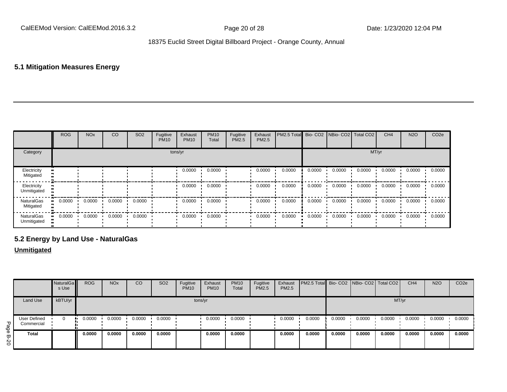# **5.1 Mitigation Measures Energy**

|                            | ROG    | <b>NO<sub>x</sub></b> | CO     | SO <sub>2</sub> | Fugitive<br><b>PM10</b> | Exhaust<br><b>PM10</b> | <b>PM10</b><br>Total | Fugitive<br>PM2.5 | Exhaust<br>PM2.5 | PM2.5 Total Bio- CO2 NBio- CO2 Total CO2 |        |        |        | CH <sub>4</sub> | <b>N2O</b> | CO <sub>2e</sub> |
|----------------------------|--------|-----------------------|--------|-----------------|-------------------------|------------------------|----------------------|-------------------|------------------|------------------------------------------|--------|--------|--------|-----------------|------------|------------------|
| Category                   |        |                       |        |                 |                         | tons/yr                |                      |                   |                  |                                          |        |        | MT/yr  |                 |            |                  |
| Electricity<br>Mitigated   |        |                       |        |                 |                         | 0.0000                 | 0.0000               |                   | 0.0000           | 0.0000                                   | 0.0000 | 0.0000 | 0.0000 | 0.0000          | 0.0000     | 0.0000           |
| Electricity<br>Unmitigated |        |                       |        |                 |                         | 0.0000                 | 0.0000               |                   | 0.0000           | 0.0000                                   | 0.0000 | 0.0000 | 0.0000 | 0.0000          | 0.0000     | 0.0000           |
| NaturalGas<br>Mitigated    | 0.0000 | 0.0000                | 0.0000 | 0.0000          |                         | 0.0000                 | 0.0000               |                   | 0.0000           | 0.0000                                   | 0.0000 | 0.0000 | 0.0000 | 0.0000          | 0.0000     | 0.0000           |
| NaturalGas<br>Unmitigated  | 0.0000 | 0.0000                | 0.0000 | 0.0000          |                         | 0.0000                 | 0.0000               |                   | 0.0000           | 0.0000                                   | 0.0000 | 0.0000 | 0.0000 | 0.0000          | 0.0000     | 0.0000           |

# **5.2 Energy by Land Use - NaturalGas**

### **Unmitigated**

|                              |                                   | NaturalGa<br>s Use | <b>ROG</b> | <b>NO<sub>x</sub></b> | <b>CO</b> | SO <sub>2</sub> | Fugitive<br><b>PM10</b> | Exhaust<br><b>PM10</b> | <b>PM10</b><br>Total | Fugitive<br><b>PM2.5</b> | Exhaust<br><b>PM2.5</b> | PM2.5 Total Bio- CO2 NBio- CO2 Total CO2 |        |        |        | CH <sub>4</sub> | <b>N2O</b> | CO <sub>2</sub> e |
|------------------------------|-----------------------------------|--------------------|------------|-----------------------|-----------|-----------------|-------------------------|------------------------|----------------------|--------------------------|-------------------------|------------------------------------------|--------|--------|--------|-----------------|------------|-------------------|
|                              | <b>Land Use</b>                   | kBTU/yr            |            |                       |           |                 | tons/yr                 |                        |                      |                          |                         |                                          |        |        | MT/yr  |                 |            |                   |
| Page                         | <b>User Defined</b><br>Commercial |                    | 0.0000     | 0.0000                | 0.0000    | 0.0000          |                         | 0.0000                 | 0.0000               |                          | 0.0000                  | 0.0000                                   | 0.0000 | 0.0000 | 0.0000 | 0.0000          | 0.0000     | 0.0000            |
| $\mathbf{\overline{w}}$<br>8 | Total                             |                    | 0.0000     | 0.0000                | 0.0000    | 0.0000          |                         | 0.0000                 | 0.0000               |                          | 0.0000                  | 0.0000                                   | 0.0000 | 0.0000 | 0.0000 | 0.0000          | 0.0000     | 0.0000            |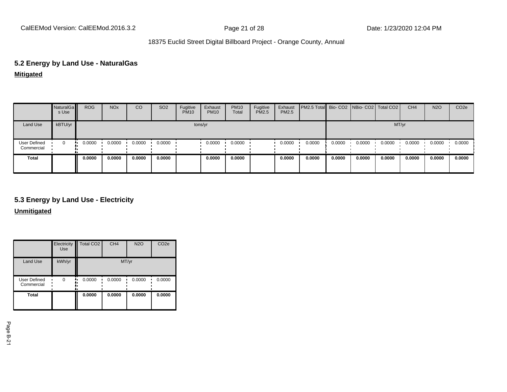# **5.2 Energy by Land Use - NaturalGas**

**Mitigated**

|                                   | NaturalGa<br>s Use | <b>ROG</b> | <b>NO<sub>x</sub></b> | CO     | SO <sub>2</sub> | Fugitive<br><b>PM10</b> | Exhaust<br><b>PM10</b> | <b>PM10</b><br>Total | Fugitive<br>PM2.5 | Exhaust<br>PM2.5 | PM2.5 Total Bio- CO2 NBio- CO2 Total CO2 |        |        |        | CH <sub>4</sub> | <b>N2O</b> | CO <sub>2e</sub> |
|-----------------------------------|--------------------|------------|-----------------------|--------|-----------------|-------------------------|------------------------|----------------------|-------------------|------------------|------------------------------------------|--------|--------|--------|-----------------|------------|------------------|
| Land Use                          | kBTU/yr            |            |                       |        |                 |                         | tons/yr                |                      |                   |                  |                                          |        |        | MT/yr  |                 |            |                  |
| <b>User Defined</b><br>Commercial | 0                  | 0.0000     | 0.0000                | 0.0000 | 0.0000          |                         | 0.0000                 | 0.0000               |                   | 0.0000           | 0.0000                                   | 0.0000 | 0.0000 | 0.0000 | 0.0000          | 0.0000     | 0.0000           |
| Total                             |                    | 0.0000     | 0.0000                | 0.0000 | 0.0000          |                         | 0.0000                 | 0.0000               |                   | 0.0000           | 0.0000                                   | 0.0000 | 0.0000 | 0.0000 | 0.0000          | 0.0000     | 0.0000           |

# **5.3 Energy by Land Use - Electricity**

**Unmitigated**

|                            | Electricity<br><b>Use</b> | Total CO <sub>2</sub> | CH <sub>4</sub> | <b>N2O</b> | CO <sub>2e</sub> |
|----------------------------|---------------------------|-----------------------|-----------------|------------|------------------|
| <b>Land Use</b>            | kWh/yr                    |                       | MT/yr           |            |                  |
| User Defined<br>Commercial | $\Omega$                  | 0.0000<br>٠.          | 0.0000<br>ı     | 0.0000     | 0.0000           |
| <b>Total</b>               |                           | 0.0000                | 0.0000          | 0.0000     | 0.0000           |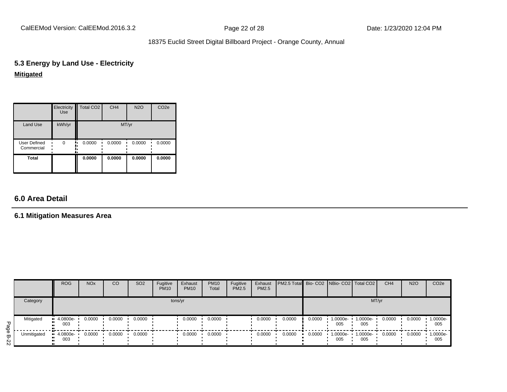CalEEMod Version: CalEEMod.2016.3.2 Page 22 of 28 Date: 1/23/2020 12:04 PM

# 18375 Euclid Street Digital Billboard Project - Orange County, Annual

# **5.3 Energy by Land Use - Electricity Mitigated**

|                                   | Electricity<br><b>Use</b> | Total CO <sub>2</sub> | CH <sub>4</sub> | <b>N2O</b> | CO <sub>2e</sub> |
|-----------------------------------|---------------------------|-----------------------|-----------------|------------|------------------|
| <b>Land Use</b>                   | kWh/yr                    |                       | MT/yr           |            |                  |
| <b>User Defined</b><br>Commercial | $\Omega$                  | 0.0000                | 0.0000          | 0.0000     | 0.0000           |
| Total                             |                           | 0.0000                | 0.0000          | 0.0000     | 0.0000           |

# **6.0 Area Detail**

# **6.1 Mitigation Measures Area**

|                                    |             | <b>ROG</b>                           | <b>NO<sub>x</sub></b> | CO     | SO <sub>2</sub> | Fugitive<br><b>PM10</b> | Exhaust<br><b>PM10</b> | <b>PM10</b><br>Total | Fugitive<br><b>PM2.5</b> | Exhaust<br>PM2.5 | PM2.5 Total Bio- CO2   NBio- CO2   Total CO2 |        |                 |                 | CH <sub>4</sub> | <b>N2O</b> | CO <sub>2e</sub> |
|------------------------------------|-------------|--------------------------------------|-----------------------|--------|-----------------|-------------------------|------------------------|----------------------|--------------------------|------------------|----------------------------------------------|--------|-----------------|-----------------|-----------------|------------|------------------|
|                                    | Category    |                                      |                       |        |                 | tons/yr                 |                        |                      |                          |                  |                                              |        |                 | MT/yr           |                 |            |                  |
| Рag                                | Mitigated   | $\cdot$ 4.0800e-<br><br>003<br>ш.    | 0.0000                | 0.0000 | 0.0000          |                         | 0.0000                 | 0.0000               |                          | 0.0000           | 0.0000                                       | 0.0000 | 1.0000e-<br>005 | 1.0000e-<br>005 | 0.0000          | 0.0000     | 1.0000e-<br>005  |
| $\overline{0}$<br>ᡂ<br>$\mathbf w$ | Unmitigated | $-4.0800e-$<br><br>003<br><b>ALC</b> | 0.0000                | 0.0000 | 0.0000          |                         | 0.0000                 | 0.0000               |                          | 0.0000           | 0.0000                                       | 0.0000 | 1.0000e-<br>005 | 1.0000e-<br>005 | 0.0000          | 0.0000     | 1.0000e-<br>005  |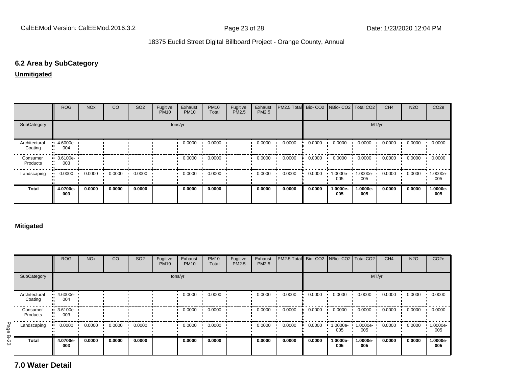### **6.2 Area by SubCategory**

**Unmitigated**

|                          | <b>ROG</b>         | <b>NO<sub>x</sub></b> | CO     | SO <sub>2</sub> | Fugitive<br><b>PM10</b> | Exhaust<br><b>PM10</b> | <b>PM10</b><br>Total | Fugitive<br>PM2.5 | Exhaust<br>PM2.5 | PM2.5 Total Bio- CO2 NBio- CO2 Total CO2 |        |                 |                 | CH <sub>4</sub> | <b>N2O</b> | CO <sub>2</sub> e |
|--------------------------|--------------------|-----------------------|--------|-----------------|-------------------------|------------------------|----------------------|-------------------|------------------|------------------------------------------|--------|-----------------|-----------------|-----------------|------------|-------------------|
| SubCategory              |                    |                       |        |                 |                         | tons/yr                |                      |                   |                  |                                          |        |                 | MT/yr           |                 |            |                   |
| Architectural<br>Coating | 4.6000e-<br>004    |                       |        |                 |                         | 0.0000                 | 0.0000               |                   | 0.0000           | 0.0000                                   | 0.0000 | 0.0000          | 0.0000          | 0.0000          | 0.0000     | 0.0000            |
| Consumer<br>Products     | $-3.6100e-$<br>003 |                       |        |                 |                         | 0.0000                 | 0.0000               |                   | 0.0000           | 0.0000                                   | 0.0000 | 0.0000          | 0.0000          | 0.0000          | 0.0000     | 0.0000            |
| Landscaping              | 0.0000             | 0.0000                | 0.0000 | 0.0000          |                         | 0.0000                 | 0.0000               |                   | 0.0000           | 0.0000                                   | 0.0000 | 1.0000e-<br>005 | 1.0000e-<br>005 | 0.0000          | 0.0000     | -.0000e<br>005    |
| <b>Total</b>             | 4.0700e-<br>003    | 0.0000                | 0.0000 | 0.0000          |                         | 0.0000                 | 0.0000               |                   | 0.0000           | 0.0000                                   | 0.0000 | 1.0000e-<br>005 | 1.0000e-<br>005 | 0.0000          | 0.0000     | 1.0000e-<br>005   |

#### **Mitigated**

|             |                          | <b>ROG</b>                     | <b>NO<sub>x</sub></b> | <sub>CO</sub> | SO <sub>2</sub> | Fugitive<br><b>PM10</b> | Exhaust<br><b>PM10</b> | <b>PM10</b><br>Total | Fugitive<br><b>PM2.5</b> | Exhaust<br>PM2.5 | PM2.5 Total |        | Bio- CO2   NBio- CO2   Total CO2 |                 | CH <sub>4</sub> | <b>N2O</b> | CO <sub>2e</sub> |
|-------------|--------------------------|--------------------------------|-----------------------|---------------|-----------------|-------------------------|------------------------|----------------------|--------------------------|------------------|-------------|--------|----------------------------------|-----------------|-----------------|------------|------------------|
|             | SubCategory              |                                |                       |               |                 |                         | tons/yr                |                      |                          |                  |             |        |                                  | MT/yr           |                 |            |                  |
|             | Architectural<br>Coating | $-4.6000e-$<br>004             |                       |               |                 |                         | 0.0000                 | 0.0000               |                          | 0.0000           | 0.0000      | 0.0000 | 0.0000                           | 0.0000          | 0.0000          | 0.0000     | 0.0000           |
|             | Consumer<br>Products     | $\blacksquare$ 3.6100e-<br>003 |                       |               |                 |                         | 0.0000                 | 0.0000               |                          | 0.0000           | 0.0000      | 0.0000 | 0.0000                           | 0.0000          | 0.0000          | 0.0000     | 0.0000           |
| Page        | Landscaping              | 0.0000                         | 0.0000                | 0.0000        | 0.0000          |                         | 0.0000                 | 0.0000               |                          | 0.0000           | 0.0000      | 0.0000 | 1.0000e-<br>005                  | 1.0000e-<br>005 | 0.0000          | 0.0000     | 1.0000e-<br>005  |
| <b>B-23</b> | <b>Total</b>             | 4.0700e-<br>003                | 0.0000                | 0.0000        | 0.0000          |                         | 0.0000                 | 0.0000               |                          | 0.0000           | 0.0000      | 0.0000 | 1.0000e-<br>005                  | 1.0000e-<br>005 | 0.0000          | 0.0000     | 1.0000e-<br>005  |

**7.0 Water Detail**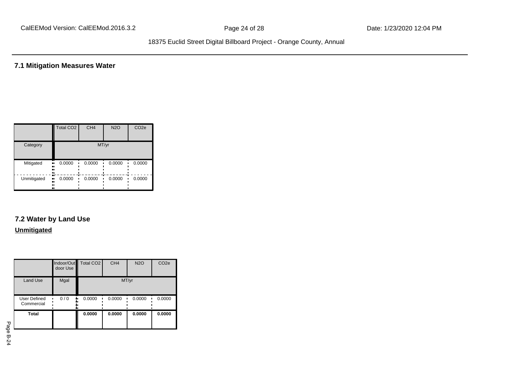**7.1 Mitigation Measures Water**

|             | <b>Total CO2</b>       | CH <sub>4</sub> | <b>N2O</b> | CO <sub>2e</sub> |
|-------------|------------------------|-----------------|------------|------------------|
| Category    |                        |                 | MT/yr      |                  |
| Mitigated   | 0.0000<br>.,<br>ш<br>  | 0.0000          | 0.0000     | 0.0000           |
| Unmitigated | 0.0000<br><br><br><br> | 0.0000          | 0.0000     | 0.0000           |

# **7.2 Water by Land Use**

#### **Unmitigated**

|                                   | door Use | Indoor/Out Total CO2 | CH <sub>4</sub> | <b>N2O</b> | CO <sub>2e</sub> |
|-----------------------------------|----------|----------------------|-----------------|------------|------------------|
| <b>Land Use</b>                   | Mgal     |                      | MT/yr           |            |                  |
| <b>User Defined</b><br>Commercial | 0/0      | 0.0000               | 0.0000          | 0.0000     | 0.0000           |
| Total                             |          | 0.0000               | 0.0000          | 0.0000     | 0.0000           |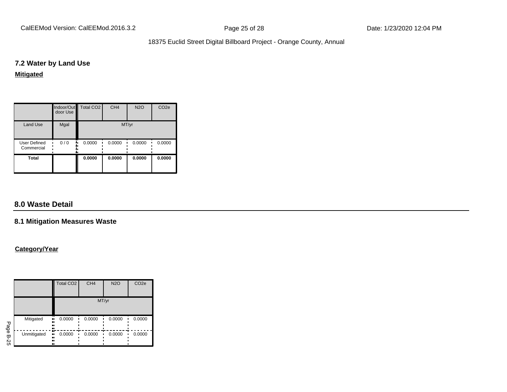CalEEMod Version: CalEEMod.2016.3.2 **Page 25 of 28** Page 25 of 28 Date: 1/23/2020 12:04 PM

# 18375 Euclid Street Digital Billboard Project - Orange County, Annual

### **7.2 Water by Land Use**

#### **Mitigated**

|                            | door Use | Indoor/Out Total CO2 | CH <sub>4</sub> | <b>N2O</b> | CO <sub>2e</sub> |
|----------------------------|----------|----------------------|-----------------|------------|------------------|
| <b>Land Use</b>            | Mgal     |                      | MT/yr           |            |                  |
| User Defined<br>Commercial | 0/0<br>  | 0.0000               | 0.0000          | 0.0000     | 0.0000           |
| <b>Total</b>               |          | 0.0000               | 0.0000          | 0.0000     | 0.0000           |

# **8.0 Waste Detail**

### **8.1 Mitigation Measures Waste**

#### **Category/Year**

|             |                               | Total CO <sub>2</sub> | CH <sub>4</sub> | <b>N2O</b> | CO <sub>2e</sub> |
|-------------|-------------------------------|-----------------------|-----------------|------------|------------------|
|             |                               |                       | MT/yr           |            |                  |
| Page        | Mitigated<br>.,<br><br><br>   | 0.0000                | 0.0000          | 0.0000     | 0.0000           |
| <b>B-25</b> | Unmitigated<br>.,<br><br><br> | æ<br>0.0000           | 0.0000          | 0.0000     | 0.0000           |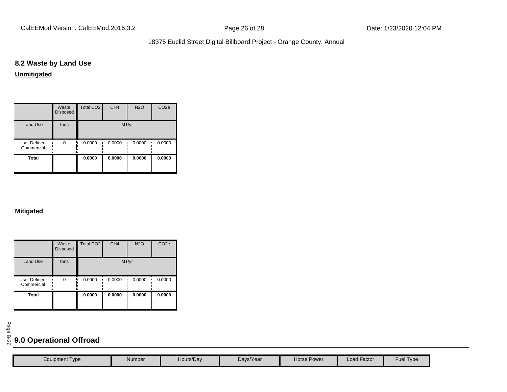# **8.2 Waste by Land Use**

**Unmitigated**

|                            | Waste<br>Disposed | Total CO <sub>2</sub> | CH <sub>4</sub> | <b>N2O</b> | CO <sub>2e</sub> |
|----------------------------|-------------------|-----------------------|-----------------|------------|------------------|
| <b>Land Use</b>            | tons              |                       | MT/yr           |            |                  |
| User Defined<br>Commercial | $\Omega$          | 0.0000                | 0.0000          | 0.0000     | 0.0000           |
| <b>Total</b>               |                   | 0.0000                | 0.0000          | 0.0000     | 0.0000           |

#### **Mitigated**

|                                   | Waste<br>Disposed | <b>Total CO2</b> | CH <sub>4</sub> | <b>N2O</b> | CO <sub>2e</sub> |
|-----------------------------------|-------------------|------------------|-----------------|------------|------------------|
| <b>Land Use</b>                   | tons              |                  | MT/yr           |            |                  |
| <b>User Defined</b><br>Commercial | $\Omega$          | 0.0000           | 0.0000          | 0.0000     | 0.0000           |
| <b>Total</b>                      |                   | 0.0000           | 0.0000          | 0.0000     | 0.0000           |

# <sup>ଟ୍ଗ</sup><br><sup>ତ</sup> 9.0 Operational Offroad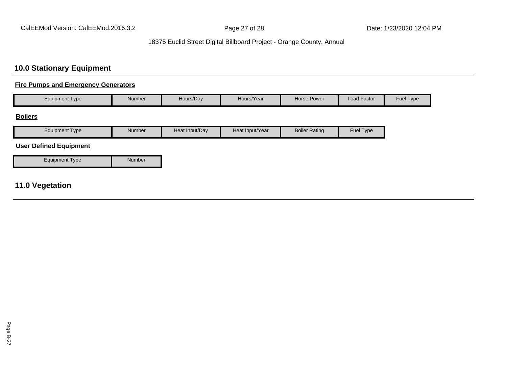# **10.0 Stationary Equipment**

### **Fire Pumps and Emergency Generators**

| <b>Equipment Type</b> | Hours/Day<br>Number |  | Hours/Year | Horse Power | Load Factor | <b>Fuel Type</b> |
|-----------------------|---------------------|--|------------|-------------|-------------|------------------|
| ____                  |                     |  |            |             |             |                  |

#### **Boilers**

| Eauipment<br>V <sub>De</sub> | Number | Heat Input/Dav | ∶Input/Year<br>┘⌒⌒<br>าਦaเ | Boiler <sup>1</sup><br>Rating | Fuel<br>I ype |
|------------------------------|--------|----------------|----------------------------|-------------------------------|---------------|

# **User Defined Equipment**

| Equipment Type | Number |
|----------------|--------|

# **11.0 Vegetation**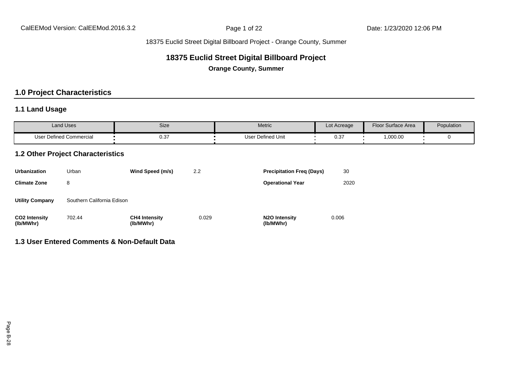# **18375 Euclid Street Digital Billboard Project**

**Orange County, Summer**

# **1.0 Project Characteristics**

# **1.1 Land Usage**

| <b>Land Uses</b>        | Size | Metric                   | Lot Acreage | Floor Surface Area                         | Population |
|-------------------------|------|--------------------------|-------------|--------------------------------------------|------------|
| User Defined Commercial | 0.37 | <b>User Defined Unit</b> | 0.3         | ,000.00<br>the contract of the contract of |            |

### **1.2 Other Project Characteristics**

| Urbanization                      | Urban<br>Wind Speed (m/s)  |                                   | 2.2   | <b>Precipitation Freg (Days)</b>        | 30    |
|-----------------------------------|----------------------------|-----------------------------------|-------|-----------------------------------------|-------|
| <b>Climate Zone</b>               | 8                          |                                   |       | <b>Operational Year</b>                 | 2020  |
| <b>Utility Company</b>            | Southern California Edison |                                   |       |                                         |       |
| <b>CO2 Intensity</b><br>(lb/MWhr) | 702.44                     | <b>CH4 Intensity</b><br>(lb/MWhr) | 0.029 | N <sub>2</sub> O Intensity<br>(lb/MWhr) | 0.006 |

# **1.3 User Entered Comments & Non-Default Data**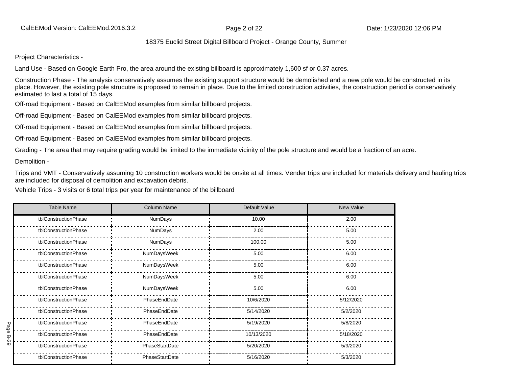Project Characteristics -

Land Use - Based on Google Earth Pro, the area around the existing billboard is approximately 1,600 sf or 0.37 acres.

Construction Phase - The analysis conservatively assumes the existing support structure would be demolished and a new pole would be constructed in its place. However, the existing pole strucutre is proposed to remain in place. Due to the limited construction activities, the construction period is conservatively estimated to last a total of 15 days.

Off-road Equipment - Based on CalEEMod examples from similar billboard projects.

Off-road Equipment - Based on CalEEMod examples from similar billboard projects.

Off-road Equipment - Based on CalEEMod examples from similar billboard projects.

Off-road Equipment - Based on CalEEMod examples from similar billboard projects.

Grading - The area that may require grading would be limited to the immediate vicinity of the pole structure and would be a fraction of an acre.

Demolition -

Trips and VMT - Conservatively assuming 10 construction workers would be onsite at all times. Vender trips are included for materials delivery and hauling trips are included for disposal of demolition and excavation debris.

Vehicle Trips - 3 visits or 6 total trips per year for maintenance of the billboard

|      | <b>Table Name</b>                    | <b>Column Name</b> | Default Value | New Value |  |
|------|--------------------------------------|--------------------|---------------|-----------|--|
|      | tblConstructionPhase                 | <b>NumDays</b>     | 10.00         | 2.00      |  |
|      | tblConstructionPhase                 | NumDays            | 2.00          | 5.00      |  |
|      | tblConstructionPhase                 | NumDays            | 100.00        | 5.00      |  |
|      | tblConstructionPhase                 | NumDaysWeek        | 5.00          | 6.00      |  |
|      | tblConstructionPhase                 | NumDaysWeek        | 5.00          | 6.00      |  |
|      | tblConstructionPhase                 | NumDaysWeek        |               | 6.00      |  |
|      | tblConstructionPhase                 | NumDaysWeek        | 5.00          | 6.00      |  |
|      | tblConstructionPhase                 | PhaseEndDate       | 10/6/2020     | 5/12/2020 |  |
|      | tblConstructionPhase                 | PhaseEndDate       | 5/14/2020     | 5/2/2020  |  |
| Page | tblConstructionPhase                 | PhaseEndDate       | 5/19/2020     | 5/8/2020  |  |
| B-29 | tblConstructionPhase<br>PhaseEndDate |                    | 10/13/2020    | 5/18/2020 |  |
|      | tblConstructionPhase                 | PhaseStartDate     | 5/20/2020     | 5/9/2020  |  |
|      | tblConstructionPhase                 | PhaseStartDate     | 5/16/2020     | 5/3/2020  |  |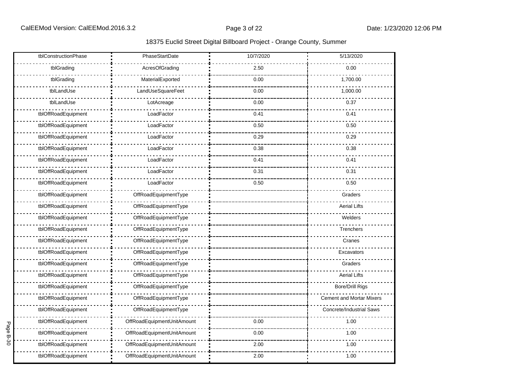|             | tblConstructionPhase | PhaseStartDate             | 10/7/2020 | 5/13/2020                       |
|-------------|----------------------|----------------------------|-----------|---------------------------------|
|             | tblGrading           | AcresOfGrading             | 2.50      | 0.00                            |
|             | tblGrading           | MaterialExported           | 0.00      | 1,700.00                        |
|             | tblLandUse           | LandUseSquareFeet          | 0.00      | 1,000.00                        |
|             | tblLandUse           | LotAcreage                 | 0.00      | 0.37                            |
|             | tblOffRoadEquipment  | LoadFactor                 | 0.41      | 0.41                            |
|             | tblOffRoadEquipment  | LoadFactor                 | 0.50      | 0.50                            |
|             | tblOffRoadEquipment  | LoadFactor                 | 0.29      | 0.29                            |
|             | tblOffRoadEquipment  | LoadFactor                 | 0.38      | 0.38                            |
|             | tblOffRoadEquipment  | LoadFactor                 | 0.41      | 0.41                            |
|             | tblOffRoadEquipment  | LoadFactor                 | 0.31      | 0.31                            |
|             | tblOffRoadEquipment  | LoadFactor                 | 0.50      | 0.50                            |
|             | tblOffRoadEquipment  | OffRoadEquipmentType       |           | Graders                         |
|             | tblOffRoadEquipment  | OffRoadEquipmentType       |           | <b>Aerial Lifts</b>             |
|             | tblOffRoadEquipment  | OffRoadEquipmentType       |           | Welders                         |
|             | tblOffRoadEquipment  | OffRoadEquipmentType       |           | Trenchers                       |
|             | tblOffRoadEquipment  | OffRoadEquipmentType       |           | Cranes                          |
|             | tblOffRoadEquipment  | OffRoadEquipmentType       |           | Excavators                      |
|             | tblOffRoadEquipment  | OffRoadEquipmentType       |           | Graders                         |
|             | tblOffRoadEquipment  | OffRoadEquipmentType       |           | <b>Aerial Lifts</b>             |
|             | tblOffRoadEquipment  | OffRoadEquipmentType       |           | <b>Bore/Drill Rigs</b>          |
|             | tblOffRoadEquipment  | OffRoadEquipmentType       |           | <b>Cement and Mortar Mixers</b> |
|             | tblOffRoadEquipment  | OffRoadEquipmentType       |           | <b>Concrete/Industrial Saws</b> |
| Page        | tblOffRoadEquipment  | OffRoadEquipmentUnitAmount | 0.00      | 1.00                            |
| <b>B-30</b> | tblOffRoadEquipment  | OffRoadEquipmentUnitAmount | 0.00      | 1.00                            |
|             | tblOffRoadEquipment  | OffRoadEquipmentUnitAmount | 2.00      | 1.00                            |
|             | tblOffRoadEquipment  | OffRoadEquipmentUnitAmount | 2.00      | 1.00                            |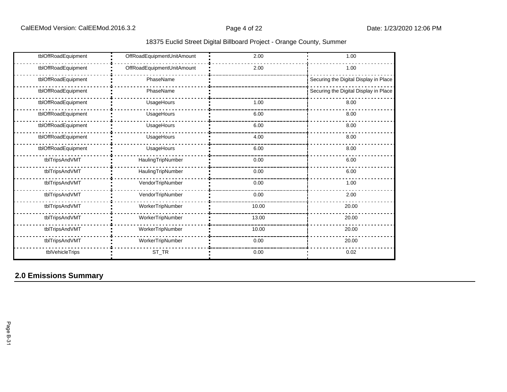| 18375 Euclid Street Digital Billboard Project - Orange County, Summer |  |  |
|-----------------------------------------------------------------------|--|--|
|                                                                       |  |  |

| tblOffRoadEquipment | OffRoadEquipmentUnitAmount | 2.00  | 1.00                                  |  |  |
|---------------------|----------------------------|-------|---------------------------------------|--|--|
| tblOffRoadEquipment | OffRoadEquipmentUnitAmount | 2.00  | 1.00                                  |  |  |
| tblOffRoadEquipment | PhaseName                  |       | Securing the Digital Display in Place |  |  |
| tblOffRoadEquipment | PhaseName                  |       | Securing the Digital Display in Place |  |  |
| tblOffRoadEquipment | UsageHours                 | 1.00  | 8.00                                  |  |  |
| tblOffRoadEquipment | UsageHours                 | 6.00  | 8.00                                  |  |  |
| tblOffRoadEquipment | UsageHours                 | 6.00  | 8.00                                  |  |  |
| tblOffRoadEquipment | UsageHours                 | 4.00  | 8.00                                  |  |  |
| tblOffRoadEquipment | UsageHours                 | 6.00  | 8.00                                  |  |  |
| tblTripsAndVMT      | HaulingTripNumber          | 0.00  | 6.00                                  |  |  |
| tblTripsAndVMT      | HaulingTripNumber          | 0.00  | 6.00                                  |  |  |
| tblTripsAndVMT      | VendorTripNumber           | 0.00  | 1.00                                  |  |  |
| tblTripsAndVMT      | VendorTripNumber           | 0.00  | 2.00                                  |  |  |
| tblTripsAndVMT      | WorkerTripNumber           | 10.00 | 20.00                                 |  |  |
| tblTripsAndVMT      | WorkerTripNumber           | 13.00 | 20.00                                 |  |  |
| tblTripsAndVMT      | WorkerTripNumber           | 10.00 | 20.00                                 |  |  |
| tblTripsAndVMT      | WorkerTripNumber           | 0.00  | 20.00                                 |  |  |
| tblVehicleTrips     | $ST_TR$                    | 0.00  | 0.02                                  |  |  |

# **2.0 Emissions Summary**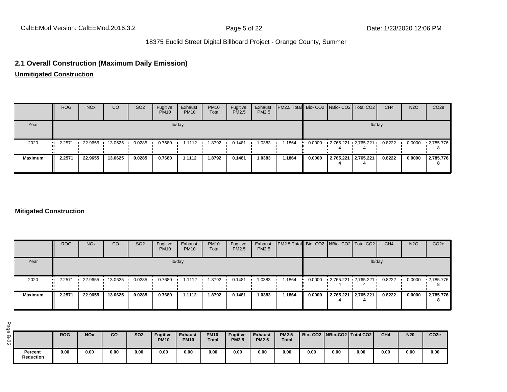# **2.1 Overall Construction (Maximum Daily Emission)**

**Unmitigated Construction**

|                | <b>ROG</b> | <b>NO<sub>x</sub></b> | CO      | SO <sub>2</sub> | Fugitive<br><b>PM10</b> | Exhaust<br><b>PM10</b> | <b>PM10</b><br>Total | Fugitive<br>PM2.5 | Exhaust<br>PM2.5 | <b>PM2.5 Total</b> Bio- CO2 NBio- CO2 Total CO2 |        |                         |  | CH <sub>4</sub> | <b>N2O</b> | CO <sub>2</sub> e |
|----------------|------------|-----------------------|---------|-----------------|-------------------------|------------------------|----------------------|-------------------|------------------|-------------------------------------------------|--------|-------------------------|--|-----------------|------------|-------------------|
| Year           | lb/day     |                       |         |                 |                         |                        |                      |                   |                  | lb/day                                          |        |                         |  |                 |            |                   |
| 2020           | 2.2571     | 22.9655               | 13.0625 | 0.0285          | 0.7680                  | 1.1112                 | .8792                | 0.1481            | 1.0383           | 1.1864                                          | 0.0000 | • 2,765.221 • 2,765.221 |  | 0.8222          | 0.0000     | $\cdot$ 2,785.776 |
| <b>Maximum</b> | 2.2571     | 22.9655               | 13.0625 | 0.0285          | 0.7680                  | 1.1112                 | 8792، ا              | 0.1481            | 1.0383           | 1.1864                                          | 0.0000 | 2,765.221   2,765.221   |  | 0.8222          | 0.0000     | 2,785.776<br>8    |

#### **Mitigated Construction**

|                | <b>ROG</b>            | <b>NO<sub>x</sub></b> | <sub>CO</sub> | SO <sub>2</sub> | Fugitive<br><b>PM10</b> | Exhaust<br><b>PM10</b> | <b>PM10</b><br>Total | Fugitive<br><b>PM2.5</b> | Exhaust<br>PM2.5 | PM2.5 Total Bio- CO2 NBio- CO2 Total CO2 |        |           |                         | CH <sub>4</sub> | <b>N2O</b> | CO <sub>2e</sub>       |
|----------------|-----------------------|-----------------------|---------------|-----------------|-------------------------|------------------------|----------------------|--------------------------|------------------|------------------------------------------|--------|-----------|-------------------------|-----------------|------------|------------------------|
| Year           |                       |                       |               |                 |                         | lb/day                 |                      |                          |                  |                                          |        |           | lb/day                  |                 |            |                        |
| 2020           | $\blacksquare$ 2.2571 | 22.9655               | 13.0625       | 0.0285          | 0.7680                  | 1.1112                 | 1.8792               | 0.1481                   | 1.0383           | 1864.                                    | 0.0000 |           | - 2,765.221 - 2,765.221 | 0.8222          | 0.0000     | $\cdot$ 2,785.776<br>8 |
| <b>Maximum</b> | 2.2571                | 22.9655               | 13.0625       | 0.0285          | 0.7680                  | 1.1112                 | 1.8792               | 0.1481                   | 1.0383           | 1.1864                                   | 0.0000 | 2,765.221 | 2,765.221               | 0.8222          | 0.0000     | 2,785.776<br>8         |

|                      | <b>ROG</b> | <b>NO<sub>x</sub></b> | co   | <b>SO2</b> | <b>Fugitive</b><br><b>PM10</b> | <b>Exhaust</b><br><b>PM10</b> | <b>PM10</b><br><b>Total</b> | <b>Fugitive</b><br><b>PM2.5</b> | <b>Exhaust</b><br><b>PM2.5</b> | <b>PM2.5</b><br>Total |      |      | Bio-CO2   NBio-CO2   Total CO2 | CH <sub>4</sub> | <b>N20</b> | CO <sub>2e</sub> |
|----------------------|------------|-----------------------|------|------------|--------------------------------|-------------------------------|-----------------------------|---------------------------------|--------------------------------|-----------------------|------|------|--------------------------------|-----------------|------------|------------------|
| Percent<br>Reduction | 0.00       | 0.00                  | 0.00 | 0.00       | 0.00                           | 0.00                          | 0.00                        | 0.00                            | 0.00                           | 0.00                  | 0.00 | 0.00 | 0.00                           | 0.00            | 0.00       | 0.00             |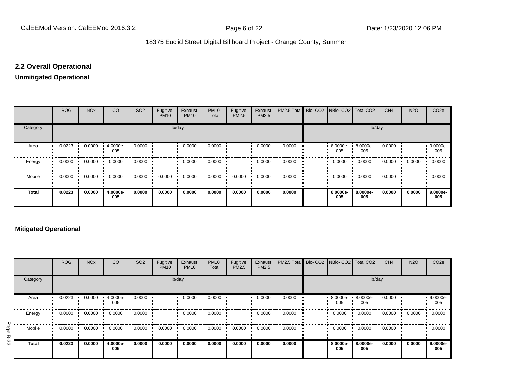# **2.2 Overall Operational**

#### **Unmitigated Operational**

|              | <b>ROG</b> | <b>NO<sub>x</sub></b> | <b>CO</b>       | SO <sub>2</sub> | Fugitive<br><b>PM10</b> | Exhaust<br><b>PM10</b> | <b>PM10</b><br>Total | Fugitive<br>PM2.5 | Exhaust<br>PM2.5 | PM2.5 Total Bio- CO2 NBio- CO2 Total CO2 |                 |                 | CH <sub>4</sub> | <b>N2O</b> | CO <sub>2</sub> e |
|--------------|------------|-----------------------|-----------------|-----------------|-------------------------|------------------------|----------------------|-------------------|------------------|------------------------------------------|-----------------|-----------------|-----------------|------------|-------------------|
| Category     |            |                       |                 |                 | lb/day                  |                        |                      |                   |                  |                                          |                 | lb/day          |                 |            |                   |
| Area         | 0.0223     | 0.0000                | 4.0000e-<br>005 | 0.0000          |                         | 0.0000                 | 0.0000               |                   | 0.0000           | 0.0000                                   | 8.0000e-<br>005 | 8.0000e-<br>005 | 0.0000          |            | 9.0000e-<br>005   |
| Energy       | 0.0000     | 0.0000                | 0.0000          | 0.0000          |                         | 0.0000                 | 0.0000               |                   | 0.0000           | 0.0000                                   | 0.0000          | 0.0000          | 0.0000          | 0.0000     | 0.0000            |
| Mobile       | 0.0000<br> | 0.0000                | 0.0000          | 0.0000          | 0.0000                  | 0.0000                 | 0.0000               | 0.0000            | 0.0000           | 0.0000                                   | 0.0000          | 0.0000          | 0.0000          |            | 0.0000            |
| <b>Total</b> | 0.0223     | 0.0000                | 4.0000e-<br>005 | 0.0000          | 0.0000                  | 0.0000                 | 0.0000               | 0.0000            | 0.0000           | 0.0000                                   | 8.0000e-<br>005 | 8.0000e-<br>005 | 0.0000          | 0.0000     | 9.0000e-<br>005   |

#### **Mitigated Operational**

|           |              | <b>ROG</b> | <b>NO<sub>x</sub></b> | CO              | SO <sub>2</sub> | Fugitive<br><b>PM10</b> | Exhaust<br><b>PM10</b> | <b>PM10</b><br>Total | Fugitive<br>PM2.5 | Exhaust<br>PM2.5 | PM2.5 Total Bio- CO2 NBio- CO2 Total CO2 |                    |                 | CH <sub>4</sub> | <b>N2O</b> | CO <sub>2</sub> e |
|-----------|--------------|------------|-----------------------|-----------------|-----------------|-------------------------|------------------------|----------------------|-------------------|------------------|------------------------------------------|--------------------|-----------------|-----------------|------------|-------------------|
|           | Category     |            |                       |                 |                 |                         | lb/day                 |                      |                   |                  |                                          |                    | lb/day          |                 |            |                   |
|           | Area         | 0.0223<br> | 0.0000                | 4.0000e-<br>005 | 0.0000          |                         | 0.0000                 | 0.0000               |                   | 0.0000           | 0.0000                                   | $.80000e -$<br>005 | 8.0000e-<br>005 | 0.0000          |            | 9.0000e-<br>005   |
|           | Energy       | 0.0000     | 0.0000                | 0.0000          | 0.0000          |                         | 0.0000                 | 0.0000               |                   | 0.0000           | 0.0000                                   | 0.0000             | 0.0000          | 0.0000          | 0.0000     | 0.0000            |
| Page<br>ლ | Mobile       | 0.0000<br> | 0.0000                | 0.0000          | 0.0000          | 0.0000                  | 0.0000                 | 0.0000               | 0.0000            | 0.0000           | 0.0000                                   | 0.0000             | 0.0000          | 0.0000          |            | 0.0000            |
| ద్ద       | <b>Total</b> | 0.0223     | 0.0000                | 4.0000e-<br>005 | 0.0000          | 0.0000                  | 0.0000                 | 0.0000               | 0.0000            | 0.0000           | 0.0000                                   | 8.0000e-<br>005    | 8.0000e-<br>005 | 0.0000          | 0.0000     | 9.0000e-<br>005   |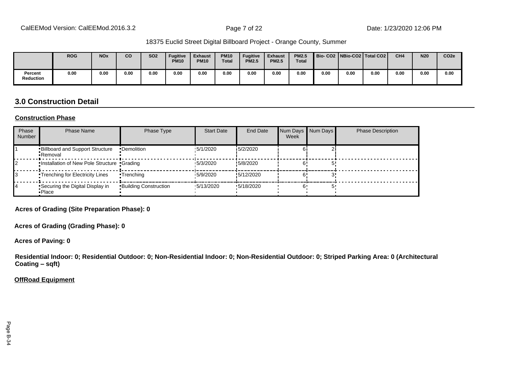|                             | <b>ROG</b> | <b>NO<sub>x</sub></b> | CO   | <b>SO2</b> | <b>Fugitive</b><br><b>PM10</b> | <b>Exhaust</b><br><b>PM10</b> | <b>PM10</b><br><b>Total</b> | <b>Fugitive</b><br><b>PM2.5</b> | <b>Exhaust</b><br><b>PM2.5</b> | <b>PM2.5</b><br><b>Total</b> |      |      | Bio-CO2   NBio-CO2   Total CO2 | CH <sub>4</sub> | <b>N20</b> | CO <sub>2e</sub> |
|-----------------------------|------------|-----------------------|------|------------|--------------------------------|-------------------------------|-----------------------------|---------------------------------|--------------------------------|------------------------------|------|------|--------------------------------|-----------------|------------|------------------|
| Percent<br><b>Reduction</b> | 0.00       | 0.00                  | 0.00 | 0.00       | 0.00                           | 0.00                          | 0.00                        | 0.00                            | 0.00                           | 0.00                         | 0.00 | 0.00 | 0.00                           | 0.00            | 0.00       | 0.00             |

# **3.0 Construction Detail**

#### **Construction Phase**

| Phase<br><b>Number</b> | <b>Phase Name</b>                                  | Phase Type                   | <b>Start Date</b> | <b>End Date</b> | Num Days Num Days<br>Week | <b>Phase Description</b> |
|------------------------|----------------------------------------------------|------------------------------|-------------------|-----------------|---------------------------|--------------------------|
|                        | <b>Billboard and Support Structure</b><br>•Removal | •Demolition                  | 15/1/2020         | 15/2/2020       |                           |                          |
|                        | . Installation of New Pole Structure . Grading     |                              | 15/3/2020         | !5/8/2020       |                           |                          |
|                        | <b>Trenching for Electricity Lines</b>             | •Trenching                   | 15/9/2020         | !5/12/2020      |                           |                          |
| 14                     | Securing the Digital Display in<br>•Place          | <b>Building Construction</b> | $\cdot$ 5/13/2020 | '5/18/2020      |                           |                          |

**Acres of Grading (Site Preparation Phase): 0**

**Acres of Grading (Grading Phase): 0**

**Acres of Paving: 0**

**Residential Indoor: 0; Residential Outdoor: 0; Non-Residential Indoor: 0; Non-Residential Outdoor: 0; Striped Parking Area: 0 (Architectural Coating ±sqft)**

#### **OffRoad Equipment**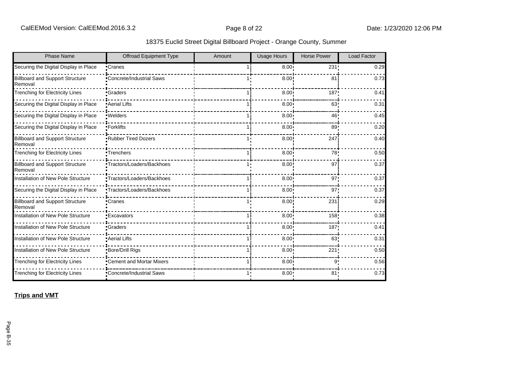|  | 18375 Euclid Street Digital Billboard Project - Orange County, Summer |  |  |  |
|--|-----------------------------------------------------------------------|--|--|--|
|--|-----------------------------------------------------------------------|--|--|--|

| <b>Phase Name</b>                                 | <b>Offroad Equipment Type</b> | Amount | <b>Usage Hours</b> | <b>Horse Power</b> | <b>Load Factor</b> |
|---------------------------------------------------|-------------------------------|--------|--------------------|--------------------|--------------------|
| Securing the Digital Display in Place             | •Cranes                       |        | 8.00 <sub>1</sub>  | 231                | 0.29               |
| <b>Billboard and Support Structure</b><br>Removal | Concrete/Industrial Saws      |        | 8.00               | 81                 | 0.73               |
| <b>Trenching for Electricity Lines</b>            | •Graders                      |        | 8.00               | 187                | 0.41               |
| Securing the Digital Display in Place             | <b>Aerial Lifts</b>           |        | 8.00               | 63                 | 0.31               |
| Securing the Digital Display in Place             | ·Welders                      |        | 8.00               | 46                 | 0.45               |
| Securing the Digital Display in Place             | •Forklifts                    |        | 8.00               | 89                 | 0.20               |
| <b>Billboard and Support Structure</b><br>Removal | <b>Rubber Tired Dozers</b>    |        | 8.00               | 247                | 0.40               |
| <b>Trenching for Electricity Lines</b>            | •Trenchers                    |        | 8.00 <sup>1</sup>  | 78                 | 0.50               |
| <b>Billboard and Support Structure</b><br>Removal | •Tractors/Loaders/Backhoes    |        | 8.00               | 97                 | 0.37               |
| Installation of New Pole Structure                | •Tractors/Loaders/Backhoes    |        | $8.00^{\circ}$     | 97'                | 0.37               |
| Securing the Digital Display in Place             | •Tractors/Loaders/Backhoes    |        | 8.00 <sub>1</sub>  | 97 <sub>1</sub>    | 0.37               |
| <b>Billboard and Support Structure</b><br>Removal | •Cranes                       |        | 8.00               | 231                | 0.29               |
| Installation of New Pole Structure                | •Excavators                   |        | 8.00               | 158 <sub>1</sub>   | 0.38               |
| Installation of New Pole Structure                | •Graders                      |        | 8.00               | 187                | 0.41               |
| Installation of New Pole Structure                | • Aerial Lifts                |        | $8.00 -$           | 63                 | 0.31               |
| Installation of New Pole Structure                | <b>Bore/Drill Rigs</b>        |        | 8.00               | 221                | 0.50               |
| <b>Trenching for Electricity Lines</b>            | •Cement and Mortar Mixers     |        | 8.00               | 9                  | 0.56               |
| <b>Trenching for Electricity Lines</b>            | •Concrete/Industrial Saws     |        | $8.00 \cdot$       | 81                 | 0.73               |

**Trips and VMT**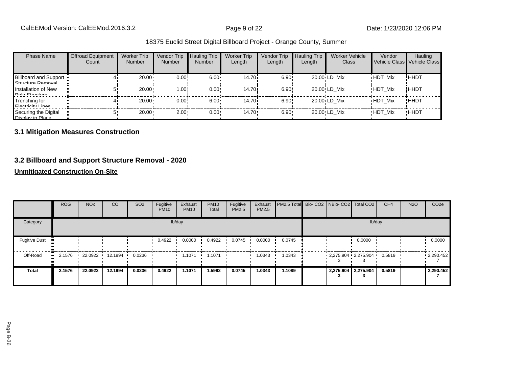| <b>Phase Name</b>                                 | <b>Offroad Equipment</b><br>Count | <b>Worker Trip</b><br><b>Number</b> | Vendor Trip<br><b>Number</b> | <b>Hauling Trip</b><br><b>Number</b> | <b>Worker Trip</b><br>Length | Vendor Trip<br>Length | <b>Hauling Trip</b><br>Length | Worker Vehicle<br>Class | Vendor         | Hauling<br>Vehicle Class Vehicle Class |
|---------------------------------------------------|-----------------------------------|-------------------------------------|------------------------------|--------------------------------------|------------------------------|-----------------------|-------------------------------|-------------------------|----------------|----------------------------------------|
| <b>Billboard and Support</b><br>Ctructure Demoval |                                   | 20.00                               | 0.00!                        | $6.00 \cdot$                         | 14.70 i                      | 6.90!                 |                               | 20.00 LD Mix            | <b>HDT Mix</b> | !HHDT                                  |
| Installation of New<br>Dolo Ctructure             |                                   | 20.00                               | 1.00!                        | $0.00 \cdot$                         | 14.70i                       | 6.90!                 |                               | 20.00 LD Mix            | <b>HDT Mix</b> | !HHDT                                  |
| Trenching for<br>Electricity Linee                |                                   | $20.00 \cdot$                       | 0.00!                        | $6.00 \cdot$                         | 14.70i                       | 6.90!                 |                               | 20.00 LD Mix            | <b>HDT Mix</b> | ! ННDТ                                 |
| Securing the Digital<br>Nienlay in Dlace          |                                   | $20.00 \cdot$                       | $2.00 -$                     | $0.00 \cdot$                         | $14.70 \cdot$                | $6.90 \cdot$          |                               | 20.00 LD Mix            | <b>HDT Mix</b> | <b>HHDT</b>                            |

## **3.1 Mitigation Measures Construction**

## **3.2 Billboard and Support Structure Removal - 2020**

## **Unmitigated Construction On-Site**

|                      | <b>ROG</b> | <b>NO<sub>x</sub></b> | CO                | SO <sub>2</sub> | Fugitive<br><b>PM10</b> | Exhaust<br><b>PM10</b> | <b>PM10</b><br>Total | Fugitive<br>PM2.5 | Exhaust<br><b>PM2.5</b> | <b>PM2.5 Total</b> Bio- CO2 NBio- CO2   Total CO2 |  |                         | CH <sub>4</sub> | <b>N2O</b> | CO <sub>2e</sub> |
|----------------------|------------|-----------------------|-------------------|-----------------|-------------------------|------------------------|----------------------|-------------------|-------------------------|---------------------------------------------------|--|-------------------------|-----------------|------------|------------------|
| Category             |            |                       |                   |                 |                         | lb/day                 |                      |                   |                         |                                                   |  | lb/day                  |                 |            |                  |
| <b>Fugitive Dust</b> |            |                       |                   |                 | 0.4922                  | 0.0000                 | 0.4922               | 0.0745            | 0.0000                  | 0.0745                                            |  | 0.0000                  |                 |            | 0.0000           |
| Off-Road             | 2.1576     |                       | 22.0922 12.1994 1 | 0.0236          |                         | 1.1071                 | 1.1071               |                   | 1.0343                  | 1.0343                                            |  | $2,275.904$ $2,275.904$ | 0.5819          |            | $-2,290.452$     |
| <b>Total</b>         | 2.1576     | 22.0922               | 12.1994           | 0.0236          | 0.4922                  | 1.1071                 | .5992                | 0.0745            | 1.0343                  | 1.1089                                            |  | 2,275.904 2,275.904     | 0.5819          |            | 2,290.452        |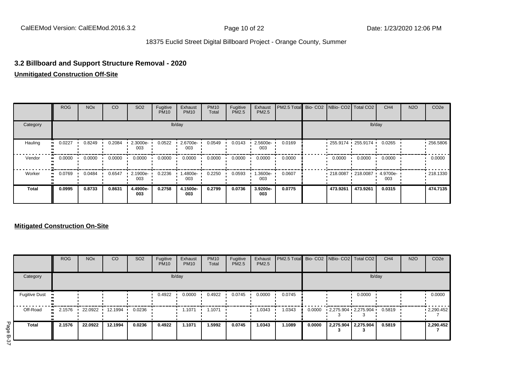## **3.2 Billboard and Support Structure Removal - 2020**

## **Unmitigated Construction Off-Site**

|              | <b>ROG</b>   | <b>NO<sub>x</sub></b> | CO     | SO <sub>2</sub> | Fugitive<br><b>PM10</b> | Exhaust<br><b>PM10</b> | <b>PM10</b><br>Total | Fugitive<br><b>PM2.5</b> | Exhaust<br>PM2.5 | PM2.5 Total Bio- CO2 NBio- CO2 Total CO2 |                         |                      | CH <sub>4</sub> | <b>N2O</b> | CO <sub>2e</sub> |
|--------------|--------------|-----------------------|--------|-----------------|-------------------------|------------------------|----------------------|--------------------------|------------------|------------------------------------------|-------------------------|----------------------|-----------------|------------|------------------|
| Category     |              |                       |        |                 |                         | lb/day                 |                      |                          |                  |                                          |                         |                      | lb/day          |            |                  |
| Hauling      | 0.0227       | 0.8249                | 0.2084 | 2.3000e-<br>003 | 0.0522                  | 2.6700e-<br>003        | 0.0549               | 0.0143                   | 2.5600e-<br>003  | 0.0169                                   | $255.9174$ $255.9174$ · |                      | 0.0265          |            | $-256.5806$      |
| Vendor       | 0.0000<br>   | 0.0000                | 0.0000 | 0.0000          | 0.0000                  | 0.0000                 | 0.0000               | 0.0000                   | 0.0000           | 0.0000                                   | 0.0000                  | 0.0000               | 0.0000          |            | 0.0000           |
| Worker       | 0.0769<br>ш. | 0.0484                | 0.6547 | 2.1900e-<br>003 | 0.2236                  | -4800e.<br>003         | 0.2250               | 0.0593                   | $.3600e-$<br>003 | 0.0607                                   |                         | $1218.0087$ 218.0087 | 4.9700e-<br>003 |            | .218.1330        |
| <b>Total</b> | 0.0995       | 0.8733                | 0.8631 | 4.4900e-<br>003 | 0.2758                  | 4.1500e-<br>003        | 0.2799               | 0.0736                   | 3.9200e-<br>003  | 0.0775                                   | 473.9261                | 473.9261             | 0.0315          |            | 474.7135         |

## **Mitigated Construction On-Site**

|                      | <b>ROG</b>   | <b>NO<sub>x</sub></b> | <b>CO</b>         | SO <sub>2</sub> | Fugitive<br><b>PM10</b> | Exhaust<br><b>PM10</b> | <b>PM10</b><br>Total | Fugitive<br><b>PM2.5</b> | Exhaust<br>PM2.5 | <b>PM2.5 Total</b> Bio- CO2 NBio- CO2 Total CO2 |        |                                | CH <sub>4</sub> | <b>N2O</b> | CO <sub>2e</sub> |
|----------------------|--------------|-----------------------|-------------------|-----------------|-------------------------|------------------------|----------------------|--------------------------|------------------|-------------------------------------------------|--------|--------------------------------|-----------------|------------|------------------|
| Category             |              |                       |                   |                 |                         | lb/day                 |                      |                          |                  |                                                 |        | lb/day                         |                 |            |                  |
| <b>Fugitive Dust</b> |              |                       |                   |                 | 0.4922                  | 0.0000                 | 0.4922               | 0.0745                   | 0.0000           | 0.0745                                          |        | 0.0000                         |                 |            | 0.0000           |
| Off-Road             | 2.1576<br>ш. |                       | 22.0922 12.1994 1 | 0.0236          |                         | 1.1071                 | 1.1071               |                          | 1.0343           | 1.0343                                          | 0.0000 | $2,275.904$ $2,275.904$ 0.5819 |                 |            | .2,290.452       |
| <b>Total</b>         | 2.1576       | 22.0922               | 12.1994           | 0.0236          | 0.4922                  | 1.1071                 | 1.5992               | 0.0745                   | 1.0343           | 1.1089                                          | 0.0000 | 2,275.904 2,275.904            | 0.5819          |            | 2,290.452        |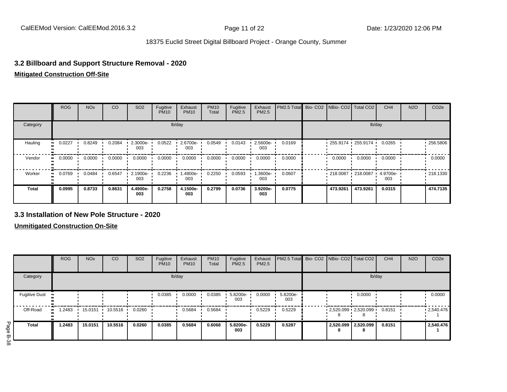## **3.2 Billboard and Support Structure Removal - 2020**

#### **Mitigated Construction Off-Site**

|              | <b>ROG</b>    | <b>NO<sub>x</sub></b> | CO     | SO <sub>2</sub> | Fugitive<br><b>PM10</b> | Exhaust<br><b>PM10</b> | <b>PM10</b><br>Total | Fugitive<br><b>PM2.5</b> | Exhaust<br>PM2.5 | PM2.5 Total Bio- CO2 NBio- CO2 Total CO2 |                        |                        | CH <sub>4</sub> | <b>N2O</b> | CO <sub>2e</sub> |
|--------------|---------------|-----------------------|--------|-----------------|-------------------------|------------------------|----------------------|--------------------------|------------------|------------------------------------------|------------------------|------------------------|-----------------|------------|------------------|
| Category     |               |                       |        |                 |                         | lb/day                 |                      |                          |                  |                                          |                        | lb/day                 |                 |            |                  |
| Hauling      | 0.0227<br>    | 0.8249                | 0.2084 | 2.3000e-<br>003 | 0.0522                  | 2.6700e-<br>003        | 0.0549               | 0.0143                   | 2.5600e-<br>003  | 0.0169                                   |                        | $-255.9174 - 255.9174$ | 0.0265          |            | $-256.5806$      |
| Vendor       | 0.0000<br>. . | 0.0000                | 0.0000 | 0.0000          | 0.0000                  | 0.0000                 | 0.0000               | 0.0000                   | 0.0000           | 0.0000                                   | 0.0000                 | 0.0000                 | 0.0000          |            | 0.0000           |
| Worker       | 0.0769<br>ш.  | 0.0484                | 0.6547 | 2.1900e-<br>003 | 0.2236                  | 1.4800e-<br>003        | 0.2250               | 0.0593                   | 1.3600e-<br>003  | 0.0607                                   | $-218.0087 - 218.0087$ |                        | 4.9700e-<br>003 |            | $-218.1330$      |
| <b>Total</b> | 0.0995        | 0.8733                | 0.8631 | 4.4900e-<br>003 | 0.2758                  | 4.1500e-<br>003        | 0.2799               | 0.0736                   | 3.9200e-<br>003  | 0.0775                                   | 473.9261               | 473.9261               | 0.0315          |            | 474.7135         |

#### **3.3 Installation of New Pole Structure - 2020**

**Unmitigated Construction On-Site**

|                               |                      | ROG                   | <b>NO<sub>x</sub></b> | <sub>CO</sub>     | <b>SO2</b> | Fugitive<br><b>PM10</b> | Exhaust<br><b>PM10</b> | <b>PM10</b><br>Total | Fugitive<br><b>PM2.5</b> | Exhaust<br>PM2.5 | PM2.5 Total Bio- CO2 NBio- CO2 Total CO2 |                |                          | CH <sub>4</sub> | <b>N2O</b> | CO <sub>2e</sub> |
|-------------------------------|----------------------|-----------------------|-----------------------|-------------------|------------|-------------------------|------------------------|----------------------|--------------------------|------------------|------------------------------------------|----------------|--------------------------|-----------------|------------|------------------|
|                               | Category             |                       |                       |                   |            |                         | lb/day                 |                      |                          |                  |                                          |                | lb/day                   |                 |            |                  |
|                               | <b>Fugitive Dust</b> |                       |                       |                   |            | 0.0385                  | 0.0000                 | 0.0385               | 5.8200e-<br>003          | 0.0000           | 5.8200e-<br>003                          |                | 0.0000                   |                 |            | 0.0000           |
|                               | Off-Road             | 2483. ا<br><b>ALC</b> | 15.0151               | $10.5516$ $\cdot$ | 0.0260     |                         | 0.5684                 | 0.5684               |                          | 0.5229           | 0.5229                                   |                | $-2,520.099 - 2,520.099$ | 0.8151          |            | .2,540.476       |
| Page<br>$\boldsymbol{\varpi}$ | <b>Total</b>         | 1.2483                | 15.0151               | 10.5516           | 0.0260     | 0.0385                  | 0.5684                 | 0.6068               | 5.8200e-<br>003          | 0.5229           | 0.5287                                   | 2,520.099<br>8 | 2,520.099<br>8           | 0.8151          |            | 2,540.476        |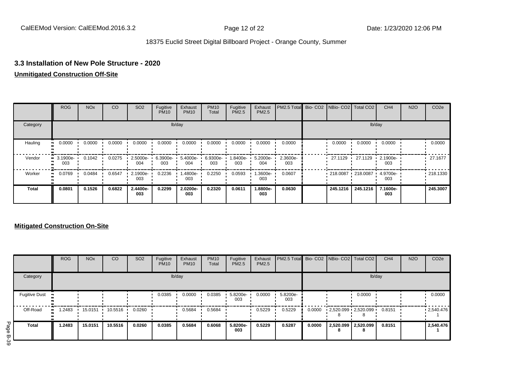## **3.3 Installation of New Pole Structure - 2020**

### **Unmitigated Construction Off-Site**

|              | <b>ROG</b>                     | NO <sub>x</sub>         | CO     | SO <sub>2</sub> | Fugitive<br><b>PM10</b> | Exhaust<br><b>PM10</b> | <b>PM10</b><br>Total | Fugitive<br>PM2.5 | Exhaust<br>PM2.5 | PM2.5 Total Bio- CO2 NBio- CO2 Total CO2 |          |                   | CH <sub>4</sub>           | <b>N2O</b> | CO <sub>2e</sub> |
|--------------|--------------------------------|-------------------------|--------|-----------------|-------------------------|------------------------|----------------------|-------------------|------------------|------------------------------------------|----------|-------------------|---------------------------|------------|------------------|
| Category     |                                |                         |        |                 |                         | lb/day                 |                      |                   |                  |                                          |          |                   | lb/day                    |            |                  |
| Hauling      | 0.0000                         | $0.0000$ $\blacksquare$ | 0.0000 | 0.0000          | 0.0000                  | 0.0000                 | 0.0000               | 0.0000            | 0.0000           | 0.0000                                   | 0.0000   | 0.0000            | 0.0000                    |            | 0.0000           |
| Vendor       | $\blacksquare$ 3.1900e-<br>003 | 0.1042                  | 0.0275 | 2.5000e-<br>004 | 6.3900e-<br>003         | 5.4000e-<br>004        | 6.9300e- '<br>003    | 1.8400e-<br>003   | 5.2000e-<br>004  | 2.3600e-<br>003                          | 27.1129  |                   | 27.1129 1 2.1900e-<br>003 |            | 27.1677          |
| Worker       | 0.0769<br>                     | 0.0484                  | 0.6547 | 2.1900e-<br>003 | 0.2236                  | -4800e.<br>003         | 0.2250               | 0.0593            | $.3600e-$<br>003 | 0.0607                                   |          | 218.0087 218.0087 | 4.9700e-<br>003           |            | $\cdot$ 218.1330 |
| <b>Total</b> | 0.0801                         | 0.1526                  | 0.6822 | 2.4400e-<br>003 | 0.2299                  | 2.0200e-<br>003        | 0.2320               | 0.0611            | 1.8800e-<br>003  | 0.0630                                   | 245.1216 | 245.1216          | 7.1600e-<br>003           |            | 245.3007         |

## **Mitigated Construction On-Site**

|                                        | <b>ROG</b>  | <b>NO<sub>x</sub></b> | CO      | SO <sub>2</sub> | Fugitive<br><b>PM10</b> | Exhaust<br><b>PM10</b> | <b>PM10</b><br>Total | Fugitive<br><b>PM2.5</b> | Exhaust<br>PM2.5 | PM2.5 Total Bio- CO2 NBio- CO2 Total CO2 |        |                                 | CH <sub>4</sub> | <b>N2O</b> | CO <sub>2</sub> e |
|----------------------------------------|-------------|-----------------------|---------|-----------------|-------------------------|------------------------|----------------------|--------------------------|------------------|------------------------------------------|--------|---------------------------------|-----------------|------------|-------------------|
| Category                               |             |                       |         |                 |                         | lb/day                 |                      |                          |                  |                                          |        | lb/day                          |                 |            |                   |
| <b>Fugitive Dust</b><br>$\blacksquare$ |             |                       |         |                 | 0.0385                  | 0.0000                 | 0.0385               | 5.8200e-<br>003          | 0.0000           | 5.8200e-<br>003                          |        | 0.0000                          |                 |            | 0.0000            |
| Off-Road                               | .2483<br>ш. | 15.0151               | 10.5516 | 0.0260          |                         | 0.5684                 | 0.5684               |                          | 0.5229           | 0.5229                                   | 0.0000 | $2,520.099$ $2,520.099$ $\cdot$ | 0.8151          |            | .2,540.476        |
| <b>Total</b>                           | 1.2483      | 15.0151               | 10.5516 | 0.0260          | 0.0385                  | 0.5684                 | 0.6068               | 5.8200e-<br>003          | 0.5229           | 0.5287                                   | 0.0000 | 2,520.099 2,520.099<br>8        | 0.8151          |            | 2,540.476         |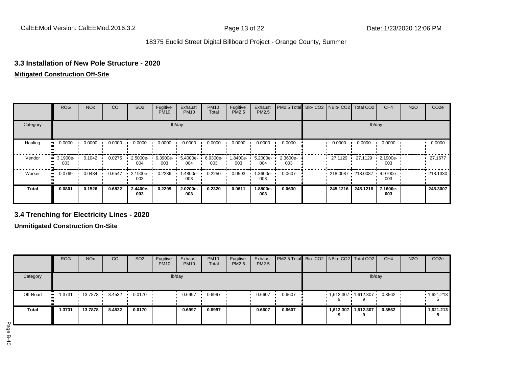## **3.3 Installation of New Pole Structure - 2020**

## **Mitigated Construction Off-Site**

|              | <b>ROG</b>              | <b>NO<sub>x</sub></b> | CO     | SO <sub>2</sub> | Fugitive<br><b>PM10</b> | Exhaust<br><b>PM10</b> | <b>PM10</b><br>Total | Fugitive<br><b>PM2.5</b> | Exhaust<br>PM2.5 | PM2.5 Total Bio- CO2 NBio- CO2 Total CO2 |                   |          | CH <sub>4</sub>    | <b>N2O</b> | CO <sub>2e</sub> |
|--------------|-------------------------|-----------------------|--------|-----------------|-------------------------|------------------------|----------------------|--------------------------|------------------|------------------------------------------|-------------------|----------|--------------------|------------|------------------|
| Category     |                         |                       |        |                 |                         | lb/day                 |                      |                          |                  |                                          |                   |          | lb/day             |            |                  |
| Hauling      | 0.0000                  | 0.0000                | 0.0000 | 0.0000          | 0.0000                  | 0.0000                 | 0.0000               | 0.0000                   | 0.0000           | 0.0000                                   | 0.0000            | 0.0000   | 0.0000             |            | 0.0000           |
| Vendor       | $\cdot$ 3.1900e-<br>003 | 0.1042                | 0.0275 | 2.5000e-<br>004 | 6.3900e-<br>003         | 5.4000e-<br>004        | 6.9300e- L<br>003    | 1.8400e-<br>003          | 5.2000e-<br>004  | 2.3600e-<br>003                          | 27.1129           | 27.1129  | $-2.1900e-$<br>003 |            | 27.1677          |
| Worker       | 0.0769<br>ш.            | 0.0484                | 0.6547 | 2.1900e-<br>003 | 0.2236                  | -4800e.<br>003         | 0.2250               | 0.0593                   | $.3600e-$<br>003 | 0.0607                                   | 218.0087 218.0087 |          | 4.9700e-<br>003    |            | .218.1330        |
| <b>Total</b> | 0.0801                  | 0.1526                | 0.6822 | 2.4400e-<br>003 | 0.2299                  | 2.0200e-<br>003        | 0.2320               | 0.0611                   | 1.8800e-<br>003  | 0.0630                                   | 245.1216          | 245.1216 | 7.1600e-<br>003    |            | 245.3007         |

## **3.4 Trenching for Electricity Lines - 2020**

**Unmitigated Construction On-Site**

|              | <b>ROG</b>   | <b>NO<sub>x</sub></b> | CO     | SO <sub>2</sub> | Fugitive<br><b>PM10</b> | Exhaust<br><b>PM10</b> | <b>PM10</b><br>Total | Fugitive<br>PM2.5 | Exhaust<br>PM2.5 | PM2.5 Total Bio- CO2 NBio- CO2 Total CO2 |   |                       | CH <sub>4</sub> | <b>N2O</b> | CO <sub>2e</sub>  |
|--------------|--------------|-----------------------|--------|-----------------|-------------------------|------------------------|----------------------|-------------------|------------------|------------------------------------------|---|-----------------------|-----------------|------------|-------------------|
| Category     |              |                       |        |                 |                         | lb/day                 |                      |                   |                  |                                          |   | lb/day                |                 |            |                   |
| Off-Road     | .3731<br>. . | 13.7878               | 8.4532 | 0.0170          |                         | 0.6997                 | 0.6997               |                   | 0.6607           | 0.6607                                   |   | 1,612.307 1,612.307   | 0.3562          |            | $\cdot$ 1,621.213 |
| <b>Total</b> | 1.3731       | 13.7878               | 8.4532 | 0.0170          |                         | 0.6997                 | 0.6997               |                   | 0.6607           | 0.6607                                   | 9 | 1,612.307   1,612.307 | 0.3562          |            | 1,621.213         |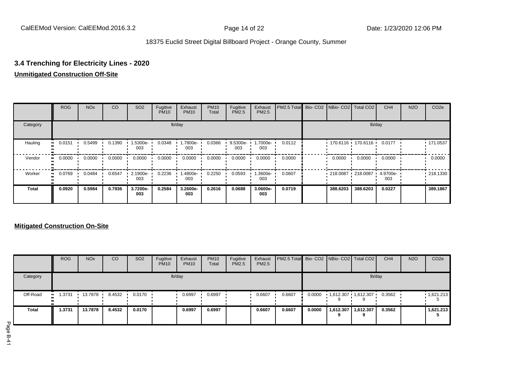## **3.4 Trenching for Electricity Lines - 2020**

## **Unmitigated Construction Off-Site**

|              | <b>ROG</b> | <b>NO<sub>x</sub></b> | CO     | SO <sub>2</sub> | Fugitive<br><b>PM10</b> | Exhaust<br><b>PM10</b> | <b>PM10</b><br>Total | Fugitive<br><b>PM2.5</b> | Exhaust<br>PM2.5 | PM2.5 Total Bio- CO2 NBio- CO2 Total CO2 |          |                     | CH <sub>4</sub> | <b>N2O</b> | CO <sub>2e</sub> |
|--------------|------------|-----------------------|--------|-----------------|-------------------------|------------------------|----------------------|--------------------------|------------------|------------------------------------------|----------|---------------------|-----------------|------------|------------------|
| Category     |            |                       |        |                 |                         | lb/day                 |                      |                          |                  |                                          |          |                     | lb/day          |            |                  |
| Hauling      | 0.0151     | 0.5499                | 0.1390 | -5300e<br>003   | 0.0348                  | 1.7800e-<br>003        | 0.0366               | 9.5300e-<br>003          | 1.7000e-<br>003  | 0.0112                                   |          | 170.6116 170.6116   | 0.0177          |            | .171.0537        |
| Vendor       | 0.0000     | 0.0000                | 0.0000 | 0.0000          | 0.0000                  | 0.0000                 | 0.0000               | 0.0000                   | 0.0000           | 0.0000                                   | 0.0000   | 0.0000              | 0.0000          |            | 0.0000           |
| Worker       | 0.0769     | 0.0484                | 0.6547 | 2.1900e-<br>003 | 0.2236                  | 1.4800e-<br>003        | 0.2250               | 0.0593                   | -3600e.<br>003   | 0.0607                                   |          | 218.0087 218.0087 ' | 4.9700e-<br>003 |            | .218.1330        |
| <b>Total</b> | 0.0920     | 0.5984                | 0.7936 | 3.7200e-<br>003 | 0.2584                  | 3.2600e-<br>003        | 0.2616               | 0.0688                   | 3.0600e-<br>003  | 0.0719                                   | 388.6203 | 388.6203            | 0.0227          |            | 389.1867         |

## **Mitigated Construction On-Site**

|          | <b>ROG</b>          | <b>NO<sub>x</sub></b> | CO     | SO <sub>2</sub> | Fugitive<br><b>PM10</b> | Exhaust<br><b>PM10</b> | <b>PM10</b><br>Total | Fugitive<br>PM2.5 | Exhaust<br>PM2.5 | <b>PM2.5 Total</b> Bio- CO2 NBio- CO2   Total CO2 |        |                     |                     | CH <sub>4</sub> | <b>N2O</b> | CO <sub>2</sub> e |
|----------|---------------------|-----------------------|--------|-----------------|-------------------------|------------------------|----------------------|-------------------|------------------|---------------------------------------------------|--------|---------------------|---------------------|-----------------|------------|-------------------|
| Category |                     |                       |        |                 |                         | lb/day                 |                      |                   |                  |                                                   |        |                     | lb/day              |                 |            |                   |
| Off-Road | 1.3731<br><b>BL</b> | 13.7878               | 8.4532 | 0.0170          |                         | 0.6997                 | 0.6997               |                   | 0.6607           | 0.6607                                            | 0.0000 | 1,612.307 1,612.307 |                     | 0.3562          |            | 1,621.213         |
| Total    | 1.3731              | 13.7878               | 8.4532 | 0.0170          |                         | 0.6997                 | 0.6997               |                   | 0.6607           | 0.6607                                            | 0.0000 |                     | 1,612.307 1,612.307 | 0.3562          |            | 1,621.213         |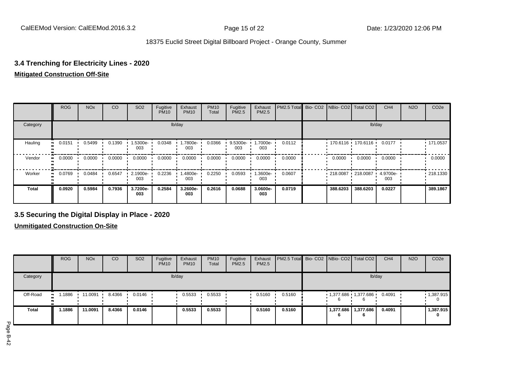## **3.4 Trenching for Electricity Lines - 2020**

### **Mitigated Construction Off-Site**

|              | <b>ROG</b> | <b>NO<sub>x</sub></b> | CO     | SO <sub>2</sub> | Fugitive<br><b>PM10</b> | Exhaust<br><b>PM10</b> | <b>PM10</b><br>Total | Fugitive<br><b>PM2.5</b> | Exhaust<br>PM2.5 | PM2.5 Total Bio- CO2 NBio- CO2 Total CO2 |          |                     | CH <sub>4</sub> | <b>N2O</b> | CO <sub>2e</sub> |
|--------------|------------|-----------------------|--------|-----------------|-------------------------|------------------------|----------------------|--------------------------|------------------|------------------------------------------|----------|---------------------|-----------------|------------|------------------|
| Category     |            |                       |        |                 |                         | lb/day                 |                      |                          |                  |                                          |          |                     | lb/day          |            |                  |
| Hauling      | 0.0151     | 0.5499                | 0.1390 | -5300e-<br>003  | 0.0348                  | 1.7800e-<br>003        | 0.0366               | 9.5300e-<br>003          | 1.7000e-<br>003  | 0.0112                                   |          | 170.6116 170.6116   | 0.0177          |            | .171.0537        |
| Vendor       | 0.0000     | 0.0000                | 0.0000 | 0.0000          | 0.0000                  | 0.0000                 | 0.0000               | 0.0000                   | 0.0000           | 0.0000                                   | 0.0000   | 0.0000              | 0.0000          |            | 0.0000           |
| Worker       | 0.0769     | 0.0484                | 0.6547 | 2.1900e-<br>003 | 0.2236                  | 1.4800e-<br>003        | 0.2250               | 0.0593                   | -3600e.<br>003   | 0.0607                                   |          | 218.0087 218.0087 ' | 4.9700e-<br>003 |            | .218.1330        |
| <b>Total</b> | 0.0920     | 0.5984                | 0.7936 | 3.7200e-<br>003 | 0.2584                  | 3.2600e-<br>003        | 0.2616               | 0.0688                   | 3.0600e-<br>003  | 0.0719                                   | 388.6203 | 388,6203            | 0.0227          |            | 389.1867         |

## **3.5 Securing the Digital Display in Place - 2020**

**Unmitigated Construction On-Site**

|              | <b>ROG</b>   | <b>NO<sub>x</sub></b> | CO     | SO <sub>2</sub> | Fugitive<br><b>PM10</b> | Exhaust<br><b>PM10</b> | <b>PM10</b><br>Total | Fugitive<br>PM2.5 | Exhaust<br>PM2.5 | PM2.5 Total Bio- CO2 NBio- CO2 Total CO2 |   |                       | CH <sub>4</sub> | <b>N2O</b> | CO <sub>2e</sub> |
|--------------|--------------|-----------------------|--------|-----------------|-------------------------|------------------------|----------------------|-------------------|------------------|------------------------------------------|---|-----------------------|-----------------|------------|------------------|
| Category     |              |                       |        |                 |                         | lb/day                 |                      |                   |                  |                                          |   |                       | lb/day          |            |                  |
| Off-Road     | .1886<br>. . | 11.0091               | 8.4366 | 0.0146          |                         | 0.5533                 | 0.5533               |                   | 0.5160           | 0.5160                                   |   | 1,377.686 1,377.686   | 0.4091          |            | 1,387.915        |
| <b>Total</b> | 1.1886       | 11.0091               | 8.4366 | 0.0146          |                         | 0.5533                 | 0.5533               |                   | 0.5160           | 0.5160                                   | 6 | 1,377.686   1,377.686 | 0.4091          |            | 1,387.915<br>0   |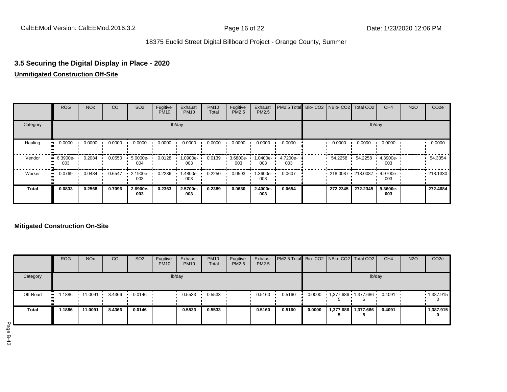## **3.5 Securing the Digital Display in Place - 2020 Unmitigated Construction Off-Site**

|              | <b>ROG</b>      | <b>NO<sub>x</sub></b> | CO     | SO <sub>2</sub> | Fugitive<br><b>PM10</b> | Exhaust<br><b>PM10</b> | <b>PM10</b><br>Total | Fugitive<br><b>PM2.5</b> | Exhaust<br>PM2.5 | PM2.5 Total Bio- CO2 NBio- CO2 Total CO2 |          |                     | CH <sub>4</sub> | <b>N2O</b> | CO <sub>2e</sub> |
|--------------|-----------------|-----------------------|--------|-----------------|-------------------------|------------------------|----------------------|--------------------------|------------------|------------------------------------------|----------|---------------------|-----------------|------------|------------------|
| Category     |                 |                       |        |                 |                         | lb/day                 |                      |                          |                  |                                          |          |                     | lb/day          |            |                  |
| Hauling      | 0.0000          | 0.0000                | 0.0000 | 0.0000          | 0.0000                  | 0.0000                 | 0.0000               | 0.0000                   | 0.0000           | 0.0000                                   | 0.0000   | 0.0000              | 0.0000          |            | 0.0000           |
| Vendor       | 6.3900e-<br>003 | 0.2084                | 0.0550 | 5.0000e-<br>004 | 0.0128                  | 1.0900e-<br>003        | 0.0139               | 3.6800e-<br>003          | -0400e-<br>003   | 4.7200e-<br>003                          | 54.2258  | 54.2258             | 4.3900e-<br>003 |            | 54.3354          |
| Worker       | 0.0769          | 0.0484                | 0.6547 | 2.1900e-<br>003 | 0.2236                  | 1.4800e-<br>003        | 0.2250               | 0.0593                   | -3600e.<br>003   | 0.0607                                   |          | 218.0087 218.0087 ' | 4.9700e-<br>003 |            | .218.1330        |
| <b>Total</b> | 0.0833          | 0.2568                | 0.7096 | 2.6900e-<br>003 | 0.2363                  | 2.5700e-<br>003        | 0.2389               | 0.0630                   | 2.4000e-<br>003  | 0.0654                                   | 272.2345 | 272.2345            | 9.3600e-<br>003 |            | 272.4684         |

## **Mitigated Construction On-Site**

|          | <b>ROG</b>  | <b>NO<sub>x</sub></b> | CO     | <b>SO2</b> | Fugitive<br><b>PM10</b> | Exhaust<br><b>PM10</b> | <b>PM10</b><br>Total | Fugitive<br><b>PM2.5</b> | Exhaust<br><b>PM2.5</b> | <b>PM2.5 Total</b> Bio- CO2 NBio- CO2 Total CO2 |        |                       | CH <sub>4</sub> | <b>N2O</b> | CO <sub>2e</sub>  |
|----------|-------------|-----------------------|--------|------------|-------------------------|------------------------|----------------------|--------------------------|-------------------------|-------------------------------------------------|--------|-----------------------|-----------------|------------|-------------------|
| Category |             |                       |        |            |                         | lb/day                 |                      |                          |                         |                                                 |        | lb/day                |                 |            |                   |
| Off-Road | .1886<br>ш. | 11.0091               | 8.4366 | 0.0146     |                         | 0.5533                 | 0.5533               |                          | 0.5160                  | 0.5160                                          | 0.0000 | 1,377.686 1,377.686   | 0.4091          |            | $\cdot$ 1,387.915 |
| Total    | .1886       | 11.0091               | 8.4366 | 0.0146     |                         | 0.5533                 | 0.5533               |                          | 0.5160                  | 0.5160                                          | 0.0000 | 1,377.686   1,377.686 | 0.4091          |            | 1,387.915<br>0    |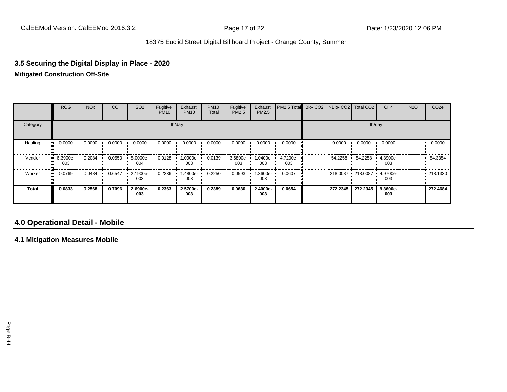# **3.5 Securing the Digital Display in Place - 2020**

## **Mitigated Construction Off-Site**

|              | ROG                | <b>NO<sub>x</sub></b> | CO     | SO <sub>2</sub> | Fugitive<br><b>PM10</b> | Exhaust<br><b>PM10</b> | <b>PM10</b><br>Total | Fugitive<br><b>PM2.5</b> | Exhaust<br>PM2.5 | PM2.5 Total Bio- CO2 NBio- CO2 Total CO2 |                   |          | CH <sub>4</sub> | <b>N2O</b> | CO <sub>2e</sub> |
|--------------|--------------------|-----------------------|--------|-----------------|-------------------------|------------------------|----------------------|--------------------------|------------------|------------------------------------------|-------------------|----------|-----------------|------------|------------------|
| Category     |                    |                       |        |                 |                         | lb/day                 |                      |                          |                  |                                          |                   | lb/day   |                 |            |                  |
| Hauling      | 0.0000             | 0.0000                | 0.0000 | 0.0000          | 0.0000                  | 0.0000                 | 0.0000               | 0.0000                   | 0.0000           | 0.0000                                   | 0.0000            | 0.0000   | 0.0000          |            | 0.0000           |
| Vendor       | $-6.3900e-$<br>003 | 0.2084                | 0.0550 | 5.0000e-<br>004 | 0.0128                  | 1.0900e-<br>003        | 0.0139               | 3.6800e-<br>003          | -0400e-<br>003   | 4.7200e-<br>003                          | 54.2258           | 54.2258  | 4.3900e-<br>003 |            | 54.3354          |
| Worker       | 0.0769             | 0.0484                | 0.6547 | 2.1900e-<br>003 | 0.2236                  | -.4800e<br>003         | 0.2250               | 0.0593                   | .3600e-<br>003   | 0.0607                                   | 218.0087 218.0087 |          | 4.9700e-<br>003 |            | .218.1330        |
| <b>Total</b> | 0.0833             | 0.2568                | 0.7096 | 2.6900e-<br>003 | 0.2363                  | 2.5700e-<br>003        | 0.2389               | 0.0630                   | 2.4000e-<br>003  | 0.0654                                   | 272.2345          | 272.2345 | 9.3600e-<br>003 |            | 272.4684         |

## **4.0 Operational Detail - Mobile**

**4.1 Mitigation Measures Mobile**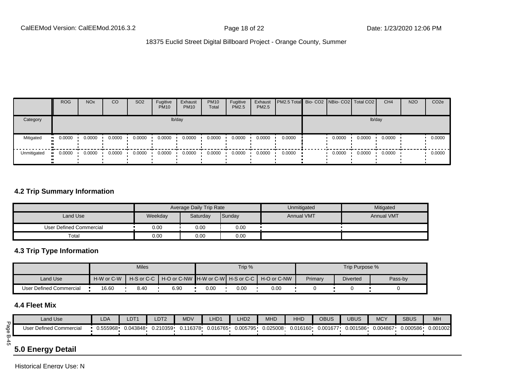|             | <b>ROG</b> | <b>NO<sub>x</sub></b> | CO     | SO <sub>2</sub> | Fugitive<br><b>PM10</b> | Exhaust<br><b>PM10</b> | <b>PM10</b><br>Total | Fugitive<br><b>PM2.5</b> | Exhaust<br><b>PM2.5</b> | <b>PM2.5 Total</b> Bio- CO2 NBio- CO2 Total CO2 |        |        | CH <sub>4</sub> | <b>N2O</b> | CO <sub>2e</sub> |
|-------------|------------|-----------------------|--------|-----------------|-------------------------|------------------------|----------------------|--------------------------|-------------------------|-------------------------------------------------|--------|--------|-----------------|------------|------------------|
| Category    |            |                       |        |                 |                         | lb/day                 |                      |                          |                         |                                                 |        |        | lb/day          |            |                  |
| Mitigated   | 0.0000     | 0.0000                | 0.0000 | 0.0000          | 0.0000                  | 0.0000                 | 0.0000               | 0.0000                   | 0.0000                  | 0.0000                                          | 0.0000 | 0.0000 | 0.0000          |            | 0.0000           |
| Unmitigated | 0.0000     | 0.0000                | 0.0000 | 0.0000          | 0.0000                  | 0.0000                 | 0.0000               | 0.0000                   | 0.0000                  | 0.0000                                          | 0.0000 | 0.0000 | 0.0000          |            | 0.0000           |

## **4.2 Trip Summary Information**

|                         |         | Average Daily Trip Rate |        | Unmitigated       | Mitigated         |
|-------------------------|---------|-------------------------|--------|-------------------|-------------------|
| Land Use                | Weekday | Saturday                | Sunday | <b>Annual VMT</b> | <b>Annual VMT</b> |
| User Defined Commercial | 0.00    | 0.00                    | 0.00   |                   |                   |
| Total                   | 0.00    | 0.00                    | 0.00   |                   |                   |

## **4.3 Trip Type Information**

|                         |            | <b>Miles</b> |      |      | Trip % |                                                             |         | Trip Purpose %  |         |
|-------------------------|------------|--------------|------|------|--------|-------------------------------------------------------------|---------|-----------------|---------|
| <b>Land Use</b>         | H-W or C-W |              |      |      |        | H-S or C-C H H-O or C-NW H-W or C-WH H-S or C-C H-O or C-NW | Primary | <b>Diverted</b> | Pass-by |
| User Defined Commercial | 16.60      | 8.40         | 6.90 | 0.00 | 0.00   | 0.00                                                        |         |                 |         |

## **4.4 Fleet Mix**

|    | Land Use                | LDA      | LDT <sub>1</sub> | LDT <sub>2</sub> | <b>MDV</b> | LHD <sub>1</sub>               | LHD <sub>2</sub> | <b>MHD</b> | <b>HHD</b> | OBUS     | <b>UBUS</b> | <b>MCY</b> | <b>SBUS</b> | <b>MH</b> |
|----|-------------------------|----------|------------------|------------------|------------|--------------------------------|------------------|------------|------------|----------|-------------|------------|-------------|-----------|
| Ō  | User Defined Commercial | 0.555968 | 0.043848         | 0.210359         |            | 0.116378   0.016765   0.005795 |                  | 0.025008   | 0.016160   | 0.001677 | 0.001586    | 0.004867   | 0.000586    | 0.001002  |
| Оı | __                      |          |                  |                  |            |                                |                  |            |            |          |             |            |             |           |

## **5.0 Energy Detail**

Historical Energy Use: N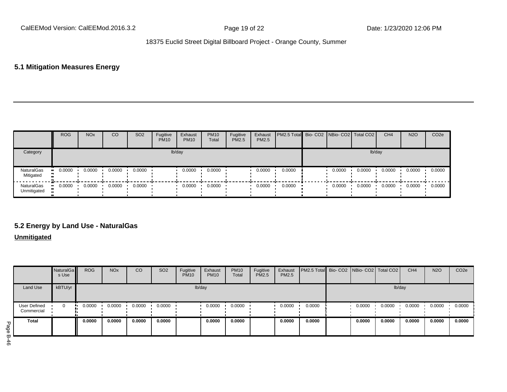## **5.1 Mitigation Measures Energy**

|                           | <b>ROG</b> | <b>NO<sub>x</sub></b> | CO     | SO <sub>2</sub> | Fugitive<br><b>PM10</b> | Exhaust<br><b>PM10</b> | <b>PM10</b><br>Total | Fugitive<br>PM2.5 | Exhaust<br>PM2.5 | PM2.5 Total Bio- CO2 NBio- CO2 Total CO2 |        |        | CH <sub>4</sub> | <b>N2O</b> | CO <sub>2e</sub> |
|---------------------------|------------|-----------------------|--------|-----------------|-------------------------|------------------------|----------------------|-------------------|------------------|------------------------------------------|--------|--------|-----------------|------------|------------------|
| Category                  |            |                       |        |                 | lb/day                  |                        |                      |                   |                  |                                          |        | lb/day |                 |            |                  |
| NaturalGas<br>Mitigated   | 0.0000     | 0.0000                | 0.0000 | 0.0000          |                         | 0.0000                 | 0.0000               |                   | 0.0000           | 0.0000                                   | 0.0000 | 0.0000 | 0.0000          | 0.0000     | 0.0000           |
| NaturalGas<br>Unmitigated | 0.0000     | 0.0000                | 0.0000 | 0.0000          |                         | 0.0000                 | 0.0000               |                   | 0.0000           | 0.0000                                   | 0.0000 | 0.0000 | 0.0000          | 0.0000     | 0.0000           |

## **5.2 Energy by Land Use - NaturalGas**

## **Unmitigated**

|                            | NaturalGa<br>s Use | <b>ROG</b> | <b>NO<sub>x</sub></b> | CO     | <b>SO2</b> | Fugitive<br><b>PM10</b> | Exhaust<br><b>PM10</b> | <b>PM10</b><br>Total | Fugitive<br>PM2.5 | Exhaust<br>PM2.5 | PM2.5 Total Bio- CO2 NBio- CO2 Total CO2 |        |        | CH <sub>4</sub> | <b>N2O</b> | CO <sub>2e</sub> |
|----------------------------|--------------------|------------|-----------------------|--------|------------|-------------------------|------------------------|----------------------|-------------------|------------------|------------------------------------------|--------|--------|-----------------|------------|------------------|
| Land Use                   | kBTU/yr            |            |                       |        |            |                         | lb/day                 |                      |                   |                  |                                          |        | lb/day |                 |            |                  |
| User Defined<br>Commercial | 0                  | 0.0000     | 0.0000                | 0.0000 | 0.0000     |                         | 0.0000                 | 0.0000               |                   | 0.0000           | 0.0000                                   | 0.0000 | 0.0000 | 0.0000          | 0.0000     | 0.0000           |
| <b>Total</b>               |                    | 0.0000     | 0.0000                | 0.0000 | 0.0000     |                         | 0.0000                 | 0.0000               |                   | 0.0000           | 0.0000                                   | 0.0000 | 0.0000 | 0.0000          | 0.0000     | 0.0000           |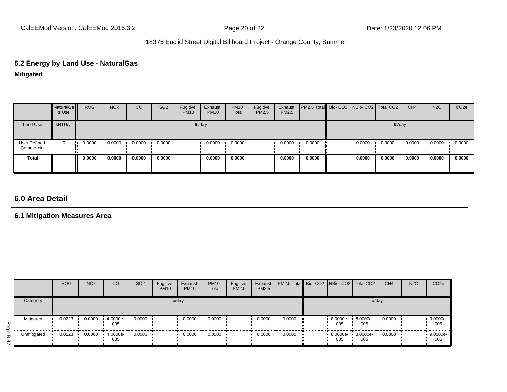# **5.2 Energy by Land Use - NaturalGas**

**Mitigated**

|                            | NaturalGa<br>s Use | <b>ROG</b> | <b>NO<sub>x</sub></b> | CO     | SO <sub>2</sub> | Fugitive<br><b>PM10</b> | Exhaust<br><b>PM10</b> | <b>PM10</b><br>Total | Fugitive<br>PM2.5 | Exhaust<br>PM2.5 | PM2.5 Total Bio- CO2 NBio- CO2 Total CO2 |        |        | CH <sub>4</sub> | <b>N2O</b> | CO <sub>2</sub> e |
|----------------------------|--------------------|------------|-----------------------|--------|-----------------|-------------------------|------------------------|----------------------|-------------------|------------------|------------------------------------------|--------|--------|-----------------|------------|-------------------|
| Land Use                   | kBTU/yr            |            |                       |        |                 |                         | lb/day                 |                      |                   |                  |                                          |        | lb/day |                 |            |                   |
| User Defined<br>Commercial | $\mathbf 0$        | 0.0000     | 0.0000                | 0.0000 | 0.0000          |                         | 0.0000                 | 0.0000               |                   | 0.0000           | 0.0000                                   | 0.0000 | 0.0000 | 0.0000          | 0.0000     | 0.0000            |
| <b>Total</b>               |                    | 0.0000     | 0.0000                | 0.0000 | 0.0000          |                         | 0.0000                 | 0.0000               |                   | 0.0000           | 0.0000                                   | 0.0000 | 0.0000 | 0.0000          | 0.0000     | 0.0000            |

## **6.0 Area Detail**

## **6.1 Mitigation Measures Area**

|                  |             | <b>ROG</b> | <b>NO<sub>x</sub></b> | CO              | SO <sub>2</sub> | Fugitive<br><b>PM10</b> | Exhaust<br><b>PM10</b> | <b>PM10</b><br>Total | Fugitive<br><b>PM2.5</b> | Exhaust<br>PM2.5 | PM2.5 Total  Bio- CO2   NBio- CO2   Total CO2 |                          |                 | CH <sub>4</sub> | <b>N2O</b> | CO <sub>2</sub> e |
|------------------|-------------|------------|-----------------------|-----------------|-----------------|-------------------------|------------------------|----------------------|--------------------------|------------------|-----------------------------------------------|--------------------------|-----------------|-----------------|------------|-------------------|
|                  | Category    |            |                       |                 |                 | lb/day                  |                        |                      |                          |                  |                                               |                          | lb/day          |                 |            |                   |
| Page             | Mitigated   | 0.0223     | 0.0000                | 4.0000e-<br>005 | 0.0000          |                         | 0.0000                 | 0.0000               |                          | 0.0000           | 0.0000                                        | 8.0000e-<br>005          | 8.0000e-<br>005 | 0.0000          |            | 9.0000e-<br>005   |
| $\mathbf \sigma$ | Unmitigated | 0.0223     | 0.0000                | 4.0000e-<br>005 | 0.0000          |                         | 0.0000                 | 0.0000               |                          | 0.0000           | 0.0000                                        | 8.0000e- 8.0000e-<br>005 | 005             | 0.0000          |            | 9.0000e-<br>005   |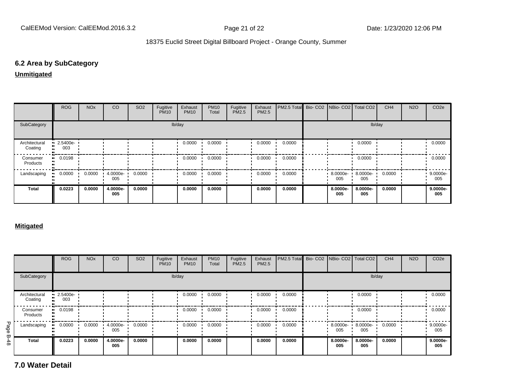## **6.2 Area by SubCategory**

**Unmitigated**

|                          | <b>ROG</b>              | <b>NO<sub>x</sub></b> | CO                 | SO <sub>2</sub> | Fugitive<br><b>PM10</b> | Exhaust<br><b>PM10</b> | <b>PM10</b><br>Total | Fugitive<br>PM2.5 | Exhaust<br><b>PM2.5</b> | PM2.5 Total Bio- CO2 NBio- CO2   Total CO2 |  |                      |                 | CH <sub>4</sub> | <b>N2O</b> | CO <sub>2</sub> e |  |  |  |  |
|--------------------------|-------------------------|-----------------------|--------------------|-----------------|-------------------------|------------------------|----------------------|-------------------|-------------------------|--------------------------------------------|--|----------------------|-----------------|-----------------|------------|-------------------|--|--|--|--|
| SubCategory              |                         | lb/day                |                    |                 |                         |                        |                      |                   |                         |                                            |  |                      |                 | lb/day          |            |                   |  |  |  |  |
| Architectural<br>Coating | $\cdot$ 2.5400e-<br>003 |                       |                    |                 |                         | 0.0000                 | 0.0000               |                   | 0.0000                  | 0.0000                                     |  |                      | 0.0000          |                 |            | 0.0000            |  |  |  |  |
| Consumer<br>Products     | $\blacksquare$ 0.0198   |                       |                    |                 |                         | 0.0000                 | 0.0000               |                   | 0.0000                  | 0.0000                                     |  |                      | 0.0000          |                 |            | 0.0000            |  |  |  |  |
| Landscaping              | 0.0000                  | 0.0000                | $4.0000e -$<br>005 | 0.0000          |                         | 0.0000                 | 0.0000               |                   | 0.0000                  | 0.0000                                     |  | $8.0000e - 1$<br>005 | 8.0000e-<br>005 | 0.0000          |            | 9.0000e-<br>005   |  |  |  |  |
| <b>Total</b>             | 0.0223                  | 0.0000                | 4.0000e-<br>005    | 0.0000          |                         | 0.0000                 | 0.0000               |                   | 0.0000                  | 0.0000                                     |  | 8.0000e-<br>005      | 8.0000e-<br>005 | 0.0000          |            | 9.0000e-<br>005   |  |  |  |  |

#### **Mitigated**

|                    |                          | <b>ROG</b>                     | <b>NO<sub>x</sub></b> | <sub>CO</sub>   | SO <sub>2</sub> | Fugitive<br><b>PM10</b> | Exhaust<br><b>PM10</b> | <b>PM10</b><br>Total | Fugitive<br><b>PM2.5</b> | Exhaust<br>PM2.5 | PM2.5 Total |                    | Bio- CO2   NBio- CO2   Total CO2 | CH <sub>4</sub> | <b>N2O</b> | CO <sub>2e</sub>  |
|--------------------|--------------------------|--------------------------------|-----------------------|-----------------|-----------------|-------------------------|------------------------|----------------------|--------------------------|------------------|-------------|--------------------|----------------------------------|-----------------|------------|-------------------|
|                    | SubCategory              |                                |                       |                 |                 |                         | lb/day                 |                      |                          |                  |             |                    | lb/day                           |                 |            |                   |
|                    | Architectural<br>Coating | $\blacksquare$ 2.5400e-<br>003 |                       |                 |                 |                         | 0.0000                 | 0.0000               |                          | 0.0000           | 0.0000      |                    | 0.0000                           |                 |            | 0.0000            |
|                    | Consumer<br>Products     | 0.0198<br>                     |                       |                 |                 |                         | 0.0000                 | 0.0000               |                          | 0.0000           | 0.0000      |                    | 0.0000                           |                 |            | 0.0000            |
| Page               | Landscaping              | 0.0000<br>                     | 0.0000                | 4.0000e-<br>005 | 0.0000          |                         | 0.0000                 | 0.0000               |                          | 0.0000           | 0.0000      | $8.0000e -$<br>005 | 8.0000e-<br>005                  | 0.0000          |            | 9.0000e-<br>005   |
| Ģ<br>$\frac{4}{8}$ | <b>Total</b>             | 0.0223                         | 0.0000                | 4.0000e-<br>005 | 0.0000          |                         | 0.0000                 | 0.0000               |                          | 0.0000           | 0.0000      | 8.0000e-<br>005    | 8.0000e-<br>005                  | 0.0000          |            | $9.0000e-$<br>005 |

**7.0 Water Detail**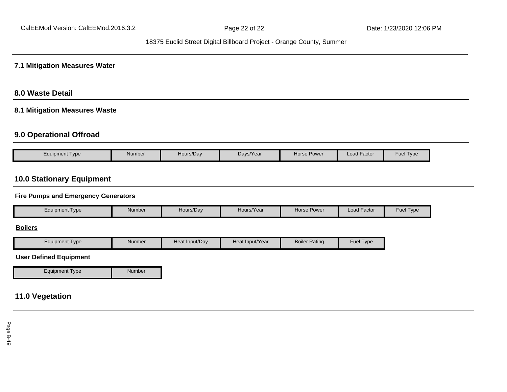### **7.1 Mitigation Measures Water**

## **8.0 Waste Detail**

## **8.1 Mitigation Measures Waste**

## **9.0 Operational Offroad**

| Equipment Type | Number | Hours/Dav <sup>.</sup> | Days/Year | Horse Power | <b>Load Factor</b> | Fuel<br>Type |
|----------------|--------|------------------------|-----------|-------------|--------------------|--------------|

## **10.0 Stationary Equipment**

#### **Fire Pumps and Emergency Generators**

| Equipment Type | Number | Hours/Day | Hours/Year | Horse Power | l Factor<br>Load | Fuel Type |
|----------------|--------|-----------|------------|-------------|------------------|-----------|
|----------------|--------|-----------|------------|-------------|------------------|-----------|

#### **Boilers**

| Tvpe<br>Equipment | Number | Heat Input/Dav | Heat Input/Year | <b>Boiler Rating</b> | Fuel $\tau$<br>Type |
|-------------------|--------|----------------|-----------------|----------------------|---------------------|

#### **User Defined Equipment**

Equipment Type Number

## **11.0 Vegetation**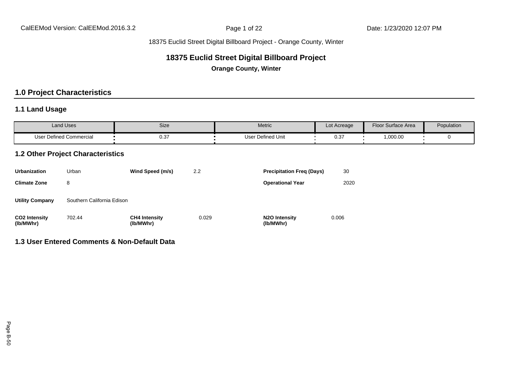## **18375 Euclid Street Digital Billboard Project**

**Orange County, Winter**

## **1.0 Project Characteristics**

## **1.1 Land Usage**

| <b>Land Uses</b>        | Size | Metric                   | Lot Acreage | Floor Surface Area                         | Population |
|-------------------------|------|--------------------------|-------------|--------------------------------------------|------------|
| User Defined Commercial | 0.37 | <b>User Defined Unit</b> | 0.31        | ,000.00<br>the contract of the contract of |            |

## **1.2 Other Project Characteristics**

| <b>Urbanization</b>               | Urban                      | Wind Speed (m/s)                  | 2.2   | <b>Precipitation Freg (Days)</b>        | 30    |
|-----------------------------------|----------------------------|-----------------------------------|-------|-----------------------------------------|-------|
| <b>Climate Zone</b>               | 8                          |                                   |       | <b>Operational Year</b>                 | 2020  |
| <b>Utility Company</b>            | Southern California Edison |                                   |       |                                         |       |
| <b>CO2 Intensity</b><br>(lb/MWhr) | 702.44                     | <b>CH4 Intensity</b><br>(lb/MWhr) | 0.029 | N <sub>2</sub> O Intensity<br>(lb/MWhr) | 0.006 |

### **1.3 User Entered Comments & Non-Default Data**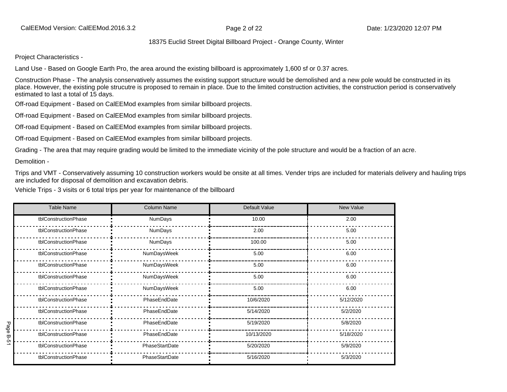Project Characteristics -

Land Use - Based on Google Earth Pro, the area around the existing billboard is approximately 1,600 sf or 0.37 acres.

Construction Phase - The analysis conservatively assumes the existing support structure would be demolished and a new pole would be constructed in its place. However, the existing pole strucutre is proposed to remain in place. Due to the limited construction activities, the construction period is conservatively estimated to last a total of 15 days.

Off-road Equipment - Based on CalEEMod examples from similar billboard projects.

Off-road Equipment - Based on CalEEMod examples from similar billboard projects.

Off-road Equipment - Based on CalEEMod examples from similar billboard projects.

Off-road Equipment - Based on CalEEMod examples from similar billboard projects.

Grading - The area that may require grading would be limited to the immediate vicinity of the pole structure and would be a fraction of an acre.

Demolition -

Trips and VMT - Conservatively assuming 10 construction workers would be onsite at all times. Vender trips are included for materials delivery and hauling trips are included for disposal of demolition and excavation debris.

Vehicle Trips - 3 visits or 6 total trips per year for maintenance of the billboard

|             | <b>Table Name</b>    | <b>Column Name</b> | Default Value | New Value |
|-------------|----------------------|--------------------|---------------|-----------|
|             | tblConstructionPhase | <b>NumDays</b>     | 10.00         | 2.00      |
|             | tblConstructionPhase | NumDays            | 2.00          | 5.00      |
|             | tblConstructionPhase | NumDays            | 100.00        | 5.00      |
|             | tblConstructionPhase | NumDaysWeek        | 5.00          | 6.00      |
|             | tblConstructionPhase | NumDaysWeek        | 5.00          | 6.00      |
|             | tblConstructionPhase | NumDaysWeek        | 5.00          | 6.00      |
|             | tblConstructionPhase | NumDaysWeek        | 5.00          | 6.00      |
|             | tblConstructionPhase | PhaseEndDate       | 10/6/2020     | 5/12/2020 |
|             | tblConstructionPhase | PhaseEndDate       | 5/14/2020     | 5/2/2020  |
| Page        | tblConstructionPhase | PhaseEndDate       | 5/19/2020     | 5/8/2020  |
| <b>B-51</b> | tblConstructionPhase | PhaseEndDate       | 10/13/2020    | 5/18/2020 |
|             | tblConstructionPhase | PhaseStartDate     | 5/20/2020     | 5/9/2020  |
|             | tblConstructionPhase | PhaseStartDate     | 5/16/2020     | 5/3/2020  |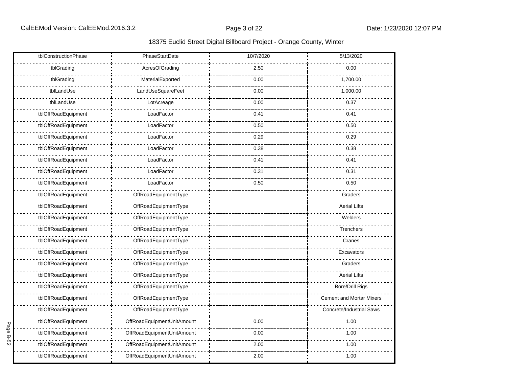|      | tblConstructionPhase | PhaseStartDate             | 10/7/2020 | 5/13/2020                       |
|------|----------------------|----------------------------|-----------|---------------------------------|
|      | tblGrading           | AcresOfGrading             | 2.50      | 0.00                            |
|      | tblGrading           | MaterialExported           | 0.00      | 1,700.00                        |
|      | tblLandUse           | LandUseSquareFeet          | 0.00      | 1,000.00                        |
|      | tblLandUse           | LotAcreage                 | 0.00      | 0.37                            |
|      | tblOffRoadEquipment  | LoadFactor                 | 0.41      | 0.41                            |
|      | tblOffRoadEquipment  | LoadFactor                 | 0.50      | 0.50                            |
|      | tblOffRoadEquipment  | LoadFactor                 | 0.29      | 0.29                            |
|      | tblOffRoadEquipment  | LoadFactor                 | 0.38      | 0.38                            |
|      | tblOffRoadEquipment  | LoadFactor                 | 0.41      | 0.41                            |
|      | tblOffRoadEquipment  | LoadFactor                 | 0.31      | 0.31                            |
|      | tblOffRoadEquipment  | LoadFactor                 | 0.50      | 0.50                            |
|      | tblOffRoadEquipment  | OffRoadEquipmentType       |           | Graders                         |
|      | tblOffRoadEquipment  | OffRoadEquipmentType       |           | <b>Aerial Lifts</b>             |
|      | tblOffRoadEquipment  | OffRoadEquipmentType       |           | Welders                         |
|      | tblOffRoadEquipment  | OffRoadEquipmentType       |           | Trenchers                       |
|      | tblOffRoadEquipment  | OffRoadEquipmentType       |           | Cranes                          |
|      | tblOffRoadEquipment  | OffRoadEquipmentType       |           | Excavators                      |
|      | tblOffRoadEquipment  | OffRoadEquipmentType       |           | Graders                         |
|      | tblOffRoadEquipment  | OffRoadEquipmentType       |           | <b>Aerial Lifts</b>             |
|      | tblOffRoadEquipment  | OffRoadEquipmentType       |           | <b>Bore/Drill Rigs</b>          |
|      | tblOffRoadEquipment  | OffRoadEquipmentType       |           | <b>Cement and Mortar Mixers</b> |
|      | tblOffRoadEquipment  | OffRoadEquipmentType       |           | Concrete/Industrial Saws        |
| Page | tblOffRoadEquipment  | OffRoadEquipmentUnitAmount | 0.00      | 1.00                            |
| B-52 | tblOffRoadEquipment  | OffRoadEquipmentUnitAmount | 0.00      | 1.00                            |
|      | tblOffRoadEquipment  | OffRoadEquipmentUnitAmount | 2.00      | 1.00                            |
|      | tblOffRoadEquipment  | OffRoadEquipmentUnitAmount | 2.00      | 1.00                            |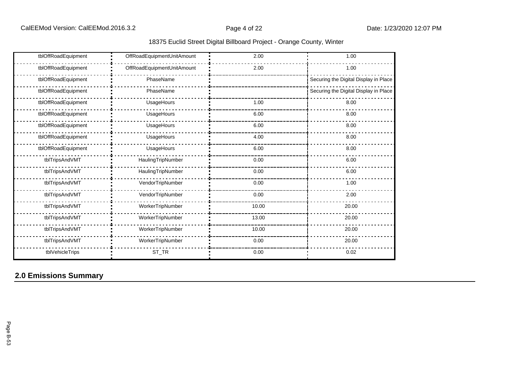| tblOffRoadEquipment | OffRoadEquipmentUnitAmount | 2.00  | 1.00                                  |
|---------------------|----------------------------|-------|---------------------------------------|
| tblOffRoadEquipment | OffRoadEquipmentUnitAmount | 2.00  | 1.00                                  |
| tblOffRoadEquipment | PhaseName                  |       | Securing the Digital Display in Place |
| tblOffRoadEquipment | PhaseName                  |       | Securing the Digital Display in Place |
| tblOffRoadEquipment | UsageHours                 | 1.00  | 8.00                                  |
| tblOffRoadEquipment | UsageHours                 | 6.00  | 8.00                                  |
| tblOffRoadEquipment | UsageHours                 | 6.00  | 8.00                                  |
| tblOffRoadEquipment | UsageHours                 | 4.00  | 8.00                                  |
| tblOffRoadEquipment | UsageHours                 | 6.00  | 8.00                                  |
| tblTripsAndVMT      | HaulingTripNumber          | 0.00  | 6.00                                  |
| tblTripsAndVMT      | HaulingTripNumber          | 0.00  | 6.00                                  |
| tblTripsAndVMT      | VendorTripNumber           | 0.00  | 1.00                                  |
| tblTripsAndVMT      | VendorTripNumber           | 0.00  | 2.00                                  |
| tblTripsAndVMT      | WorkerTripNumber           | 10.00 | 20.00                                 |
| tblTripsAndVMT      | WorkerTripNumber           | 13.00 | 20.00                                 |
| tblTripsAndVMT      | WorkerTripNumber           | 10.00 | 20.00                                 |
| tblTripsAndVMT      | WorkerTripNumber           | 0.00  | 20.00                                 |
| tblVehicleTrips     | $ST_TR$                    | 0.00  | 0.02                                  |

# **2.0 Emissions Summary**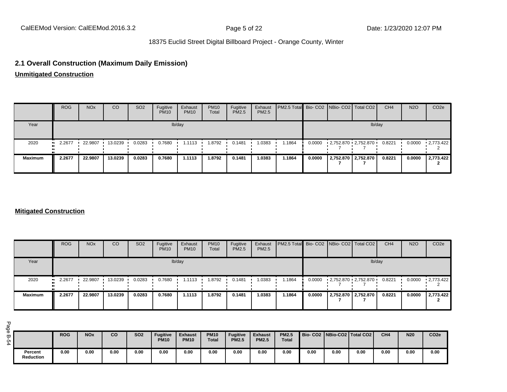## **2.1 Overall Construction (Maximum Daily Emission)**

**Unmitigated Construction**

|                | <b>ROG</b> | <b>NO<sub>x</sub></b> | <sub>CO</sub> | SO <sub>2</sub> | Fugitive<br><b>PM10</b> | Exhaust<br><b>PM10</b> | <b>PM10</b><br>Total | Fugitive<br>PM2.5 | Exhaust<br>PM2.5 | PM2.5 Total Bio- CO2 NBio- CO2   Total CO2 |        |                       |                          | CH <sub>4</sub> | <b>N2O</b> | CO <sub>2</sub> e |
|----------------|------------|-----------------------|---------------|-----------------|-------------------------|------------------------|----------------------|-------------------|------------------|--------------------------------------------|--------|-----------------------|--------------------------|-----------------|------------|-------------------|
| Year           | lb/day     |                       |               |                 |                         |                        |                      |                   |                  |                                            | lb/day |                       |                          |                 |            |                   |
| 2020           | 2.2677     | 22.9807               | 13.0239       | 0.0283          | 0.7680                  | 1.1113                 | 8792. ا              | 0.1481            | 1.0383           | 1.1864                                     | 0.0000 |                       | $-2,752.870 - 2,752.870$ | 0.8221          | 0.0000     | $\cdot$ 2.773.422 |
| <b>Maximum</b> | 2.2677     | 22.9807               | 13.0239       | 0.0283          | 0.7680                  | 1.1113                 | 1.8792               | 0.1481            | 1.0383           | 1.1864                                     | 0.0000 | 2,752.870   2,752.870 |                          | 0.8221          | 0.0000     | 2,773.422         |

#### **Mitigated Construction**

|                | <b>ROG</b>            | <b>NO<sub>x</sub></b> | <sub>CO</sub> | SO <sub>2</sub> | Fugitive<br><b>PM10</b> | Exhaust<br><b>PM10</b> | <b>PM10</b><br>Total | Fugitive<br><b>PM2.5</b> | Exhaust<br>PM2.5 | PM2.5 Total Bio- CO2 NBio- CO2 Total CO2 |        |                                  | CH <sub>4</sub> | <b>N2O</b> | CO <sub>2e</sub> |
|----------------|-----------------------|-----------------------|---------------|-----------------|-------------------------|------------------------|----------------------|--------------------------|------------------|------------------------------------------|--------|----------------------------------|-----------------|------------|------------------|
| Year           |                       |                       |               |                 |                         | lb/day                 |                      |                          |                  |                                          |        | lb/day                           |                 |            |                  |
| 2020           | $\blacksquare$ 2.2677 | 22.9807               | 13.0239       | 0.0283          | 0.7680                  | 1.1113                 | 1.8792               | 0.1481                   | 1.0383           | 1.1864                                   |        | $0.0000$ $1,752.870$ $2,752.870$ | 0.8221          | 0.0000     | 12,773.422       |
| <b>Maximum</b> | 2.2677                | 22.9807               | 13.0239       | 0.0283          | 0.7680                  | 1.1113                 | 1.8792               | 0.1481                   | 1.0383           | 1.1864                                   | 0.0000 | 2,752.870   2,752.870            | 0.8221          | 0.0000     | 2,773.422        |

|                      | <b>ROG</b> | <b>NOx</b> | co   | <b>SO2</b> | <b>Fugitive</b><br><b>PM10</b> | <b>Exhaust</b><br><b>PM10</b> | <b>PM10</b><br><b>Total</b> | <b>Fugitive</b><br><b>PM2.5</b> | <b>Exhaust</b><br><b>PM2.5</b> | <b>PM2.5</b><br><b>Total</b> |      |      | Bio-CO2   NBio-CO2   Total CO2 | CH <sub>4</sub> | <b>N20</b> | CO <sub>2e</sub> |
|----------------------|------------|------------|------|------------|--------------------------------|-------------------------------|-----------------------------|---------------------------------|--------------------------------|------------------------------|------|------|--------------------------------|-----------------|------------|------------------|
| Percent<br>Reduction | 0.00       | 0.00       | 0.00 | 0.00       | 0.00                           | 0.00                          | 0.00                        | 0.00                            | 0.00                           | 0.00                         | 0.00 | 0.00 | 0.00                           | 0.00            | 0.00       | 0.00             |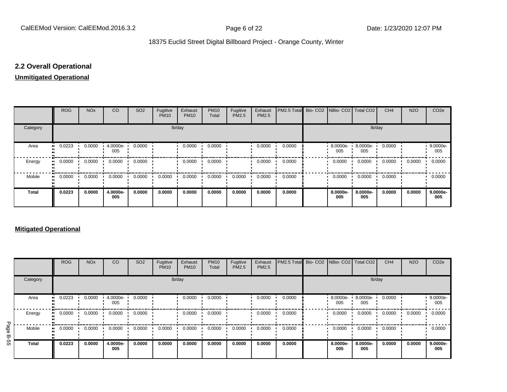## **2.2 Overall Operational**

### **Unmitigated Operational**

|              | <b>ROG</b> | <b>NO<sub>x</sub></b> | <b>CO</b>       | SO <sub>2</sub> | Fugitive<br><b>PM10</b> | Exhaust<br><b>PM10</b> | <b>PM10</b><br>Total | Fugitive<br>PM2.5 | Exhaust<br>PM2.5 | PM2.5 Total Bio- CO2 NBio- CO2 Total CO2 |                 |                 | CH <sub>4</sub> | <b>N2O</b> | CO <sub>2e</sub> |
|--------------|------------|-----------------------|-----------------|-----------------|-------------------------|------------------------|----------------------|-------------------|------------------|------------------------------------------|-----------------|-----------------|-----------------|------------|------------------|
| Category     |            |                       |                 |                 | lb/day                  |                        |                      |                   |                  |                                          |                 | lb/day          |                 |            |                  |
| Area         | 0.0223     | 0.0000                | 4.0000e-<br>005 | 0.0000          |                         | 0.0000                 | 0.0000               |                   | 0.0000           | 0.0000                                   | 8.0000e-<br>005 | 8.0000e-<br>005 | 0.0000          |            | 9.0000e-<br>005  |
| Energy       | 0.0000     | 0.0000                | 0.0000          | 0.0000          |                         | 0.0000                 | 0.0000               |                   | 0.0000           | 0.0000                                   | 0.0000          | 0.0000          | 0.0000          | 0.0000     | 0.0000           |
| Mobile       | 0.0000<br> | 0.0000                | 0.0000          | 0.0000          | 0.0000                  | 0.0000                 | 0.0000               | 0.0000            | 0.0000           | 0.0000                                   | 0.0000          | 0.0000          | 0.0000          |            | 0.0000           |
| <b>Total</b> | 0.0223     | 0.0000                | 4.0000e-<br>005 | 0.0000          | 0.0000                  | 0.0000                 | 0.0000               | 0.0000            | 0.0000           | 0.0000                                   | 8.0000e-<br>005 | 8.0000e-<br>005 | 0.0000          | 0.0000     | 9.0000e-<br>005  |

#### **Mitigated Operational**

|           |            | <b>ROG</b> | <b>NO<sub>x</sub></b> | CO              | SO <sub>2</sub> | Fugitive<br><b>PM10</b> | Exhaust<br><b>PM10</b> | <b>PM10</b><br>Total | Fugitive<br>PM2.5 | Exhaust<br>PM2.5 | PM2.5 Total Bio- CO2 NBio- CO2   Total CO2 |                  |                 | CH <sub>4</sub> | <b>N2O</b> | CO <sub>2e</sub>   |
|-----------|------------|------------|-----------------------|-----------------|-----------------|-------------------------|------------------------|----------------------|-------------------|------------------|--------------------------------------------|------------------|-----------------|-----------------|------------|--------------------|
|           | Category   |            |                       |                 |                 |                         | lb/day                 |                      |                   |                  |                                            |                  | lb/day          |                 |            |                    |
|           | Area<br>   | 0.0223     | 0.0000                | 4.0000e-<br>005 | 0.0000          |                         | 0.0000                 | 0.0000               |                   | 0.0000           | 0.0000                                     | 8.0000e ·<br>005 | 8.0000e-<br>005 | 0.0000          |            | $9.0000e -$<br>005 |
|           | Energy<br> | 0.0000     | 0.0000                | 0.0000          | 0.0000          |                         | 0.0000                 | 0.0000               |                   | 0.0000           | 0.0000                                     | 0.0000           | 0.0000          | 0.0000          | 0.0000     | 0.0000             |
| Page<br>٣ | Mobile<br> | 0.0000     | 0.0000                | 0.0000          | 0.0000          | 0.0000                  | 0.0000                 | 0.0000               | 0.0000            | 0.0000           | 0.0000                                     | 0.0000           | 0.0000          | 0.0000          |            | 0.0000             |
| ġ,        | Total      | 0.0223     | 0.0000                | 4.0000e-<br>005 | 0.0000          | 0.0000                  | 0.0000                 | 0.0000               | 0.0000            | 0.0000           | 0.0000                                     | 8.0000e-<br>005  | 8.0000e-<br>005 | 0.0000          | 0.0000     | 9.0000e-<br>005    |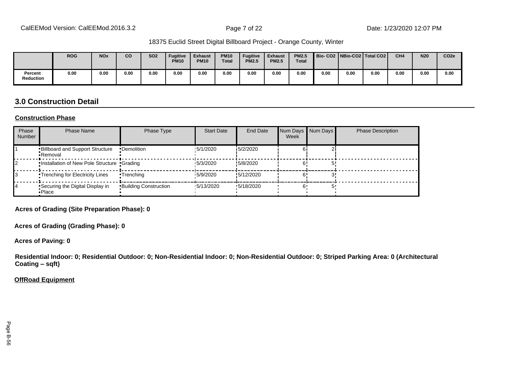|                      | <b>ROG</b> | <b>NO<sub>x</sub></b> | CO   | <b>SO2</b> | <b>Fugitive</b><br><b>PM10</b> | <b>Exhaust</b><br><b>PM10</b> | <b>PM10</b><br><b>Total</b> | Fugitive<br><b>PM2.5</b> | <b>Exhaust</b><br><b>PM2.5</b> | <b>PM2.5</b><br><b>Total</b> |      |      | Bio- CO2   NBio-CO2   Total CO2 | CH <sub>4</sub> | <b>N20</b> | CO <sub>2e</sub> |
|----------------------|------------|-----------------------|------|------------|--------------------------------|-------------------------------|-----------------------------|--------------------------|--------------------------------|------------------------------|------|------|---------------------------------|-----------------|------------|------------------|
| Percent<br>Reduction | 0.00       | 0.00                  | 0.00 | 0.00       | 0.00                           | 0.00                          | 0.00                        | 0.00                     | 0.00                           | 0.00                         | 0.00 | 0.00 | 0.00                            | 0.00            | 0.00       | 0.00             |

## **3.0 Construction Detail**

#### **Construction Phase**

| Phase<br><b>Number</b> | <b>Phase Name</b>                                  | Phase Type                   | <b>Start Date</b> | <b>End Date</b> | Num Days Num Days<br>Week | <b>Phase Description</b> |
|------------------------|----------------------------------------------------|------------------------------|-------------------|-----------------|---------------------------|--------------------------|
|                        | <b>Billboard and Support Structure</b><br>•Removal | •Demolition                  | 15/1/2020         | 15/2/2020       |                           |                          |
|                        | . Installation of New Pole Structure . Grading     |                              | 15/3/2020         | !5/8/2020       |                           |                          |
|                        | <b>Trenching for Electricity Lines</b>             | •Trenching                   | 15/9/2020         | !5/12/2020      |                           |                          |
| 14                     | Securing the Digital Display in<br>•Place          | <b>Building Construction</b> | $\cdot$ 5/13/2020 | '5/18/2020      |                           |                          |

**Acres of Grading (Site Preparation Phase): 0**

**Acres of Grading (Grading Phase): 0**

**Acres of Paving: 0**

**Residential Indoor: 0; Residential Outdoor: 0; Non-Residential Indoor: 0; Non-Residential Outdoor: 0; Striped Parking Area: 0 (Architectural Coating ±sqft)**

#### **OffRoad Equipment**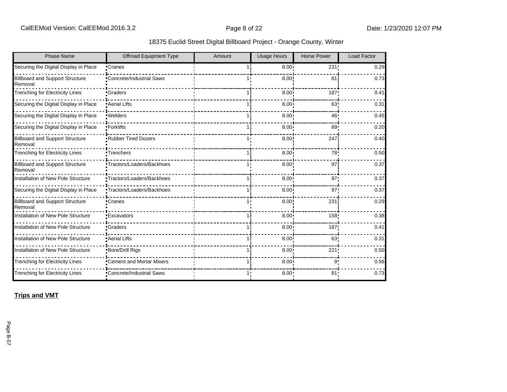| <b>Phase Name</b>                                 | Offroad Equipment Type     | Amount | <b>Usage Hours</b> | <b>Horse Power</b> | <b>Load Factor</b> |
|---------------------------------------------------|----------------------------|--------|--------------------|--------------------|--------------------|
| Securing the Digital Display in Place             | •Cranes                    |        | 8.00 <sub>1</sub>  | 231                | 0.29               |
| <b>Billboard and Support Structure</b><br>Removal | Concrete/Industrial Saws   |        | 8.00               | 81                 | 0.73               |
| <b>Trenching for Electricity Lines</b>            | •Graders                   |        | 8.00               | 187                | 0.41               |
| Securing the Digital Display in Place             | <b>Aerial Lifts</b>        |        | 8.00               | 63                 | 0.31               |
| Securing the Digital Display in Place             | ·Welders                   |        | 8.00               | 46                 | 0.45               |
| Securing the Digital Display in Place             | •Forklifts                 |        | 8.00               | 89                 | 0.20               |
| <b>Billboard and Support Structure</b><br>Removal | <b>Rubber Tired Dozers</b> |        | 8.00               | 247                | 0.40               |
| <b>Trenching for Electricity Lines</b>            | •Trenchers                 |        | 8.00 <sub>1</sub>  | 78'                | 0.50               |
| <b>Billboard and Support Structure</b><br>Removal | •Tractors/Loaders/Backhoes |        | 8.00               | 97                 | 0.37               |
| Installation of New Pole Structure                | •Tractors/Loaders/Backhoes |        | 8.00               | 97                 | 0.37               |
| Securing the Digital Display in Place             | "Tractors/Loaders/Backhoes |        | 8.00               | 97                 | 0.37               |
| <b>Billboard and Support Structure</b><br>Removal | •Cranes                    |        | 8.00               | 231                | 0.29               |
| Installation of New Pole Structure                | •Excavators                |        | 8.00               | 158 <sub>1</sub>   | 0.38               |
| Installation of New Pole Structure                | Graders                    |        | 8.00               | 187                | 0.41               |
| Installation of New Pole Structure                | • Aerial Lifts             |        | 8.00               | 63                 | 0.31               |
| Installation of New Pole Structure                | <b>Bore/Drill Rigs</b>     |        | 8.00               | 221                | 0.50               |
| <b>Trenching for Electricity Lines</b>            | •Cement and Mortar Mixers  |        | $8.00 -$           | g                  | 0.56               |
| <b>Trenching for Electricity Lines</b>            | Concrete/Industrial Saws   |        | $8.00 -$           | 81                 | 0.73               |

**Trips and VMT**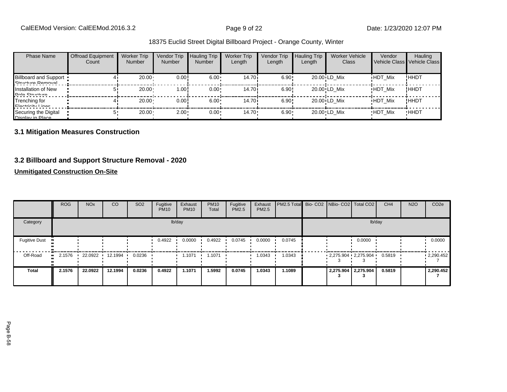| <b>Phase Name</b>                                 | <b>Offroad Equipment</b><br>Count | <b>Worker Trip</b><br><b>Number</b> | Vendor Trip<br><b>Number</b> | <b>Hauling Trip</b><br><b>Number</b> | <b>Worker Trip</b><br>Length | Vendor Trip<br>Length | <b>Hauling Trip</b><br>Length | Worker Vehicle<br>Class | Vendor         | Hauling<br>Vehicle Class Vehicle Class |
|---------------------------------------------------|-----------------------------------|-------------------------------------|------------------------------|--------------------------------------|------------------------------|-----------------------|-------------------------------|-------------------------|----------------|----------------------------------------|
| <b>Billboard and Support</b><br>Ctructure Demoval |                                   | 20.00                               | 0.00!                        | $6.00 \cdot$                         | 14.70 i                      | 6.90!                 |                               | 20.00 LD Mix            | <b>HDT Mix</b> | !HHDT                                  |
| Installation of New<br>Dolo Ctructure             |                                   | 20.00                               | 1.00!                        | $0.00 \cdot$                         | 14.70i                       | 6.90!                 |                               | 20.00 LD Mix            | <b>HDT Mix</b> | !HHDT                                  |
| Trenching for<br>Electricity Linee                |                                   | $20.00 \cdot$                       | 0.00!                        | $6.00 \cdot$                         | 14.70i                       | 6.90!                 |                               | 20.00 LD Mix            | <b>HDT Mix</b> | ! ННDТ                                 |
| Securing the Digital<br>Nienlay in Dlace          |                                   | $20.00 \cdot$                       | $2.00 -$                     | $0.00 \cdot$                         | $14.70 \cdot$                | $6.90 \cdot$          |                               | 20.00 LD Mix            | <b>HDT Mix</b> | <b>HHDT</b>                            |

## **3.1 Mitigation Measures Construction**

## **3.2 Billboard and Support Structure Removal - 2020**

## **Unmitigated Construction On-Site**

|                      | <b>ROG</b>           | <b>NO<sub>x</sub></b> | CO      | SO <sub>2</sub> | Fugitive<br><b>PM10</b> | Exhaust<br><b>PM10</b> | <b>PM10</b><br>Total | Fugitive<br>PM2.5 | Exhaust<br><b>PM2.5</b> | PM2.5 Total Bio- CO2 NBio- CO2 Total CO2 |  |                         | CH <sub>4</sub> | <b>N2O</b> | CO <sub>2e</sub> |
|----------------------|----------------------|-----------------------|---------|-----------------|-------------------------|------------------------|----------------------|-------------------|-------------------------|------------------------------------------|--|-------------------------|-----------------|------------|------------------|
| Category             |                      |                       |         |                 |                         | lb/day                 |                      |                   |                         |                                          |  | lb/day                  |                 |            |                  |
| <b>Fugitive Dust</b> |                      |                       |         |                 | 0.4922                  | 0.0000                 | 0.4922               | 0.0745            | 0.0000                  | 0.0745                                   |  | 0.0000                  |                 |            | 0.0000           |
| Off-Road             | 2.1576<br><b>ALC</b> | 22.0922               | 12.1994 | 0.0236          |                         | 1.1071                 | 1.1071               |                   | 1.0343                  | 1.0343                                   |  | $2,275.904$ $2,275.904$ | 0.5819          |            | $-2,290.452$     |
| <b>Total</b>         | 2.1576               | 22.0922               | 12.1994 | 0.0236          | 0.4922                  | 1.1071                 | 1.5992               | 0.0745            | 1.0343                  | 1.1089                                   |  | 2,275.904 2,275.904     | 0.5819          |            | 2,290.452        |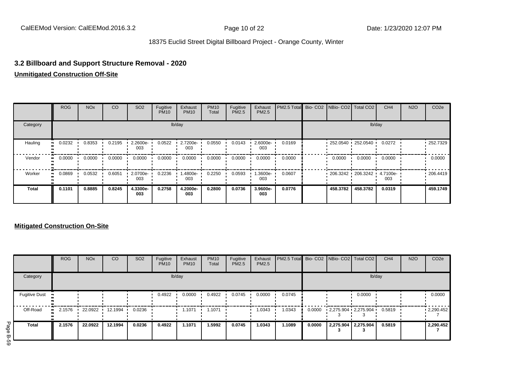## **3.2 Billboard and Support Structure Removal - 2020**

## **Unmitigated Construction Off-Site**

|              | <b>ROG</b>   | <b>NO<sub>x</sub></b> | CO     | SO <sub>2</sub>    | Fugitive<br><b>PM10</b> | Exhaust<br><b>PM10</b> | <b>PM10</b><br>Total | Fugitive<br><b>PM2.5</b> | Exhaust<br>PM2.5 | PM2.5 Total Bio- CO2 NBio- CO2 Total CO2 |                     |          | CH <sub>4</sub> | <b>N2O</b> | CO <sub>2e</sub> |
|--------------|--------------|-----------------------|--------|--------------------|-------------------------|------------------------|----------------------|--------------------------|------------------|------------------------------------------|---------------------|----------|-----------------|------------|------------------|
| Category     |              |                       |        |                    |                         | lb/day                 |                      |                          |                  |                                          |                     | lb/day   |                 |            |                  |
| Hauling      | 0.0232       | 0.8353                | 0.2195 | $2.2600e -$<br>003 | 0.0522                  | 2.7200e-<br>003        | 0.0550               | 0.0143                   | 2.6000e-<br>003  | 0.0169                                   | $252.0540$ 252.0540 |          | 0.0272          |            | $-252.7329$      |
| Vendor       | 0.0000<br>ш. | 0.0000                | 0.0000 | 0.0000             | 0.0000                  | 0.0000                 | 0.0000               | 0.0000                   | 0.0000           | 0.0000                                   | 0.0000              | 0.0000   | 0.0000          |            | 0.0000           |
| Worker       | 0.0869<br>   | 0.0532                | 0.6051 | 2.0700e-<br>003    | 0.2236                  | 1.4800e-<br>003        | 0.2250               | 0.0593                   | -3600e.<br>003   | 0.0607                                   | 206.3242 206.3242   |          | 4.7100e-<br>003 |            | .206.4419        |
| <b>Total</b> | 0.1101       | 0.8885                | 0.8245 | 4.3300e-<br>003    | 0.2758                  | 4.2000e-<br>003        | 0.2800               | 0.0736                   | 3.9600e-<br>003  | 0.0776                                   | 458.3782            | 458.3782 | 0.0319          |            | 459.1749         |

## **Mitigated Construction On-Site**

|                      | <b>ROG</b>             | <b>NO<sub>x</sub></b> | CO              | SO <sub>2</sub> | Fugitive<br><b>PM10</b> | Exhaust<br><b>PM10</b> | <b>PM10</b><br>Total | Fugitive<br><b>PM2.5</b> | Exhaust<br>PM2.5 | <b>PM2.5 Total</b> Bio- CO2 NBio- CO2 Total CO2 |        |                     |                         | CH <sub>4</sub> | <b>N2O</b> | CO <sub>2e</sub>  |
|----------------------|------------------------|-----------------------|-----------------|-----------------|-------------------------|------------------------|----------------------|--------------------------|------------------|-------------------------------------------------|--------|---------------------|-------------------------|-----------------|------------|-------------------|
| Category             |                        |                       |                 |                 |                         | lb/day                 |                      |                          |                  |                                                 |        |                     | lb/day                  |                 |            |                   |
| <b>Fugitive Dust</b> | $\bullet$              |                       |                 |                 | 0.4922                  | 0.0000                 | 0.4922               | 0.0745                   | 0.0000           | 0.0745                                          |        |                     | 0.0000                  |                 |            | 0.0000            |
| Off-Road             | 2.1576<br>$\mathbf{H}$ |                       | 22.0922 12.1994 | 0.0236          |                         | 1.1071                 | 1.1071               |                          | 1.0343           | 1.0343                                          | 0.0000 |                     | $2,275.904$ $2,275.904$ | 0.5819          |            | $\cdot$ 2,290.452 |
| <b>Total</b>         | 2.1576                 | 22.0922               | 12.1994         | 0.0236          | 0.4922                  | 1.1071                 | 1.5992               | 0.0745                   | 1.0343           | 1.1089                                          | 0.0000 | 2,275.904 2,275.904 |                         | 0.5819          |            | 2,290.452         |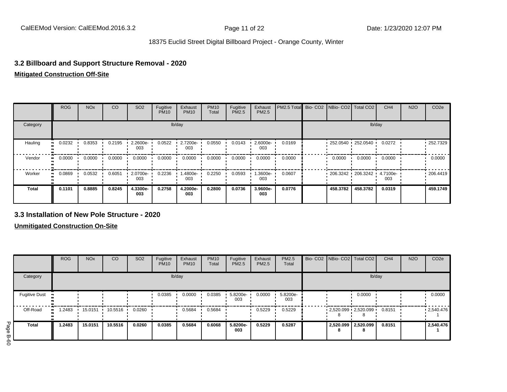## **3.2 Billboard and Support Structure Removal - 2020**

#### **Mitigated Construction Off-Site**

|              | <b>ROG</b>   | <b>NO<sub>x</sub></b> | CO     | SO <sub>2</sub> | Fugitive<br><b>PM10</b> | Exhaust<br><b>PM10</b> | <b>PM10</b><br>Total | Fugitive<br>PM2.5 | Exhaust<br>PM2.5 | PM2.5 Total Bio- CO2 NBio- CO2 Total CO2 |                     |          | CH <sub>4</sub> | <b>N2O</b> | CO <sub>2e</sub> |
|--------------|--------------|-----------------------|--------|-----------------|-------------------------|------------------------|----------------------|-------------------|------------------|------------------------------------------|---------------------|----------|-----------------|------------|------------------|
| Category     |              |                       |        |                 |                         | lb/day                 |                      |                   |                  |                                          |                     |          | lb/day          |            |                  |
| Hauling      | 0.0232       | 0.8353                | 0.2195 | 2.2600e-<br>003 | 0.0522                  | 2.7200e-<br>003        | 0.0550               | 0.0143            | 2.6000e-<br>003  | 0.0169                                   | $252.0540$ 252.0540 |          | 0.0272          |            | $-252.7329$      |
| Vendor       | 0.0000<br>   | 0.0000                | 0.0000 | 0.0000          | 0.0000                  | 0.0000                 | 0.0000               | 0.0000            | 0.0000           | 0.0000                                   | 0.0000              | 0.0000   | 0.0000          |            | 0.0000           |
| Worker       | 0.0869<br>ш. | 0.0532                | 0.6051 | 2.0700e-<br>003 | 0.2236                  | 1.4800e-<br>003        | 0.2250               | 0.0593            | -3600e.<br>003   | 0.0607                                   | $206.3242$ 206.3242 |          | 4.7100e-<br>003 |            | .206.4419        |
| <b>Total</b> | 0.1101       | 0.8885                | 0.8245 | 4.3300e-<br>003 | 0.2758                  | 4.2000e-<br>003        | 0.2800               | 0.0736            | 3.9600e-<br>003  | 0.0776                                   | 458.3782            | 458.3782 | 0.0319          |            | 459.1749         |

#### **3.3 Installation of New Pole Structure - 2020**

**Unmitigated Construction On-Site**

|           |                      | <b>ROG</b>  | <b>NO<sub>x</sub></b> | <sub>CO</sub> | <b>SO2</b> | Fugitive<br><b>PM10</b> | Exhaust<br><b>PM10</b> | <b>PM10</b><br>Total | Fugitive<br><b>PM2.5</b> | Exhaust<br>PM2.5 | PM2.5<br>Total  |                          | Bio- CO2   NBio- CO2   Total CO2  | CH <sub>4</sub> | <b>N2O</b> | CO <sub>2e</sub> |
|-----------|----------------------|-------------|-----------------------|---------------|------------|-------------------------|------------------------|----------------------|--------------------------|------------------|-----------------|--------------------------|-----------------------------------|-----------------|------------|------------------|
|           | Category             |             |                       |               |            | lb/day                  |                        |                      |                          |                  |                 |                          | lb/day                            |                 |            |                  |
|           | <b>Fugitive Dust</b> |             |                       |               |            | 0.0385                  | 0.0000                 | 0.0385               | 5.8200e-<br>003          | 0.0000           | 5.8200e-<br>003 |                          | 0.0000                            |                 |            | 0.0000           |
|           | Off-Road             | .2483<br>ш. | 15.0151               | 10.5516       | 0.0260     |                         | 0.5684                 | 0.5684               |                          | 0.5229           | 0.5229          |                          | $-2,520.099 - 2,520.099 - 0.8151$ |                 |            | .2,540.476       |
| Page<br>ᡂ | <b>Total</b>         | 1.2483      | 15.0151               | 10.5516       | 0.0260     | 0.0385                  | 0.5684                 | 0.6068               | 5.8200e-<br>003          | 0.5229           | 0.5287          | 2,520.099 2,520.099<br>8 | 8                                 | 0.8151          |            | 2,540.476        |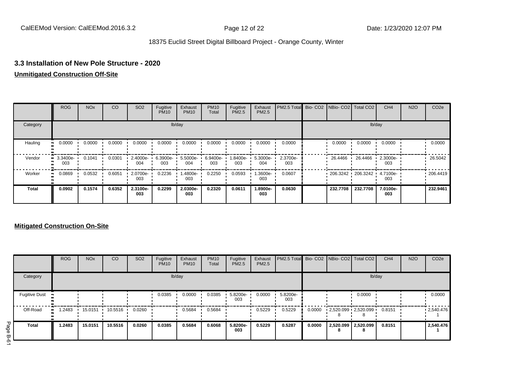## **3.3 Installation of New Pole Structure - 2020**

### **Unmitigated Construction Off-Site**

|              | <b>ROG</b>              | <b>NO<sub>x</sub></b> | CO     | SO <sub>2</sub> | Fugitive<br><b>PM10</b> | Exhaust<br><b>PM10</b> | <b>PM10</b><br>Total | Fugitive<br><b>PM2.5</b> | Exhaust<br>PM2.5 | PM2.5 Total     |  | Bio- CO2   NBio- CO2   Total CO2 |                   | CH <sub>4</sub> | <b>N2O</b> | CO <sub>2e</sub> |
|--------------|-------------------------|-----------------------|--------|-----------------|-------------------------|------------------------|----------------------|--------------------------|------------------|-----------------|--|----------------------------------|-------------------|-----------------|------------|------------------|
| Category     |                         |                       |        |                 |                         | lb/day                 |                      |                          |                  | lb/day          |  |                                  |                   |                 |            |                  |
| Hauling      | 0.0000                  | 0.0000                | 0.0000 | 0.0000          | 0.0000                  | 0.0000                 | 0.0000               | 0.0000                   | 0.0000           | 0.0000          |  | 0.0000                           | 0.0000            | 0.0000          |            | 0.0000           |
| Vendor       | $\cdot$ 3.3400e-<br>003 | 0.1041                | 0.0301 | 2.4000e-<br>004 | 6.3900e-<br>003         | $5.5000e -$<br>004     | 6.9400e-<br>003      | 1.8400e-<br>003          | 5.3000e-<br>004  | 2.3700e-<br>003 |  | 26.4466                          | 26.4466 ·         | 2.3000e-<br>003 |            | 26.5042          |
| Worker       | 0.0869<br>ш.            | 0.0532                | 0.6051 | 2.0700e-<br>003 | 0.2236                  | -4800e.<br>003         | 0.2250               | 0.0593                   | .3600e-<br>003   | 0.0607          |  |                                  | 206.3242 206.3242 | 4.7100e-<br>003 |            | .206.4419        |
| <b>Total</b> | 0.0902                  | 0.1574                | 0.6352 | 2.3100e-<br>003 | 0.2299                  | 2.0300e-<br>003        | 0.2320               | 0.0611                   | 1.8900e-<br>003  | 0.0630          |  | 232.7708                         | 232.7708          | 7.0100e-<br>003 |            | 232.9461         |

## **Mitigated Construction On-Site**

|                      | <b>ROG</b>          | <b>NO<sub>x</sub></b> | CO                | SO <sub>2</sub> | Fugitive<br><b>PM10</b> | Exhaust<br><b>PM10</b> | <b>PM10</b><br>Total | Fugitive<br><b>PM2.5</b> | Exhaust<br>PM2.5 | <b>PM2.5 Total</b> Bio- CO2 NBio- CO2 Total CO2 |        |                                 |        | CH <sub>4</sub> | <b>N2O</b> | CO <sub>2e</sub> |
|----------------------|---------------------|-----------------------|-------------------|-----------------|-------------------------|------------------------|----------------------|--------------------------|------------------|-------------------------------------------------|--------|---------------------------------|--------|-----------------|------------|------------------|
| Category             |                     |                       |                   |                 |                         | lb/day                 |                      |                          |                  |                                                 |        |                                 | lb/day |                 |            |                  |
| <b>Fugitive Dust</b> | $\bullet$           |                       |                   |                 | 0.0385                  | 0.0000                 | 0.0385               | 5.8200e-<br>003          | 0.0000           | 5.8200e-<br>003                                 |        |                                 | 0.0000 |                 |            | 0.0000           |
| Off-Road             | .2483<br><b>ALC</b> | 15.0151               | $10.5516$ $\cdot$ | 0.0260          |                         | 0.5684                 | 0.5684               |                          | 0.5229           | 0.5229                                          | 0.0000 | $2,520.099$ $2,520.099$ $\cdot$ |        | 0.8151          |            | .2,540.476       |
| <b>Total</b>         | 1.2483              | 15.0151               | 10.5516           | 0.0260          | 0.0385                  | 0.5684                 | 0.6068               | 5.8200e-<br>003          | 0.5229           | 0.5287                                          | 0.0000 | 2,520.099 2,520.099<br>8        | 8      | 0.8151          |            | 2,540.476        |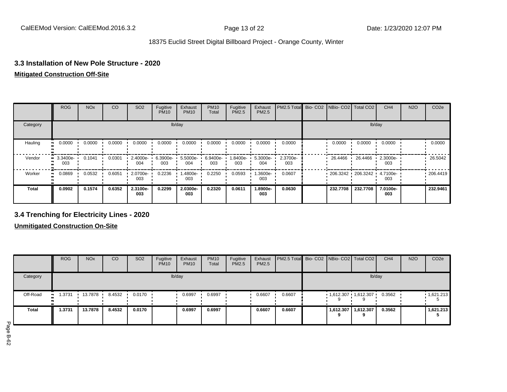## **3.3 Installation of New Pole Structure - 2020**

## **Mitigated Construction Off-Site**

|              | <b>ROG</b>      | <b>NO<sub>x</sub></b> | CO     | SO <sub>2</sub> | Fugitive<br><b>PM10</b> | Exhaust<br><b>PM10</b> | <b>PM10</b><br>Total | Fugitive<br>PM2.5 | Exhaust<br>PM2.5 | PM2.5 Total Bio- CO2 NBio- CO2 Total CO2 |  |                     |          | CH <sub>4</sub> | <b>N2O</b> | CO <sub>2e</sub> |  |
|--------------|-----------------|-----------------------|--------|-----------------|-------------------------|------------------------|----------------------|-------------------|------------------|------------------------------------------|--|---------------------|----------|-----------------|------------|------------------|--|
| Category     |                 |                       |        |                 |                         | lb/day                 |                      |                   |                  | lb/day                                   |  |                     |          |                 |            |                  |  |
| Hauling      | 0.0000          | 0.0000                | 0.0000 | 0.0000          | 0.0000                  | 0.0000                 | 0.0000               | 0.0000            | 0.0000           | 0.0000                                   |  | 0.0000              | 0.0000   | 0.0000          |            | 0.0000           |  |
| Vendor       | 3.3400e-<br>003 | 0.1041                | 0.0301 | 2.4000e-<br>004 | 6.3900e-<br>003         | 5.5000e-<br>004        | 6.9400e-<br>003      | 1.8400e-<br>003   | 5.3000e-<br>004  | 2.3700e-<br>003                          |  | 26.4466             | 26.4466  | 2.3000e-<br>003 |            | 26.5042          |  |
| Worker       | 0.0869          | 0.0532                | 0.6051 | 2.0700e-<br>003 | 0.2236                  | 1.4800e-<br>003        | 0.2250               | 0.0593            | -3600e.<br>003   | 0.0607                                   |  | $206.3242$ 206.3242 |          | 4.7100e-<br>003 |            | .206.4419        |  |
| <b>Total</b> | 0.0902          | 0.1574                | 0.6352 | 2.3100e-<br>003 | 0.2299                  | 2.0300e-<br>003        | 0.2320               | 0.0611            | -.8900e<br>003   | 0.0630                                   |  | 232.7708            | 232.7708 | 7.0100e-<br>003 |            | 232.9461         |  |

## **3.4 Trenching for Electricity Lines - 2020**

**Unmitigated Construction On-Site**

|              | <b>ROG</b> | <b>NO<sub>x</sub></b> | CO     | SO <sub>2</sub>  | Fugitive<br><b>PM10</b> | Exhaust<br><b>PM10</b> | <b>PM10</b><br>Total | Fugitive<br><b>PM2.5</b> | Exhaust<br>PM2.5 | PM2.5 Total Bio- CO2   NBio- CO2   Total CO2 |                |                       | CH <sub>4</sub> | <b>N2O</b> | CO <sub>2e</sub> |
|--------------|------------|-----------------------|--------|------------------|-------------------------|------------------------|----------------------|--------------------------|------------------|----------------------------------------------|----------------|-----------------------|-----------------|------------|------------------|
| Category     |            |                       |        |                  |                         | lb/day                 |                      |                          |                  |                                              |                | lb/day                |                 |            |                  |
| Off-Road     | 1.3731<br> | 13.7878               | 8.4532 | $0.0170$ $\cdot$ |                         | 0.6997                 | 0.6997               |                          | 0.6607           | 0.6607                                       |                | $1,612.307$ 1,612.307 | 0.3562          |            | 1,621.213        |
| <b>Total</b> | 1.3731     | 13.7878               | 8.4532 | 0.0170           |                         | 0.6997                 | 0.6997               |                          | 0.6607           | 0.6607                                       | 1,612.307<br>9 | 1,612.307             | 0.3562          |            | 1,621.213        |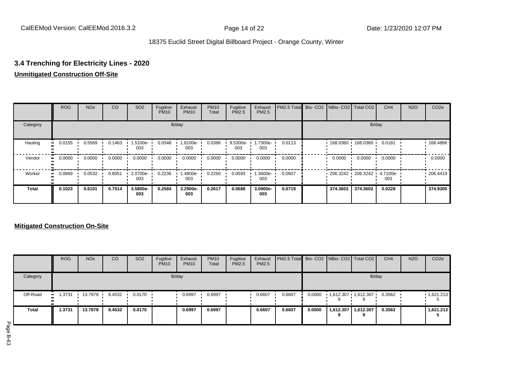## **3.4 Trenching for Electricity Lines - 2020**

## **Unmitigated Construction Off-Site**

|          | <b>ROG</b>   | <b>NO<sub>x</sub></b> | CO     | SO <sub>2</sub> | Fugitive<br><b>PM10</b> | Exhaust<br><b>PM10</b> | <b>PM10</b><br>Total | Fugitive<br><b>PM2.5</b> | Exhaust<br>PM2.5 | PM2.5 Total Bio- CO2 NBio- CO2 Total CO2 |          |                            | CH <sub>4</sub> | <b>N2O</b> | CO <sub>2e</sub> |
|----------|--------------|-----------------------|--------|-----------------|-------------------------|------------------------|----------------------|--------------------------|------------------|------------------------------------------|----------|----------------------------|-----------------|------------|------------------|
| Category |              |                       |        |                 |                         | lb/day                 |                      |                          |                  |                                          |          |                            | lb/day          |            |                  |
| Hauling  | 0.0155<br>   | 0.5569                | 0.1463 | 1.5100e-<br>003 | 0.0348                  | 1.8100e-<br>003        | 0.0366               | 9.5300e-<br>003          | 1.7300e-<br>003  | 0.0113                                   |          | 168.0360 168.0360          | 0.0181          |            | 168.4886         |
| Vendor   | 0.0000<br>ш. | 0.0000                | 0.0000 | 0.0000          | 0.0000                  | 0.0000                 | 0.0000               | 0.0000                   | 0.0000           | 0.0000                                   | 0.0000   | 0.0000                     | 0.0000          |            | 0.0000           |
| Worker   | 0.0869<br>ш. | 0.0532                | 0.6051 | 2.0700e-<br>003 | 0.2236                  | .4800e-<br>003         | 0.2250               | 0.0593                   | .3600e-<br>003   | 0.0607                                   |          | 206.3242 206.3242 4.7100e- | 003             |            | .206.4419        |
| Total    | 0.1023       | 0.6101                | 0.7514 | 3.5800e-<br>003 | 0.2584                  | 3.2900e-<br>003        | 0.2617               | 0.0688                   | 3.0900e-<br>003  | 0.0719                                   | 374.3602 | 374.3602                   | 0.0228          |            | 374.9305         |

## **Mitigated Construction On-Site**

|          | <b>ROG</b>   | <b>NO<sub>x</sub></b> | CO     | SO <sub>2</sub> | Fugitive<br><b>PM10</b> | Exhaust<br><b>PM10</b> | <b>PM10</b><br>Total | Fugitive<br><b>PM2.5</b> | Exhaust<br><b>PM2.5</b> | <b>PM2.5 Total</b> Bio- CO2 NBio- CO2 Total CO2 |        |                         |                            | CH <sub>4</sub> | <b>N2O</b> | CO <sub>2e</sub>  |
|----------|--------------|-----------------------|--------|-----------------|-------------------------|------------------------|----------------------|--------------------------|-------------------------|-------------------------------------------------|--------|-------------------------|----------------------------|-----------------|------------|-------------------|
| Category |              |                       |        |                 |                         | lb/day                 |                      |                          |                         |                                                 |        |                         | lb/day                     |                 |            |                   |
| Off-Road | 1.3731<br>ш. | 13.7878               | 8.4532 | 0.0170          |                         | 0.6997                 | 0.6997               |                          | 0.6607                  | 0.6607                                          | 0.0000 | $1,612.307$ $1,612.307$ |                            | 0.3562          |            | $\cdot$ 1,621.213 |
| Total    | .3731        | 13.7878               | 8.4532 | 0.0170          |                         | 0.6997                 | 0.6997               |                          | 0.6607                  | 0.6607                                          | 0.0000 |                         | 1,612.307   1,612.307<br>a | 0.3562          |            | 1,621.213         |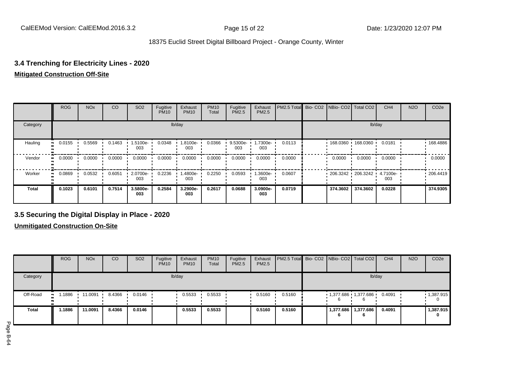## **3.4 Trenching for Electricity Lines - 2020**

### **Mitigated Construction Off-Site**

|              | <b>ROG</b> | <b>NO<sub>x</sub></b> | CO     | SO <sub>2</sub>   | Fugitive<br><b>PM10</b> | Exhaust<br><b>PM10</b> | <b>PM10</b><br>Total | Fugitive<br><b>PM2.5</b> | Exhaust<br>PM2.5 | PM2.5 Total Bio- CO2 NBio- CO2 Total CO2 |  |          |                     | CH <sub>4</sub> | <b>N2O</b> | CO <sub>2e</sub> |
|--------------|------------|-----------------------|--------|-------------------|-------------------------|------------------------|----------------------|--------------------------|------------------|------------------------------------------|--|----------|---------------------|-----------------|------------|------------------|
| Category     | lb/day     |                       |        |                   |                         |                        |                      |                          |                  |                                          |  |          |                     | lb/day          |            |                  |
| Hauling      | 0.0155     | 0.5569                | 0.1463 | $1.5100e-$<br>003 | 0.0348                  | 1.8100e-<br>003        | 0.0366               | 9.5300e-<br>003          | 1.7300e-<br>003  | 0.0113                                   |  |          | 168.0360 168.0360 ' | 0.0181          |            | 168.4886         |
| Vendor       | 0.0000     | 0.0000                | 0.0000 | 0.0000            | 0.0000                  | 0.0000                 | 0.0000               | 0.0000                   | 0.0000           | 0.0000                                   |  | 0.0000   | 0.0000              | 0.0000          |            | 0.0000           |
| Worker       | 0.0869     | 0.0532                | 0.6051 | 2.0700e-<br>003   | 0.2236                  | 1.4800e-<br>003        | 0.2250               | 0.0593                   | -3600e.<br>003   | 0.0607                                   |  |          | 206.3242 206.3242   | 4.7100e-<br>003 |            | .206.4419        |
| <b>Total</b> | 0.1023     | 0.6101                | 0.7514 | 3.5800e-<br>003   | 0.2584                  | 3.2900e-<br>003        | 0.2617               | 0.0688                   | 3.0900e-<br>003  | 0.0719                                   |  | 374.3602 | 374.3602            | 0.0228          |            | 374.9305         |

## **3.5 Securing the Digital Display in Place - 2020**

**Unmitigated Construction On-Site**

|              | <b>ROG</b>   | <b>NO<sub>x</sub></b> | CO     | SO <sub>2</sub> | Fugitive<br><b>PM10</b> | Exhaust<br><b>PM10</b> | <b>PM10</b><br>Total | Fugitive<br>PM2.5 | Exhaust<br>PM2.5 | PM2.5 Total Bio- CO2 NBio- CO2 Total CO2 |   |                       | CH <sub>4</sub> | <b>N2O</b> | CO <sub>2e</sub> |
|--------------|--------------|-----------------------|--------|-----------------|-------------------------|------------------------|----------------------|-------------------|------------------|------------------------------------------|---|-----------------------|-----------------|------------|------------------|
| Category     |              |                       |        |                 |                         | lb/day                 |                      |                   |                  |                                          |   |                       | lb/day          |            |                  |
| Off-Road     | .1886<br>. . | 11.0091               | 8.4366 | 0.0146          |                         | 0.5533                 | 0.5533               |                   | 0.5160           | 0.5160                                   |   | 1,377.686 1,377.686   | 0.4091          |            | 1,387.915        |
| <b>Total</b> | 1.1886       | 11.0091               | 8.4366 | 0.0146          |                         | 0.5533                 | 0.5533               |                   | 0.5160           | 0.5160                                   | 6 | 1,377.686   1,377.686 | 0.4091          |            | 1,387.915<br>0   |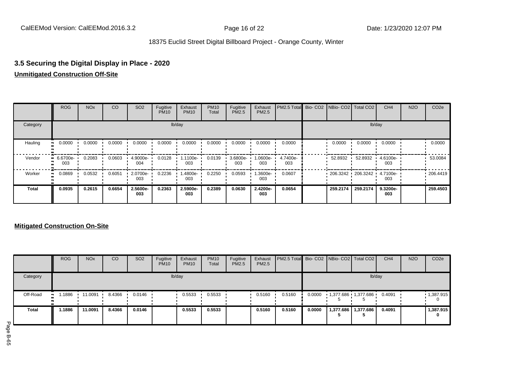## **3.5 Securing the Digital Display in Place - 2020 Unmitigated Construction Off-Site**

|              | <b>ROG</b>      | <b>NO<sub>x</sub></b> | CO     | SO <sub>2</sub> | Fugitive<br><b>PM10</b> | Exhaust<br><b>PM10</b> | <b>PM10</b><br>Total | Fugitive<br><b>PM2.5</b> | Exhaust<br>PM2.5 | PM2.5 Total Bio- CO2 NBio- CO2 Total CO2 |          |                   | CH <sub>4</sub>   | <b>N2O</b> | CO <sub>2e</sub> |
|--------------|-----------------|-----------------------|--------|-----------------|-------------------------|------------------------|----------------------|--------------------------|------------------|------------------------------------------|----------|-------------------|-------------------|------------|------------------|
| Category     |                 |                       |        |                 |                         | lb/day                 |                      |                          |                  |                                          |          |                   | lb/day            |            |                  |
| Hauling      | 0.0000          | 0.0000                | 0.0000 | 0.0000          | 0.0000                  | 0.0000                 | 0.0000               | 0.0000                   | 0.0000           | 0.0000                                   | 0.0000   | 0.0000            | 0.0000            |            | 0.0000           |
| Vendor       | 6.6700e-<br>003 | 0.2083                | 0.0603 | 4.9000e-<br>004 | 0.0128                  | 1.1100e-<br>003        | 0.0139               | 3.6800e-<br>003          | -0600e-1<br>003  | 4.7400e-<br>003                          | 52.8932  | 52.8932           | $.46100e-$<br>003 |            | 53.0084          |
| Worker       | 0.0869          | 0.0532                | 0.6051 | 2.0700e-<br>003 | 0.2236                  | 1.4800e-<br>003        | 0.2250               | 0.0593                   | -3600e.<br>003   | 0.0607                                   |          | 206.3242 206.3242 | 4.7100e-<br>003   |            | .206.4419        |
| <b>Total</b> | 0.0935          | 0.2615                | 0.6654 | 2.5600e-<br>003 | 0.2363                  | 2.5900e-<br>003        | 0.2389               | 0.0630                   | 2.4200e-<br>003  | 0.0654                                   | 259.2174 | 259.2174          | 9.3200e-<br>003   |            | 259.4503         |

## **Mitigated Construction On-Site**

|          | <b>ROG</b>  | <b>NO<sub>x</sub></b> | CO     | SO <sub>2</sub> | Fugitive<br><b>PM10</b> | Exhaust<br><b>PM10</b> | <b>PM10</b><br>Total | Fugitive<br><b>PM2.5</b> | Exhaust<br>PM2.5 | <b>PM2.5 Total Bio-CO2 NBio-CO2 Total CO2</b> |        |                     |                       | CH <sub>4</sub> | <b>N2O</b> | CO <sub>2e</sub> |
|----------|-------------|-----------------------|--------|-----------------|-------------------------|------------------------|----------------------|--------------------------|------------------|-----------------------------------------------|--------|---------------------|-----------------------|-----------------|------------|------------------|
| Category |             |                       |        |                 |                         | lb/day                 |                      |                          |                  |                                               |        |                     | lb/day                |                 |            |                  |
| Off-Road | .1886<br>ш. | 11.0091               | 8.4366 | 0.0146          |                         | 0.5533                 | 0.5533               |                          | 0.5160           | 0.5160                                        | 0.0000 | 1,377.686 1,377.686 |                       | 0.4091          |            | 1,387.915        |
| Total    | .1886       | 11.0091               | 8.4366 | 0.0146          |                         | 0.5533                 | 0.5533               |                          | 0.5160           | 0.5160                                        | 0.0000 |                     | 1,377.686   1,377.686 | 0.4091          |            | 1,387.915<br>0   |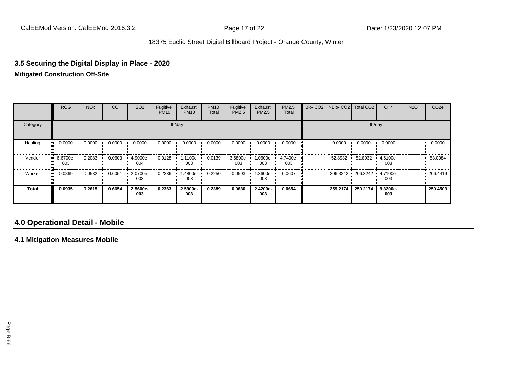# **3.5 Securing the Digital Display in Place - 2020**

## **Mitigated Construction Off-Site**

|              | <b>ROG</b>         | <b>NO<sub>x</sub></b> | CO     | SO <sub>2</sub> | Fugitive<br><b>PM10</b> | Exhaust<br><b>PM10</b> | <b>PM10</b><br>Total | Fugitive<br>PM2.5 | Exhaust<br><b>PM2.5</b> | PM2.5<br>Total  | Bio- CO2   NBio- CO2   Total CO2 |                   | CH <sub>4</sub> | <b>N2O</b> | CO <sub>2e</sub> |
|--------------|--------------------|-----------------------|--------|-----------------|-------------------------|------------------------|----------------------|-------------------|-------------------------|-----------------|----------------------------------|-------------------|-----------------|------------|------------------|
| Category     |                    |                       |        |                 |                         | lb/day                 |                      |                   |                         |                 |                                  |                   | lb/day          |            |                  |
| Hauling      | 0.0000             | 0.0000                | 0.0000 | 0.0000          | 0.0000                  | 0.0000                 | 0.0000               | 0.0000            | 0.0000                  | 0.0000          | 0.0000                           | 0.0000            | 0.0000          |            | 0.0000           |
| Vendor       | $-6.6700e-$<br>003 | 0.2083                | 0.0603 | 4.9000e-<br>004 | 0.0128                  | 1.1100e-<br>003        | 0.0139               | 3.6800e-<br>003   | 1.0600e-<br>003         | 4.7400e-<br>003 | 52.8932                          | 52.8932           | 4.6100e-<br>003 |            | 53.0084          |
| Worker       | 0.0869             | 0.0532                | 0.6051 | 2.0700e-<br>003 | 0.2236                  | -.4800e<br>003         | 0.2250               | 0.0593            | -3600e.<br>003          | 0.0607          |                                  | 206.3242 206.3242 | 4.7100e-<br>003 |            | .206.4419        |
| <b>Total</b> | 0.0935             | 0.2615                | 0.6654 | 2.5600e-<br>003 | 0.2363                  | 2.5900e-<br>003        | 0.2389               | 0.0630            | 2.4200e-<br>003         | 0.0654          | 259.2174                         | 259.2174          | 9.3200e-<br>003 |            | 259,4503         |

## **4.0 Operational Detail - Mobile**

**4.1 Mitigation Measures Mobile**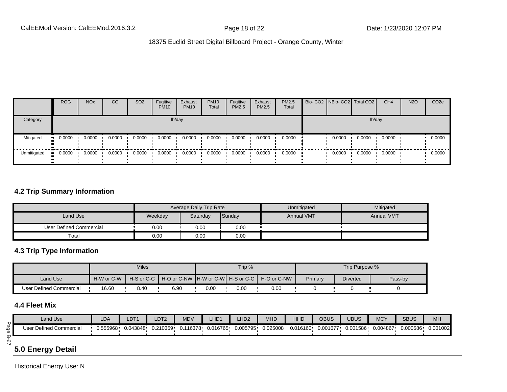|             | <b>ROG</b>   | <b>NO<sub>x</sub></b> | CO     | SO <sub>2</sub> | Fugitive<br><b>PM10</b> | Exhaust<br><b>PM10</b> | <b>PM10</b><br>Total | Fugitive<br>PM2.5 | Exhaust<br><b>PM2.5</b> | <b>PM2.5</b><br>Total |        | Bio- CO2 NBio- CO2 Total CO2 | CH <sub>4</sub> | <b>N2O</b> | CO <sub>2e</sub> |
|-------------|--------------|-----------------------|--------|-----------------|-------------------------|------------------------|----------------------|-------------------|-------------------------|-----------------------|--------|------------------------------|-----------------|------------|------------------|
| Category    |              |                       |        |                 |                         | lb/day                 |                      |                   |                         |                       |        | lb/day                       |                 |            |                  |
| Mitigated   | 0.0000<br>ш. | 0.0000                | 0.0000 | 0.0000          | 0.0000                  | 0.0000                 | 0.0000               | 0.0000            | 0.0000                  | 0.0000                | 0.0000 | 0.0000                       | 0.0000          |            | 0.0000           |
| Unmitigated | 0.0000       | 0.0000                | 0.0000 | 0.0000          | 0.0000                  | 0.0000                 | 0.0000               | 0.0000            | 0.0000                  | 0.0000                | 0.0000 | 0.0000                       | 0.0000          |            | 0.0000           |

## **4.2 Trip Summary Information**

|                         |         | Average Daily Trip Rate |        | Unmitigated       | Mitigated         |
|-------------------------|---------|-------------------------|--------|-------------------|-------------------|
| Land Use                | Weekday | Saturday                | Sunday | <b>Annual VMT</b> | <b>Annual VMT</b> |
| User Defined Commercial | 0.00    | 0.00                    | 0.00   |                   |                   |
| Total                   | 0.00    | 0.00                    | 0.00   |                   |                   |

## **4.3 Trip Type Information**

|                         |            | <b>Miles</b> |      |      | Trip %   |                                                                  |         | Trip Purpose %  |         |
|-------------------------|------------|--------------|------|------|----------|------------------------------------------------------------------|---------|-----------------|---------|
| Land Use                | H-W or C-W |              |      |      |          | H-S or C-C I H-O or C-NW IH-W or C-WI H-S or C-C I H-O or C-NW I | Primary | <b>Diverted</b> | Pass-by |
| User Defined Commercial | 16.60      | 8.40         | 6.90 | 0.00 | $0.00\,$ | 0.00                                                             |         |                 |         |

## **4.4 Fleet Mix**

|             | Land Use                | LDA | LDT1                | LDT <sub>2</sub> | <b>MDV</b> | LHD1     | LHD <sub>2</sub> | <b>MHD</b> | HHD      | OBUS     | UBUS     | <b>MCY</b> | <b>SBUS</b> | <b>MH</b> |
|-------------|-------------------------|-----|---------------------|------------------|------------|----------|------------------|------------|----------|----------|----------|------------|-------------|-----------|
| $rac{6}{5}$ | User Defined Commercial |     | 0.555968   0.043848 | 0.210359         | 0.116378   | 0.016765 | 0.005795         | 0.025008   | 0.016160 | 0.001677 | 0.001586 | 0.004867   | 0.000586    | 0.001002  |
| —<br>တ      |                         |     |                     |                  |            |          |                  |            |          |          |          |            |             |           |

## **5.0 Energy Detail**

Historical Energy Use: N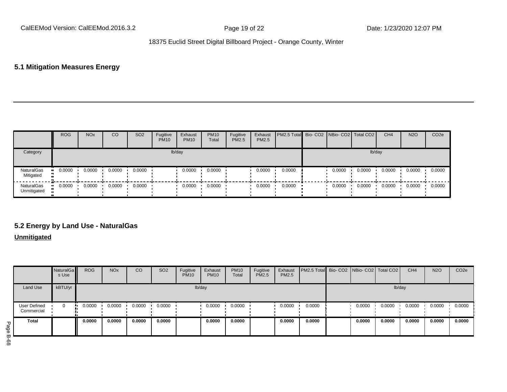## **5.1 Mitigation Measures Energy**

|                                | <b>ROG</b> | <b>NO<sub>x</sub></b> | CO     | SO <sub>2</sub>  | Fugitive<br><b>PM10</b> | Exhaust<br><b>PM10</b> | <b>PM10</b><br>Total | Fugitive<br>PM2.5 | Exhaust<br>PM2.5 | <b>PM2.5 Total</b> Bio- CO2 NBio- CO2 Total CO2 |        |        | CH <sub>4</sub> | <b>N2O</b> | CO <sub>2e</sub> |
|--------------------------------|------------|-----------------------|--------|------------------|-------------------------|------------------------|----------------------|-------------------|------------------|-------------------------------------------------|--------|--------|-----------------|------------|------------------|
| Category                       |            |                       |        |                  |                         | lb/day                 |                      |                   |                  |                                                 |        | lb/day |                 |            |                  |
| NaturalGas<br>Mitigated        | 0.0000     | 0.0000                | 0.0000 | $0.0000$ $\cdot$ |                         | 0.0000                 | 0.0000               |                   | 0.0000           | 0.0000                                          | 0.0000 | 0.0000 | 0.0000          | 0.0000     | 0.0000           |
| NaturalGas<br>Unmitigated<br>ш | 0.0000     | 0.0000                | 0.0000 | $0.0000$ $\cdot$ |                         | 0.0000                 | 0.0000               |                   | 0.0000           | 0.0000                                          | 0.0000 | 0.0000 | 0.0000          | 0.0000     | 0.0000           |

## **5.2 Energy by Land Use - NaturalGas**

## **Unmitigated**

|                            | NaturalGa<br>s Use | <b>ROG</b> | <b>NO<sub>x</sub></b> | CO     | SO <sub>2</sub> | Fugitive<br><b>PM10</b> | Exhaust<br><b>PM10</b> | <b>PM10</b><br>Total | Fugitive<br>PM2.5 | Exhaust<br>PM2.5 | PM2.5 Total Bio- CO2 NBio- CO2 Total CO2 |        |        | CH <sub>4</sub> | <b>N2O</b> | CO <sub>2e</sub> |
|----------------------------|--------------------|------------|-----------------------|--------|-----------------|-------------------------|------------------------|----------------------|-------------------|------------------|------------------------------------------|--------|--------|-----------------|------------|------------------|
| Land Use                   | kBTU/yr            |            |                       |        |                 |                         | lb/day                 |                      |                   |                  |                                          |        | lb/day |                 |            |                  |
| User Defined<br>Commercial | 0                  | 0.0000     | 0.0000                | 0.0000 | 0.0000          |                         | 0.0000                 | 0.0000               |                   | 0.0000           | 0.0000                                   | 0.0000 | 0.0000 | 0.0000          | 0.0000     | 0.0000           |
| <b>Total</b>               |                    | 0.0000     | 0.0000                | 0.0000 | 0.0000          |                         | 0.0000                 | 0.0000               |                   | 0.0000           | 0.0000                                   | 0.0000 | 0.0000 | 0.0000          | 0.0000     | 0.0000           |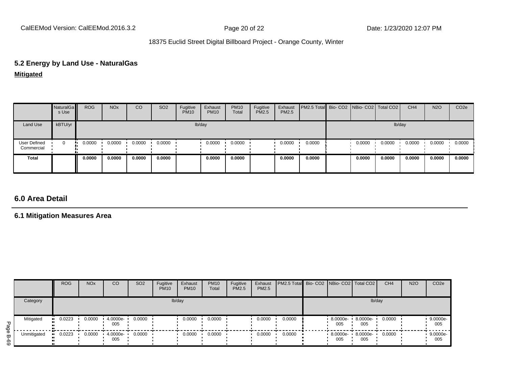# **5.2 Energy by Land Use - NaturalGas**

**Mitigated**

|                            | NaturalGa<br>s Use | <b>ROG</b> | <b>NO<sub>x</sub></b> | CO     | SO <sub>2</sub> | Fugitive<br><b>PM10</b> | Exhaust<br><b>PM10</b> | <b>PM10</b><br>Total | Fugitive<br>PM2.5 | Exhaust<br>PM2.5 | PM2.5 Total Bio- CO2 NBio- CO2 Total CO2 |        |        | CH <sub>4</sub> | <b>N2O</b> | CO <sub>2</sub> e |
|----------------------------|--------------------|------------|-----------------------|--------|-----------------|-------------------------|------------------------|----------------------|-------------------|------------------|------------------------------------------|--------|--------|-----------------|------------|-------------------|
| Land Use                   | kBTU/yr            |            |                       |        |                 |                         | lb/day                 |                      |                   |                  |                                          |        | lb/day |                 |            |                   |
| User Defined<br>Commercial | $\mathbf 0$        | 0.0000     | 0.0000                | 0.0000 | 0.0000          |                         | 0.0000                 | 0.0000               |                   | 0.0000           | 0.0000                                   | 0.0000 | 0.0000 | 0.0000          | 0.0000     | 0.0000            |
| <b>Total</b>               |                    | 0.0000     | 0.0000                | 0.0000 | 0.0000          |                         | 0.0000                 | 0.0000               |                   | 0.0000           | 0.0000                                   | 0.0000 | 0.0000 | 0.0000          | 0.0000     | 0.0000            |

## **6.0 Area Detail**

## **6.1 Mitigation Measures Area**

|          |             | <b>ROG</b> | <b>NO<sub>x</sub></b> | <sub>CO</sub>   | SO <sub>2</sub> | Fugitive<br><b>PM10</b> | Exhaust<br><b>PM10</b> | <b>PM10</b><br>Total | Fugitive<br><b>PM2.5</b> | Exhaust<br>PM2.5 | PM2.5 Total Bio- CO2   NBio- CO2   Total CO2 |                    |                 | CH <sub>4</sub> | <b>N2O</b> | CO <sub>2</sub> e |
|----------|-------------|------------|-----------------------|-----------------|-----------------|-------------------------|------------------------|----------------------|--------------------------|------------------|----------------------------------------------|--------------------|-----------------|-----------------|------------|-------------------|
|          | Category    |            |                       |                 |                 | lb/day                  |                        |                      |                          |                  |                                              |                    | lb/day          |                 |            |                   |
| Page     | Mitigated   | 0.0223     | 0.0000                | 4.0000e-<br>005 | 0.0000          |                         | 0.0000                 | 0.0000               |                          | 0.0000           | 0.0000                                       | 8.0000e-<br>005    | 8.0000e-<br>005 | 0.0000          |            | 9.0000e-<br>005   |
| ω<br>စ္မ | Unmitigated | 0.0223     | 0.0000                | 4.0000e-<br>005 | 0.0000          |                         | 0.0000                 | 0.0000               |                          | 0.0000           | 0.0000                                       | $8.0000e -$<br>005 | 8.0000e-<br>005 | 0.0000          |            | 9.0000e-<br>005   |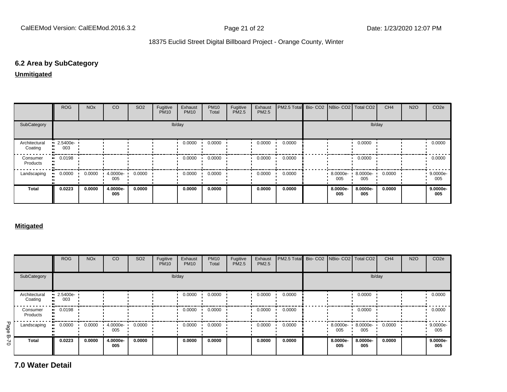## **6.2 Area by SubCategory**

**Unmitigated**

|                          | <b>ROG</b>              | <b>NO<sub>x</sub></b> | CO              | SO <sub>2</sub> | Fugitive<br><b>PM10</b> | Exhaust<br><b>PM10</b> | <b>PM10</b><br>Total | Fugitive<br>PM2.5 | Exhaust<br>PM2.5 | PM2.5 Total Bio- CO2 NBio- CO2 Total CO2 |                      |                 | CH <sub>4</sub> | <b>N2O</b> | CO <sub>2</sub> e |
|--------------------------|-------------------------|-----------------------|-----------------|-----------------|-------------------------|------------------------|----------------------|-------------------|------------------|------------------------------------------|----------------------|-----------------|-----------------|------------|-------------------|
| SubCategory              |                         |                       |                 |                 |                         | lb/day                 |                      |                   |                  |                                          |                      | lb/day          |                 |            |                   |
| Architectural<br>Coating | $\cdot$ 2.5400e-<br>003 |                       |                 |                 |                         | 0.0000                 | 0.0000               |                   | 0.0000           | 0.0000                                   |                      | 0.0000          |                 |            | 0.0000            |
| Consumer<br>Products     | $\blacksquare$ 0.0198   |                       |                 |                 |                         | 0.0000                 | 0.0000               |                   | 0.0000           | 0.0000                                   |                      | 0.0000          |                 |            | 0.0000            |
| Landscaping              | 0.0000                  | 0.0000                | 4.0000e-<br>005 | 0.0000          |                         | 0.0000                 | 0.0000               |                   | 0.0000           | 0.0000                                   | $8.0000e - 1$<br>005 | 8.0000e-<br>005 | 0.0000          |            | 9.0000e-<br>005   |
| <b>Total</b>             | 0.0223                  | 0.0000                | 4.0000e-<br>005 | 0.0000          |                         | 0.0000                 | 0.0000               |                   | 0.0000           | 0.0000                                   | 8.0000e-<br>005      | 8.0000e-<br>005 | 0.0000          |            | 9.0000e-<br>005   |

#### **Mitigated**

|             |                          | <b>ROG</b>                     | <b>NO<sub>x</sub></b> | <sub>CO</sub>   | SO <sub>2</sub> | Fugitive<br><b>PM10</b> | Exhaust<br><b>PM10</b> | <b>PM10</b><br>Total | Fugitive<br><b>PM2.5</b> | Exhaust<br>PM2.5 | PM2.5 Total |                    | Bio- CO2   NBio- CO2   Total CO2 | CH <sub>4</sub> | <b>N2O</b> | CO <sub>2e</sub>  |
|-------------|--------------------------|--------------------------------|-----------------------|-----------------|-----------------|-------------------------|------------------------|----------------------|--------------------------|------------------|-------------|--------------------|----------------------------------|-----------------|------------|-------------------|
|             | SubCategory              |                                |                       |                 |                 |                         | lb/day                 |                      |                          |                  |             |                    | lb/day                           |                 |            |                   |
|             | Architectural<br>Coating | $\blacksquare$ 2.5400e-<br>003 |                       |                 |                 |                         | 0.0000                 | 0.0000               |                          | 0.0000           | 0.0000      |                    | 0.0000                           |                 |            | 0.0000            |
|             | Consumer<br>Products     | 0.0198<br>                     |                       |                 |                 |                         | 0.0000                 | 0.0000               |                          | 0.0000           | 0.0000      |                    | 0.0000                           |                 |            | 0.0000            |
| Page        | Landscaping              | 0.0000<br>                     | 0.0000                | 4.0000e-<br>005 | 0.0000          |                         | 0.0000                 | 0.0000               |                          | 0.0000           | 0.0000      | $8.0000e -$<br>005 | 8.0000e-<br>005                  | 0.0000          |            | 9.0000e-<br>005   |
| <b>B-70</b> | <b>Total</b>             | 0.0223                         | 0.0000                | 4.0000e-<br>005 | 0.0000          |                         | 0.0000                 | 0.0000               |                          | 0.0000           | 0.0000      | 8.0000e-<br>005    | 8.0000e-<br>005                  | 0.0000          |            | $9.0000e-$<br>005 |

**7.0 Water Detail**